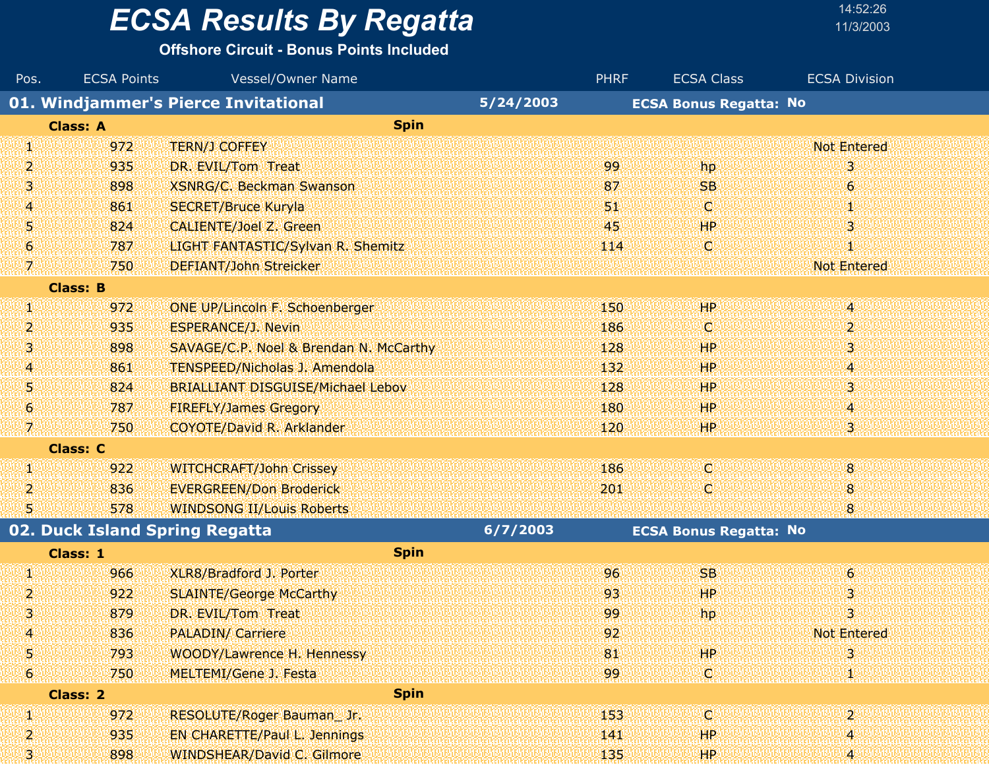#### **Offshore Circuit - Bonus Points Included**

| Pos.        | <b>ECSA Points</b> | Vessel/Owner Name                        |           | <b>PHRF</b> | <b>ECSA Class</b>             | <b>ECSA Division</b>      |
|-------------|--------------------|------------------------------------------|-----------|-------------|-------------------------------|---------------------------|
|             |                    | 01. Windjammer's Pierce Invitational     | 5/24/2003 |             | <b>ECSA Bonus Regatta: No</b> |                           |
|             | <b>Class: A</b>    | <b>Spin</b>                              |           |             |                               |                           |
| V)          | 972                | <b>TERN/J COFFEY</b>                     |           |             |                               | <b>Not Entered</b>        |
| 2           | 935                | DR. EVIL/Tom Treat                       |           | 99          | hp                            | 3                         |
| 3           | 898                | <b>XSNRG/C. Beckman Swanson</b>          |           | 87          | <b>SB</b>                     | $\epsilon$                |
| 4           | 861                | <b>SECRET/Bruce Kuryla</b>               |           | 51,         | iC)                           | 拠                         |
| 5           | 824                | <b>CALIENTE/Joel Z. Green</b>            |           | 45          | <b>HP</b>                     | 3                         |
| 6           | 787                | LIGHT FANTASTIC/Sylvan R. Shemitz        |           | 114         | C.                            | Φ                         |
| 7.          | 750                | DEFIANT/John Streicker                   |           |             |                               | <b>Not Entered</b>        |
|             | <b>Class: B</b>    |                                          |           |             |                               |                           |
| W.          | 972                | ONE UP/Lincoln F. Schoenberger           |           | 150         | HP.                           | 4                         |
| 2           | 935                | <b>ESPERANCE/J. Nevin</b>                |           | 186         | VО                            | $\mathbf{2}^{\mathsf{r}}$ |
| 3           | 898                | SAVAGE/C.P. Noel & Brendan N. McCarthy   |           | 128         | <b>HP</b>                     | 3                         |
| 4           | 861                | <b>TENSPEED/Nicholas J. Amendola</b>     |           | 132         | <b>HP</b>                     | 4                         |
| 5           | 824                | <b>BRIALLIANT DISGUISE/Michael Lebov</b> |           | 128         | <b>HP</b>                     | 3                         |
| $\mathbf 6$ | 787                | <b>FIREFLY/James Gregory</b>             |           | 180         | <b>HP</b>                     | 4                         |
| 7.          | 750                | <b>COYOTE/David R. Arklander</b>         |           | 120         | HP                            | 3                         |
|             | <b>Class: C</b>    |                                          |           |             |                               |                           |
| U.          | 922                | <b>WITCHCRAFT/John Crissey</b>           |           | 186         | W                             | 8                         |
| 2           | 836                | <b>EVERGREEN/Don Broderick</b>           |           | 201         | C.                            | 8                         |
| 5           | 578                | <b>WINDSONG II/Louis Roberts</b>         |           |             |                               | 8                         |
|             |                    | 02. Duck Island Spring Regatta           | 6/7/2003  |             | <b>ECSA Bonus Regatta: No</b> |                           |
|             | Class: 1           | <b>Spin</b>                              |           |             |                               |                           |
| W           | 966                | XLR8/Bradford J. Porter                  |           | 96          | <b>SB</b>                     | $\epsilon$                |
| 2           | 922                | <b>SLAINTE/George McCarthy</b>           |           | 93          | HP <sup>1</sup>               | 3                         |
| З.          | 879                | DR. EVIL/Tom Treat                       |           | -99         | hp                            | 3                         |
| 4           | 836                | <b>PALADIN/ Carriere</b>                 |           | 92          |                               | <b>Not Entered</b>        |
| 5           | 793                | WOODY/Lawrence H. Hennessy               |           | 81          | <b>HP</b>                     | 3                         |
| 6           | 750                | MELTEMI/Gene J. Festa                    |           | 99          | O                             | 50                        |
|             | Class: 2           | <b>Spin</b>                              |           |             |                               |                           |

| <b>DESCRIPTION OF STATISTICS</b> |          | <b>THE HEAD OCHE J. FEBLUE</b><br>.<br><b><i>CONTRACTOR</i></b><br><b>CONTRACTOR</b> |  |
|----------------------------------|----------|--------------------------------------------------------------------------------------|--|
|                                  | Class: 2 | <b>Spin</b>                                                                          |  |
|                                  | 972      | 153.<br>RESOLUTE/Roger Bauman Jr.                                                    |  |
|                                  | 935      | <b>EN CHARETTE/Paul L. Jennings</b><br>HР<br>141                                     |  |
|                                  | 898      | WINDSHEAR/David C. Gilmore<br>135<br>ЖP                                              |  |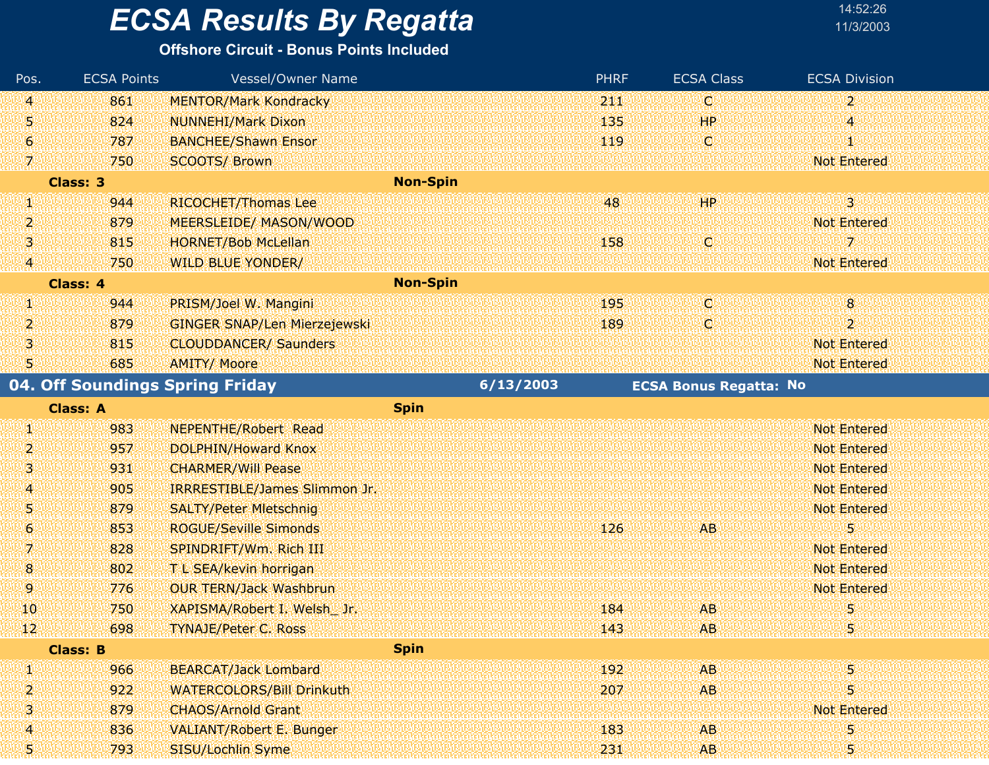#### **Offshore Circuit - Bonus Points Included**

| Pos.            | <b>ECSA Points</b> | Vessel/Owner Name                   |                 | <b>PHRF</b> | <b>ECSA Class</b>             | <b>ECSA Division</b> |
|-----------------|--------------------|-------------------------------------|-----------------|-------------|-------------------------------|----------------------|
| 41              | 861                | <b>MENTOR/Mark Kondracky</b>        |                 | 211         | O                             | $\overline{2}$       |
| 51              | 824                | <b>NUNNEHI/Mark Dixon</b>           |                 | 135         | HP                            | 4                    |
| G)              | 787                | <b>BANCHEE/Shawn Ensor</b>          |                 | 119         | Ο                             | q,                   |
| W               | 750                | <b>SCOOTS/ Brown</b>                |                 |             |                               | <b>Not Entered</b>   |
|                 | <b>Class: 3</b>    |                                     | <b>Non-Spin</b> |             |                               |                      |
| Ø               | 944                | RICOCHET/Thomas Lee                 |                 | 48          | <b>HP</b>                     | $\overline{3}$       |
| 2               | 879                | <b>MEERSLEIDE/ MASON/WOOD</b>       |                 |             |                               | <b>Not Entered</b>   |
| 31              | 815                | <b>HORNET/Bob McLellan</b>          |                 | 158         | C                             | 7                    |
| (41             | 750                | <b>WILD BLUE YONDER/</b>            |                 |             |                               | <b>Not Entered</b>   |
|                 | Class: 4           |                                     | <b>Non-Spin</b> |             |                               |                      |
| UN.             | 944                | PRISM/Joel W. Mangini               |                 | 195         | O                             | $\overline{8}$       |
| 2               | 879                | <b>GINGER SNAP/Len Mierzejewski</b> |                 | 189         | O                             | $\overline{2}$       |
| 31              | 815                | <b>CLOUDDANCER/ Saunders</b>        |                 |             |                               | <b>Not Entered</b>   |
| W               | 685                | <b>AMITY/ Moore</b>                 |                 |             |                               | <b>Not Entered</b>   |
|                 |                    | 04. Off Soundings Spring Friday     | 6/13/2003       |             | <b>ECSA Bonus Regatta: No</b> |                      |
|                 | <b>Class: A</b>    |                                     | <b>Spin</b>     |             |                               |                      |
| W               | 983                | <b>NEPENTHE/Robert Read</b>         |                 |             |                               | <b>Not Entered</b>   |
| 2               | 957                | <b>DOLPHIN/Howard Knox</b>          |                 |             |                               | <b>Not Entered</b>   |
| 131             | 931                | <b>CHARMER/Will Pease</b>           |                 |             |                               | <b>Not Entered</b>   |
| 4               | 905                | IRRRESTIBLE/James Slimmon Jr.       |                 |             |                               | <b>Not Entered</b>   |
| 51              | 879                | <b>SALTY/Peter Mietschnig</b>       |                 |             |                               | <b>Not Entered</b>   |
| 6               | 853                | <b>ROGUE/Seville Simonds</b>        |                 | 126         | AB.                           | 5                    |
| 7.              | 828                | SPINDRIFT/Wm. Rich III              |                 |             |                               | <b>Not Entered</b>   |
| 8               | 802                | T L SEA/kevin horrigan              |                 |             |                               | <b>Not Entered</b>   |
| 9.              | 776                | <b>OUR TERN/Jack Washbrun</b>       |                 |             |                               | <b>Not Entered</b>   |
| 10              | 750                | XAPISMA/Robert I. Welsh Jr.         |                 | 184         | <b>AB</b>                     | 5                    |
| 12 <sub>1</sub> | 698                | TYNAJE/Peter C. Ross                |                 | 143         | AB                            | 5                    |
|                 | <b>Class: B</b>    |                                     | <b>Spin</b>     |             |                               |                      |
| W               | 966                | <b>BEARCAT/Jack Lombard</b>         |                 | 192         | AB.                           | 5                    |
| 2               | 922                | <b>WATERCOLORS/Bill Drinkuth</b>    |                 | 207         | <b>AB</b>                     | 5                    |
| 3               | 879                | <b>CHAOS/Arnold Grant</b>           |                 |             |                               | Not Entered          |
| 4               | 836                | <b>VALIANT/Robert E. Bunger</b>     |                 | 183         | AB.                           | 5                    |
| 51              | 793                | SISU/Lochlin Syme                   |                 | 231         | AB.                           | 5                    |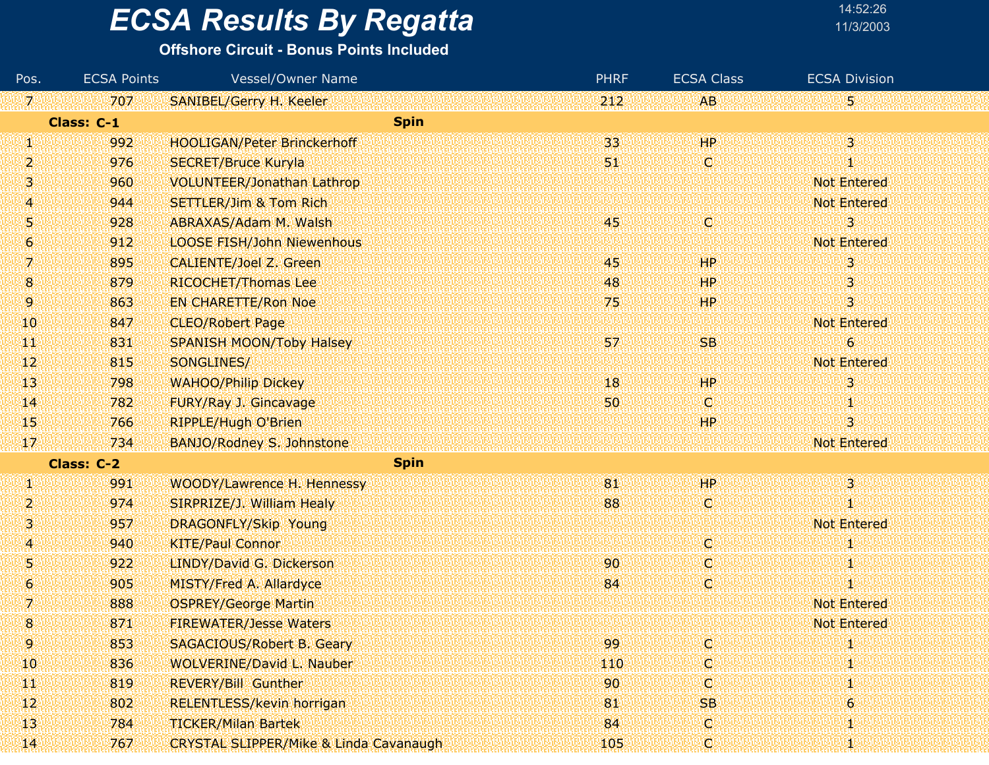#### **Offshore Circuit - Bonus Points Included**

| Pos.                | <b>ECSA Points</b> | <b>Vessel/Owner Name</b>                          | <b>PHRF</b> | <b>ECSA Class</b> | <b>ECSA Division</b> |
|---------------------|--------------------|---------------------------------------------------|-------------|-------------------|----------------------|
| $\mathcal{I}^0$     | 707                | SANIBEL/Gerry H. Keeler                           | 212         | AB.               | 5                    |
|                     | Class: C-1         | <b>Spin</b>                                       |             |                   |                      |
| W                   | 992                | <b>HOOLIGAN/Peter Brinckerhoff</b>                | 33          | HP                | $\overline{3}$       |
| $\overline{2}$      | 976                | <b>SECRET/Bruce Kuryla</b>                        | 51.         | Ο                 | Ï                    |
| 31                  | 960                | <b>VOLUNTEER/Jonathan Lathrop</b>                 |             |                   | <b>Not Entered</b>   |
| 4                   | 944                | <b>SETTLER/Jim &amp; Tom Rich</b>                 |             |                   | <b>Not Entered</b>   |
| 5                   | 928                | ABRAXAS/Adam M. Walsh                             | 45          | W                 | 3                    |
| 6                   | 912                | <b>LOOSE FISH/John Niewenhous</b>                 |             |                   | <b>Not Entered</b>   |
| 7.                  | 895                | <b>CALIENTE/Joel Z. Green</b>                     | 45          | <b>HP</b>         | з                    |
| 8                   | 879                | RICOCHET/Thomas Lee                               | 48          | HР                | З                    |
| 9                   | 863                | <b>EN CHARETTE/Ron Noe</b>                        | 75          | <b>HP</b>         | 3                    |
| 10                  | 847                | <b>CLEO/Robert Page</b>                           |             |                   | Not Entered          |
| $\mathbf{1}$        | 831                | <b>SPANISH MOON/Toby Halsey</b>                   | 57          | <b>SB</b>         | 6                    |
| $ 12\rangle$        | 815                | SONGLINES/                                        |             |                   | <b>Not Entered</b>   |
| $\mathbf{1}3$       | 798                | <b>WAHOO/Philip Dickey</b>                        | W8          | HP                | 3                    |
| $\mathbf{I}$        | 782                | FURY/Ray J. Gincavage                             | 50          | <b>O</b>          | 40                   |
| 45                  | 766                | <b>RIPPLE/Hugh O'Brien</b>                        |             | HР                | з                    |
| 17                  | 734                | BANJO/Rodney S. Johnstone                         |             |                   | <b>Not Entered</b>   |
|                     | <b>Class: C-2</b>  | <b>Spin</b>                                       |             |                   |                      |
| W                   | 991                | WOODY/Lawrence H. Hennessy                        | 181         | HP                | $\overline{3}$       |
| 2                   | 974                | SIRPRIZE/J. William Healy                         | 88          | W                 | 1                    |
| 3                   | 957                | DRAGONFLY/Skip Young                              |             |                   | <b>Not Entered</b>   |
| A                   | 940                | <b>KITE/Paul Connor</b>                           |             | IC.               | Ų.                   |
| 5                   | 922                | LINDY/David G. Dickerson                          | 90          | Φ                 | 1                    |
| $\ddot{\mathbf{6}}$ | 905                | <b>MISTY/Fred A. Allardyce</b>                    | 84          | Ο                 | И                    |
| 7                   | 888                | <b>OSPREY/George Martin</b>                       |             |                   | <b>Not Entered</b>   |
| 8                   | 871                | <b>FIREWATER/Jesse Waters</b>                     |             |                   | <b>Not Entered</b>   |
| 9.                  | 853                | <b>SAGACIOUS/Robert B. Geary</b>                  | 99          | O.                | и                    |
| 10                  | 836                | <b>WOLVERINE/David L. Nauber</b>                  | 440         | O                 | 41                   |
| ТW                  | 819                | <b>REVERY/Bill Gunther</b>                        | 90          | W                 |                      |
| $\mathbf{12}$       | 802                | RELENTLESS/kevin horrigan                         | 81          | <b>SB</b>         | 6                    |
| $\mathbf{1}3$       | 784                | <b>TICKER/Milan Bartek</b>                        | 84          | IC.               | Ч                    |
| 14                  | 767                | <b>CRYSTAL SLIPPER/Mike &amp; Linda Cavanaugh</b> | 105         | O.                | Cf.                  |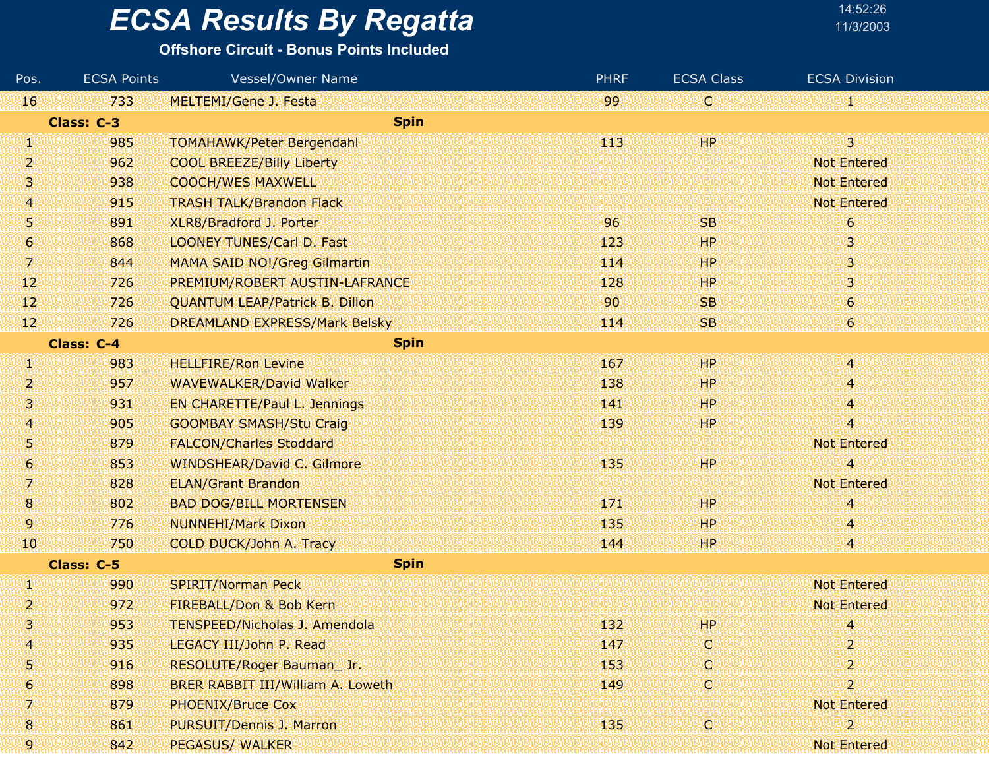#### **Offshore Circuit - Bonus Points Included**

| Pos.          | <b>ECSA Points</b> | <b>Vessel/Owner Name</b>              | <b>PHRF</b> | <b>ECSA Class</b> | <b>ECSA Division</b>      |
|---------------|--------------------|---------------------------------------|-------------|-------------------|---------------------------|
| 16            | 733                | <b>MELTEMI/Gene J. Festa</b>          | 99          | IC.               | я.                        |
|               | Class: C-3         | <b>Spin</b>                           |             |                   |                           |
| W             | 985                | <b>TOMAHAWK/Peter Bergendahl</b>      | 443         | HР                | $3^{\circ}$               |
| 2             | 962                | <b>COOL BREEZE/Billy Liberty</b>      |             |                   | <b>Not Entered</b>        |
| 91            | 938                | <b>COOCH/WES MAXWELL</b>              |             |                   | <b>Not Entered</b>        |
| 4             | 915                | <b>TRASH TALK/Brandon Flack</b>       |             |                   | <b>Not Entered</b>        |
| 51            | 891                | XLR8/Bradford J. Porter               | 96          | <b>SB</b>         | $\boldsymbol{6}$          |
| $\bullet$     | 868                | <b>LOONEY TUNES/Carl D. Fast</b>      | 123         | HP                | 31                        |
| 7.            | 844                | MAMA SAID NO!/Greg Gilmartin          | 114         | <b>HP</b>         | 3.                        |
| 12            | 726                | PREMIUM/ROBERT AUSTIN-LAFRANCE        | 128         | HP.               | 3                         |
| $\mathbf{12}$ | 726                | <b>QUANTUM LEAP/Patrick B. Dillon</b> | 90          | <b>SB</b>         | $\boldsymbol{6}$          |
| $\frac{1}{2}$ | 726                | DREAMLAND EXPRESS/Mark Belsky         | 114         | <b>SB</b>         | $\boldsymbol{6}$          |
|               | Class: C-4         | <b>Spin</b>                           |             |                   |                           |
| W             | 983                | <b>HELLFIRE/Ron Levine</b>            | 167         | HP                | 4                         |
| 2             | 957                | <b>WAVEWALKER/David Walker</b>        | 138         | HP                | 4                         |
| 3             | 931                | <b>EN CHARETTE/Paul L. Jennings</b>   | 141         | HР                | '4'                       |
| 4             | 905                | <b>GOOMBAY SMASH/Stu Craig</b>        | 139         | HP                | 4                         |
| 51            | 879                | <b>FALCON/Charles Stoddard</b>        |             |                   | <b>Not Entered</b>        |
| 6             | 853                | <b>WINDSHEAR/David C. Gilmore</b>     | 135         | HP                | 4                         |
| 7.            | 828                | <b>ELAN/Grant Brandon</b>             |             |                   | <b>Not Entered</b>        |
| 8             | 802                | <b>BAD DOG/BILL MORTENSEN</b>         | 171         | HР                | $\overline{4}$            |
| 9             | 776                | <b>NUNNEHI/Mark Dixon</b>             | 135         | ЩP                | 4                         |
| 10            | 750                | COLD DUCK/John A. Tracy               | 144         | ЩP                | 4                         |
|               | Class: C-5         | <b>Spin</b>                           |             |                   |                           |
| И             | 990                | <b>SPIRIT/Norman Peck</b>             |             |                   | <b>Not Entered</b>        |
| 2             | 972                | FIREBALL/Don & Bob Kern               |             |                   | <b>Not Entered</b>        |
| З             | 953                | <b>TENSPEED/Nicholas J. Amendola</b>  | 132         | HР                | A                         |
| 4             | 935                | LEGACY III/John P. Read               | 147         | C                 | 2                         |
| 5.            | 916                | RESOLUTE/Roger Bauman_Jr.             | 153         | C                 | 2                         |
| 6             | 898                | BRER RABBIT III/William A. Loweth     | 149         | O                 | $\mathbf{2}^{\mathrm{c}}$ |
| 7             | 879                | <b>PHOENIX/Bruce Cox</b>              |             |                   | <b>Not Entered</b>        |
| 8             | 861                | PURSUIT/Dennis J. Marron              | 135         | O                 | $\boldsymbol{2}$          |
| 9             | 842                | <b>PEGASUS/ WALKER</b>                |             |                   | Not Entered               |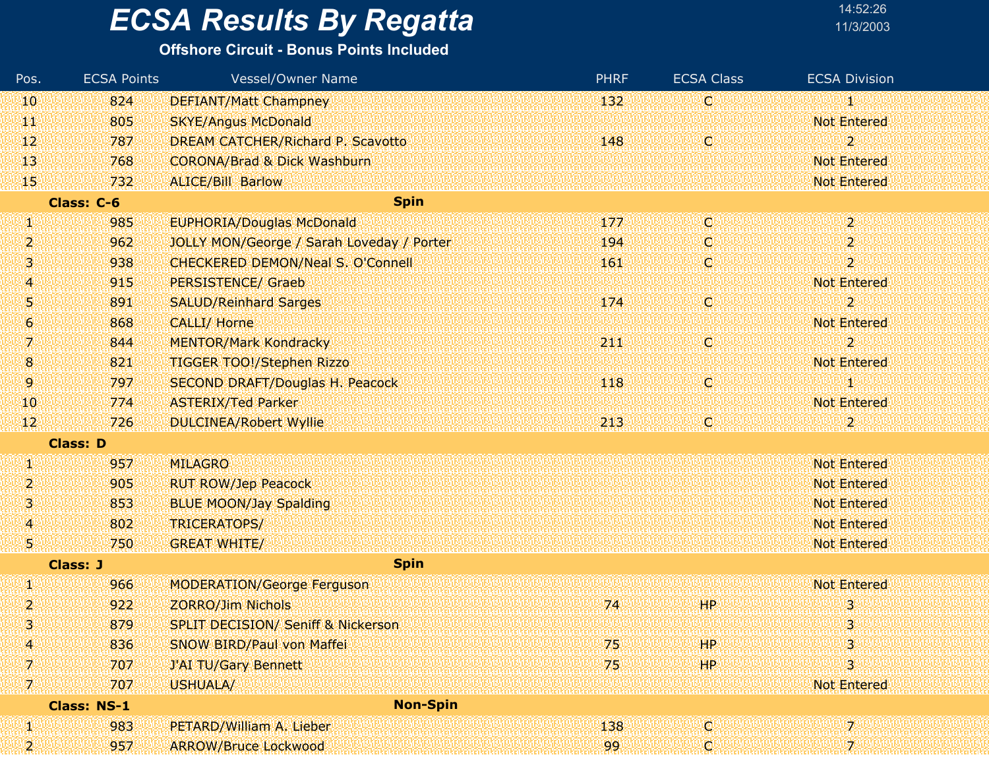#### **Offshore Circuit - Bonus Points Included**

| Pos.             | <b>ECSA Points</b> | Vessel/Owner Name                             | <b>PHRF</b> | <b>ECSA Class</b> | <b>ECSA Division</b>      |
|------------------|--------------------|-----------------------------------------------|-------------|-------------------|---------------------------|
| 10               | 824                | <b>DEFIANT/Matt Champney</b>                  | 132         | C.                | 1                         |
| ТT               | 805                | <b>SKYE/Angus McDonald</b>                    |             |                   | <b>Not Entered</b>        |
| 12 <sup>°</sup>  | 787                | DREAM CATCHER/Richard P. Scavotto             | 148         | ¢                 | $\mathbf{2}^{\mathsf{c}}$ |
| 13               | 768                | <b>CORONA/Brad &amp; Dick Washburn</b>        |             |                   | <b>Not Entered</b>        |
| 15 <sub>1</sub>  | 732                | <b>ALICE/Bill Barlow</b>                      |             |                   | <b>Not Entered</b>        |
|                  | Class: C-6         | <b>Spin</b>                                   |             |                   |                           |
| W                | 985                | <b>EUPHORIA/Douglas McDonald</b>              | 177         | O                 | $2^{\circ}$               |
| 2                | 962                | JOLLY MON/George / Sarah Loveday / Porter     | 194         | ¢                 | 2                         |
| 3                | 938                | <b>CHECKERED DEMON/Neal S. O'Connell</b>      | 161         | d                 | $\overline{2}$            |
| 4                | 915                | <b>PERSISTENCE/ Graeb</b>                     |             |                   | <b>Not Entered</b>        |
| 5                | 891                | <b>SALUD/Reinhard Sarges</b>                  | 174         | C,                | $\overline{2}$            |
| $\boldsymbol{6}$ | 868                | <b>CALLI/ Horne</b>                           |             |                   | <b>Not Entered</b>        |
| 7.               | 844                | <b>MENTOR/Mark Kondracky</b>                  | 211         | C.                | $\overline{2}$            |
| 8                | 821                | <b>TIGGER TOO!/Stephen Rizzo</b>              |             |                   | <b>Not Entered</b>        |
| 9                | 797                | <b>SECOND DRAFT/Douglas H. Peacock</b>        | 118         | C,                | šI.                       |
| 10               | 774                | <b>ASTERIX/Ted Parker</b>                     |             |                   | <b>Not Entered</b>        |
| 12 <sub>1</sub>  | 726                | <b>DULCINEA/Robert Wyllie</b>                 | 213         | C                 | 2                         |
|                  | <b>Class: D</b>    |                                               |             |                   |                           |
| W                | 957                | <b>MILAGRO</b>                                |             |                   | <b>Not Entered</b>        |
| 2                | 905                | <b>RUT ROW/Jep Peacock</b>                    |             |                   | <b>Not Entered</b>        |
| 3                | 853                | <b>BLUE MOON/Jay Spalding</b>                 |             |                   | <b>Not Entered</b>        |
| 4                | 802                | TRICERATOPS/                                  |             |                   | <b>Not Entered</b>        |
| 5.               | 750                | <b>GREAT WHITE/</b>                           |             |                   | <b>Not Entered</b>        |
|                  | <b>Class: J</b>    | <b>Spin</b>                                   |             |                   |                           |
| Ø                | 966                | <b>MODERATION/George Ferguson</b>             |             |                   | <b>Not Entered</b>        |
| $\overline{2}$   | 922                | <b>ZORRO/Jim Nichols</b>                      | 74          | <b>HP</b>         | 3                         |
| 3                | 879                | <b>SPLIT DECISION/ Seniff &amp; Nickerson</b> |             |                   | 3                         |
| 4                | 836                | SNOW BIRD/Paul von Maffei                     | 75          | <b>HP</b>         | 3                         |
| 7.               | 707                | <b>J'AI TU/Gary Bennett</b>                   | 75          | HP                | 3.                        |
| 7.               | 707                | USHUALA/                                      |             |                   | <b>Not Entered</b>        |
|                  | <b>Class: NS-1</b> | <b>Non-Spin</b>                               |             |                   |                           |
| И                | 983                | PETARD/William A. Lieber                      | 138         | d                 | 72                        |
| 2                | 957                | <b>ARROW/Bruce Lockwood</b>                   | 99          | O.                | 72                        |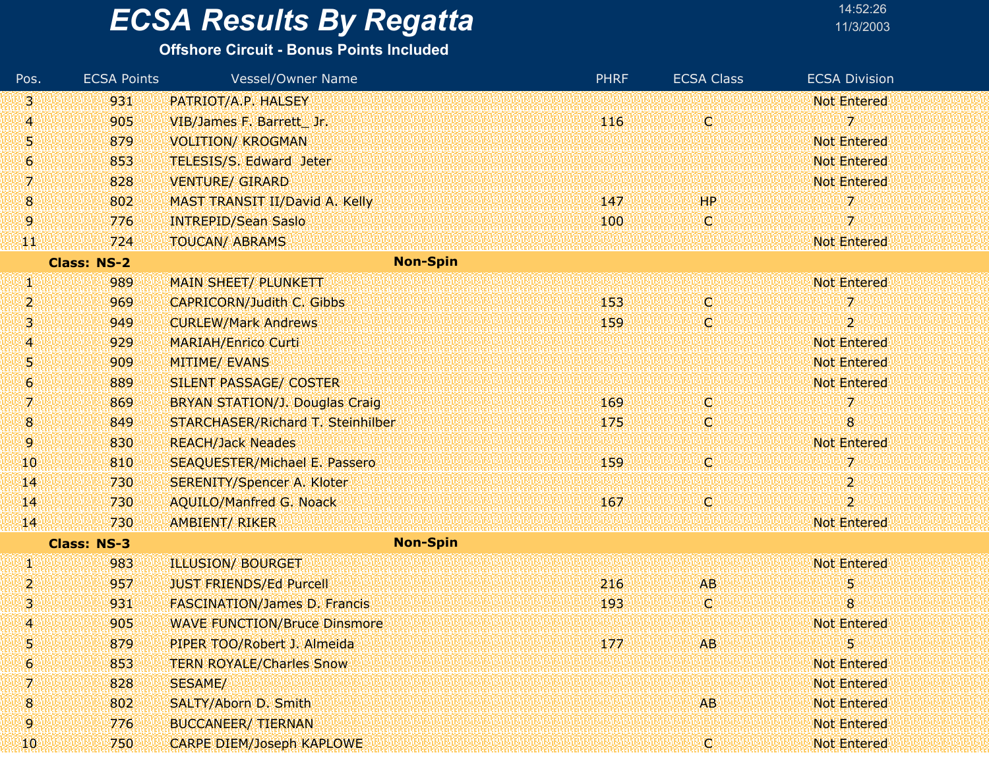#### **Offshore Circuit - Bonus Points Included**

| Pos.           | <b>ECSA Points</b> | Vessel/Owner Name                     |                 | <b>PHRF</b> | <b>ECSA Class</b> | <b>ECSA Division</b>    |
|----------------|--------------------|---------------------------------------|-----------------|-------------|-------------------|-------------------------|
| 131            | 931                | PATRIOT/A.P. HALSEY                   |                 |             |                   | <b>Not Entered</b>      |
| 4              | 905                | VIB/James F. Barrett Jr.              |                 | 116         | C,                | 7                       |
| U)             | 879                | <b>VOLITION/ KROGMAN</b>              |                 |             |                   | <b>Not Entered</b>      |
| $\overline{6}$ | 853                | TELESIS/S. Edward Jeter               |                 |             |                   | <b>Not Entered</b>      |
| 7.             | 828                | <b>VENTURE/ GIRARD</b>                |                 |             |                   | <b>Not Entered</b>      |
| 8              | 802                | MAST TRANSIT II/David A. Kelly        |                 | 147         | HP                | 7                       |
| 9              | 776                | <b>INTREPID/Sean Saslo</b>            |                 | 100         | Ю                 | $\overline{\mathbf{z}}$ |
| Ŧ              | 724                | <b>TOUCAN/ ABRAMS</b>                 |                 |             |                   | <b>Not Entered</b>      |
|                | <b>Class: NS-2</b> |                                       | <b>Non-Spin</b> |             |                   |                         |
| W              | 989                | <b>MAIN SHEET/ PLUNKETT</b>           |                 |             |                   | <b>Not Entered</b>      |
| 2              | 969                | <b>CAPRICORN/Judith C. Gibbs</b>      |                 | 153         | V.                | 7                       |
| 3              | 949                | <b>CURLEW/Mark Andrews</b>            |                 | 159         | IC)               | $\overline{2}$          |
| 4              | 929                | <b>MARIAH/Enrico Curti</b>            |                 |             |                   | <b>Not Entered</b>      |
| 51             | 909                | <b>MITIME/ EVANS</b>                  |                 |             |                   | <b>Not Entered</b>      |
| 6              | 889                | <b>SILENT PASSAGE/ COSTER</b>         |                 |             |                   | <b>Not Entered</b>      |
| 7.             | 869                | <b>BRYAN STATION/J. Douglas Craig</b> |                 | 169         | <b>C</b>          | 7                       |
| 8              | 849                | STARCHASER/Richard T. Steinhilber     |                 | 175         | C.                | 8                       |
| 9.             | 830                | <b>REACH/Jack Neades</b>              |                 |             |                   | <b>Not Entered</b>      |
| 10             | 810                | <b>SEAQUESTER/Michael E. Passero</b>  |                 | 159         | IQ.               | 7                       |
| $\mathbf{14}$  | 730                | <b>SERENITY/Spencer A. Kloter</b>     |                 |             |                   | $\overline{2}$          |
| 14             | 730                | <b>AQUILO/Manfred G. Noack</b>        |                 | 167         | <b>C</b>          | $\overline{2}$          |
| 14             | 730                | <b>AMBIENT/ RIKER</b>                 |                 |             |                   | <b>Not Entered</b>      |
|                | <b>Class: NS-3</b> |                                       | <b>Non-Spin</b> |             |                   |                         |
| W              | 983                | <b>ILLUSION/ BOURGET</b>              |                 |             |                   | <b>Not Entered</b>      |
| 2.             | 957                | <b>JUST FRIENDS/Ed Purcell</b>        |                 | 216         | <b>AB</b>         | 5                       |
| 3              | 931                | <b>FASCINATION/James D. Francis</b>   |                 | 193         | IC.               | 8                       |
| 4              | 905                | <b>WAVE FUNCTION/Bruce Dinsmore</b>   |                 |             |                   | <b>Not Entered</b>      |
| 5              | 879                | PIPER TOO/Robert J. Almeida           |                 | 177         | AB.               | 5                       |
| Ι6.            | 853                | <b>TERN ROYALE/Charles Snow</b>       |                 |             |                   | <b>Not Entered</b>      |
| 7.             | 828                | SESAME/                               |                 |             |                   | <b>Not Entered</b>      |
| 8              | 802                | SALTY/Aborn D. Smith                  |                 |             | AB.               | <b>Not Entered</b>      |
| 9              | 776                | <b>BUCCANEER/ TIERNAN</b>             |                 |             |                   | <b>Not Entered</b>      |
| 10             | 750                | <b>CARPE DIEM/Joseph KAPLOWE</b>      |                 |             | Ω                 | <b>Not Entered</b>      |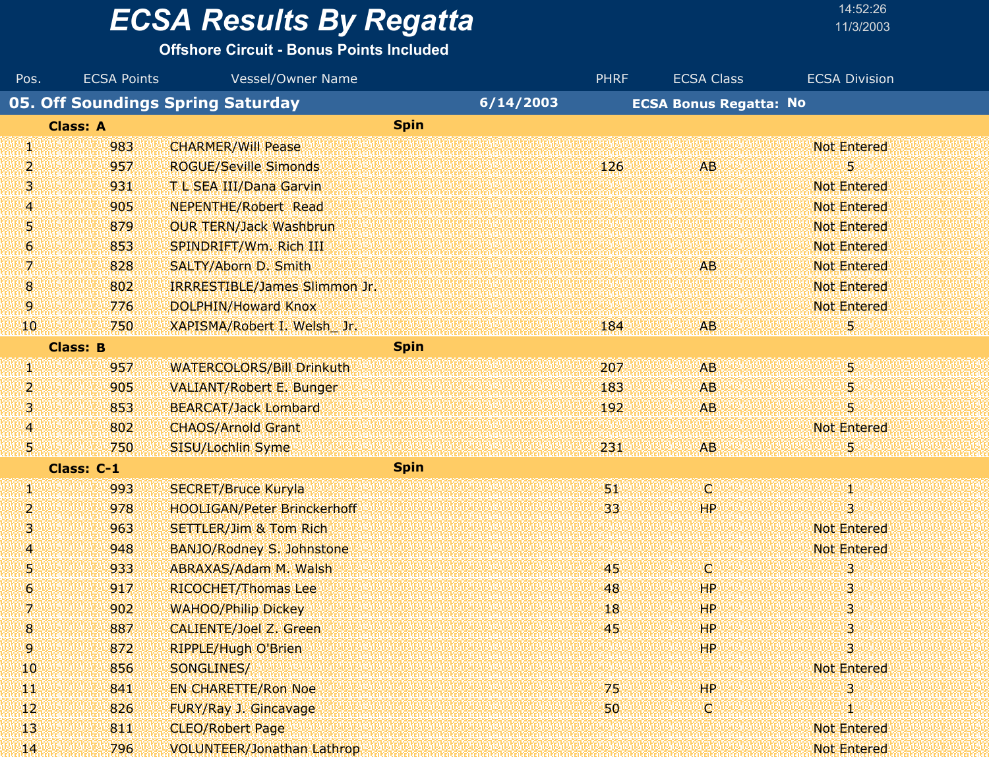#### **Offshore Circuit - Bonus Points Included**

| Pos.             | <b>ECSA Points</b> | <b>Vessel/Owner Name</b>                 |           | <b>PHRF</b> | <b>ECSA Class</b>             | <b>ECSA Division</b>    |
|------------------|--------------------|------------------------------------------|-----------|-------------|-------------------------------|-------------------------|
|                  |                    | <b>05. Off Soundings Spring Saturday</b> | 6/14/2003 |             | <b>ECSA Bonus Regatta: No</b> |                         |
|                  | <b>Class: A</b>    | <b>Spin</b>                              |           |             |                               |                         |
| UW               | 983                | <b>CHARMER/Will Pease</b>                |           |             |                               | <b>Not Entered</b>      |
| 2                | 957                | <b>ROGUE/Seville Simonds</b>             |           | 126         | <b>AB</b>                     | 5                       |
| 31               | 931                | T L SEA III/Dana Garvin                  |           |             |                               | <b>Not Entered</b>      |
| 4.               | 905                | <b>NEPENTHE/Robert Read</b>              |           |             |                               | <b>Not Entered</b>      |
| 51               | 879                | <b>OUR TERN/Jack Washbrun</b>            |           |             |                               | <b>Not Entered</b>      |
| $\boldsymbol{6}$ | 853                | SPINDRIFT/Wm. Rich III                   |           |             |                               | <b>Not Entered</b>      |
| V.               | 828                | SALTY/Aborn D. Smith                     |           |             | <b>AB</b>                     | <b>Not Entered</b>      |
| $\boldsymbol{8}$ | 802                | IRRRESTIBLE/James Slimmon Jr.            |           |             |                               | <b>Not Entered</b>      |
| 9.               | 776                | DOLPHIN/Howard Knox                      |           |             |                               | <b>Not Entered</b>      |
| 10               | 750                | XAPISMA/Robert I. Welsh Jr.              |           | 184         | AB.                           | 5.                      |
|                  | <b>Class: B</b>    | <b>Spin</b>                              |           |             |                               |                         |
| W                | 957                | <b>WATERCOLORS/Bill Drinkuth</b>         |           | 207         | AB.                           | 5.                      |
| 2                | 905                | <b>VALIANT/Robert E. Bunger</b>          |           | 183         | <b>AB</b>                     | 5                       |
| 31               | 853                | <b>BEARCAT/Jack Lombard</b>              |           | 192         | <b>AB</b>                     | 5                       |
| $\boldsymbol{A}$ | 802                | <b>CHAOS/Arnold Grant</b>                |           |             |                               | <b>Not Entered</b>      |
| 51               | 750                | SISU/Lochlin Syme                        |           | 231         | <b>AB</b>                     | 5                       |
|                  | Class: C-1         | <b>Spin</b>                              |           |             |                               |                         |
| W                | 993                | <b>SECRET/Bruce Kuryla</b>               |           | 51.         | ω                             | 90                      |
| 2                | 978                | <b>HOOLIGAN/Peter Brinckerhoff</b>       |           | 33          | <b>HP</b>                     | $\overline{\mathbf{3}}$ |
| 3,               | 963                | <b>SETTLER/Jim &amp; Tom Rich</b>        |           |             |                               | <b>Not Entered</b>      |
| 4                | 948                | <b>BANJO/Rodney S. Johnstone</b>         |           |             |                               | <b>Not Entered</b>      |
| 51               | 933                | ABRAXAS/Adam M. Walsh                    |           | '45'        | ω                             | 3                       |
| $\vert 6 \vert$  | 917                | <b>RICOCHET/Thomas Lee</b>               |           | 48          | HP.                           | 3.                      |
| 7.               | 902                | <b>WAHOO/Philip Dickey</b>               |           | 18          | <b>HP</b>                     | 3                       |
| 8                | 887                | CALIENTE/Joel Z. Green                   |           | 45          | HP.                           | 3                       |
| 9.               | 872                | <b>RIPPLE/Hugh O'Brien</b>               |           |             | HP.                           | $\overline{\mathbf{3}}$ |
| 40               | 856                | SONGLINES/                               |           |             |                               | <b>Not Entered</b>      |
| W                | 841                | <b>EN CHARETTE/Ron Noe</b>               |           | 75          | HP.                           | 3                       |
| $12$             | 826                | FURY/Ray J. Gincavage                    |           | 50          | C)                            | Ю                       |
| 13               | 811                | <b>CLEO/Robert Page</b>                  |           |             |                               | <b>Not Entered</b>      |
| $\mathbf{H}$     | 796                | <b>VOLUNTEER/Jonathan Lathrop</b>        |           |             |                               | <b>Not Entered</b>      |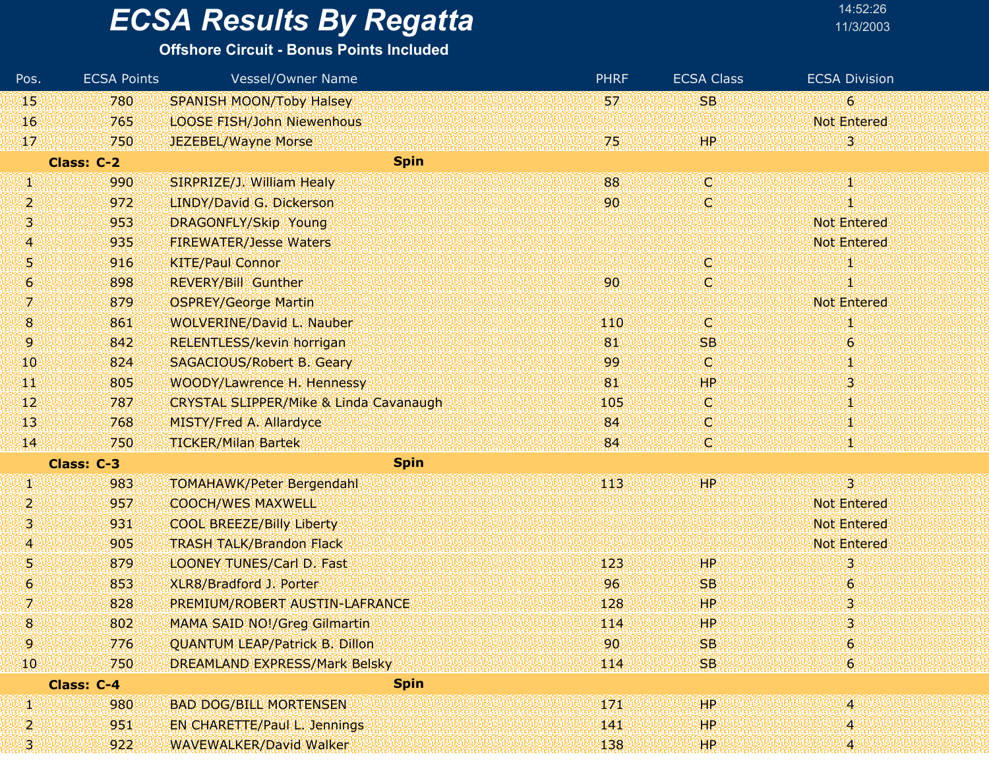#### **Offshore Circuit - Bonus Points Included**

| Pos.           | <b>ECSA Points</b> | <b>Vessel/Owner Name</b>                          | <b>PHRF</b> | <b>ECSA Class</b> | <b>ECSA Division</b>    |
|----------------|--------------------|---------------------------------------------------|-------------|-------------------|-------------------------|
| 15             | 780                | <b>SPANISH MOON/Toby Halsey</b>                   | 57          | <b>SB</b>         | $\epsilon$              |
| 16             | 765                | <b>LOOSE FISH/John Niewenhous</b>                 |             |                   | <b>Not Entered</b>      |
| 17             | 750                | JEZEBEL/Wayne Morse                               | 75          | HР                | 3.                      |
|                | <b>Class: C-2</b>  | <b>Spin</b>                                       |             |                   |                         |
| W              | 990                | SIRPRIZE/J. William Healy                         | 88          | O                 | 48                      |
| 2              | 972                | LINDY/David G. Dickerson                          | 90          | C                 |                         |
| 3              | 953                | <b>DRAGONFLY/Skip Young</b>                       |             |                   | <b>Not Entered</b>      |
| 4              | 935                | <b>FIREWATER/Jesse Waters</b>                     |             |                   | <b>Not Entered</b>      |
| 5              | 916                | <b>KITE/Paul Connor</b>                           |             | C)                |                         |
| 6              | 898                | <b>REVERY/Bill Gunther</b>                        | 90          | C,                |                         |
| 7              | 879                | <b>OSPREY/George Martin</b>                       |             |                   | <b>Not Entered</b>      |
| $\overline{8}$ | 861                | <b>WOLVERINE/David L. Nauber</b>                  | 110         | O                 |                         |
| 9.             | 842                | RELENTLESS/kevin horrigan                         | 81          | <b>SB</b>         | $\boldsymbol{6}$        |
| 10             | 824                | <b>SAGACIOUS/Robert B. Geary</b>                  | 99          | Ο                 | Ш                       |
| TТ             | 805                | WOODY/Lawrence H. Hennessy                        | 81          | <b>HP</b>         | 3                       |
| 12             | 787                | <b>CRYSTAL SLIPPER/Mike &amp; Linda Cavanaugh</b> | 105         | Q                 |                         |
| 13             | 768                | <b>MISTY/Fred A. Allardyce</b>                    | 84          | C,                | Ψ                       |
| 14             | 750                | <b>TICKER/Milan Bartek</b>                        | 84          | ¢                 |                         |
|                | Class: C-3         | <b>Spin</b>                                       |             |                   |                         |
| W              | 983                | <b>TOMAHAWK/Peter Bergendahl</b>                  | 113         | 99P.              | 3.                      |
| 2              | 957                | <b>COOCH/WES MAXWELL</b>                          |             |                   | <b>Not Entered</b>      |
| 3              | 931                | <b>COOL BREEZE/Billy Liberty</b>                  |             |                   | <b>Not Entered</b>      |
| 4              | 905                | <b>TRASH TALK/Brandon Flack</b>                   |             |                   | <b>Not Entered</b>      |
| Ņ              | 879                | <b>LOONEY TUNES/Carl D. Fast</b>                  | 123         | HP                | 3                       |
| 6              | 853                | XLR8/Bradford J. Porter                           | 96          | <b>SB</b>         | $\boldsymbol{6}$        |
| 7.             | 828                | PREMIUM/ROBERT AUSTIN-LAFRANCE                    | 128         | ЩP                | 3                       |
| 8              | 802                | <b>MAMA SAID NO!/Greg Gilmartin</b>               | 114         | HP                | 3                       |
| 9              | 776                | <b>QUANTUM LEAP/Patrick B. Dillon</b>             | 90          | <b>SB</b>         | $\boldsymbol{6}$        |
| 10             | 750                | <b>DREAMLAND EXPRESS/Mark Belsky</b>              | 114         | <b>SB</b>         | $6^{\circ}$             |
|                | <b>Class: C-4</b>  | <b>Spin</b>                                       |             |                   |                         |
| И              | 980                | <b>BAD DOG/BILL MORTENSEN</b>                     | 171         | HР                | $\overline{\mathbf{4}}$ |
| 2              | 951                | <b>EN CHARETTE/Paul L. Jennings</b>               | 141         | HP.               | 4                       |
| 3              | 922                | <b>WAVEWALKER/David Walker</b>                    | 138         | HP.               | 4.                      |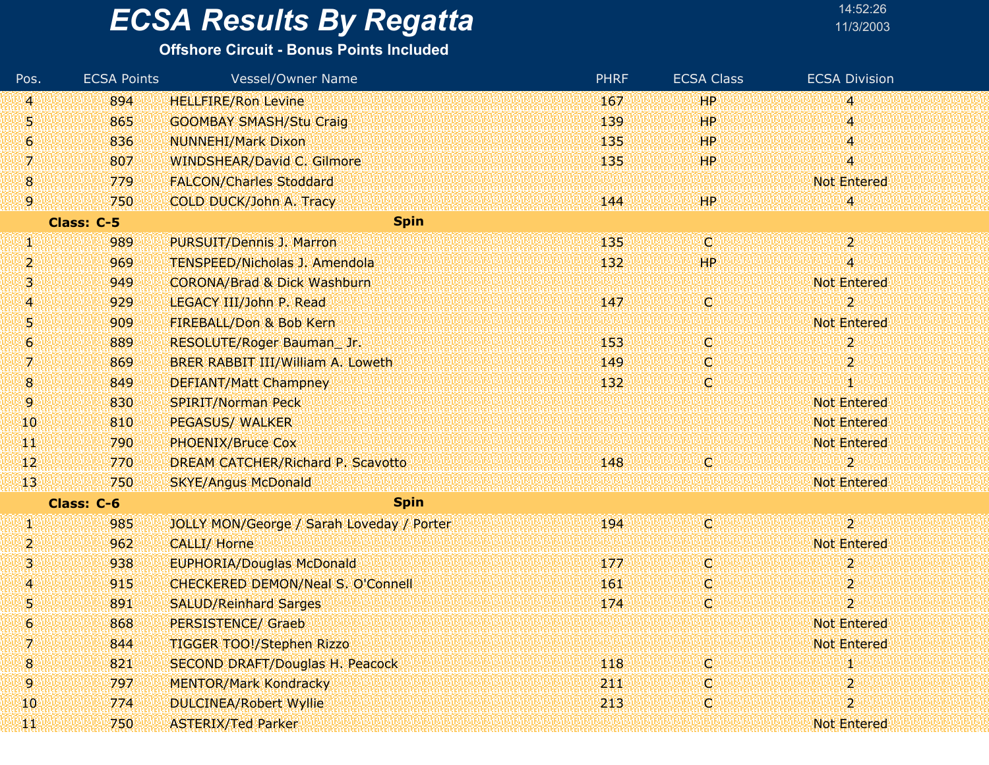#### **Offshore Circuit - Bonus Points Included**

| Pos.            | <b>ECSA Points</b> | <b>Vessel/Owner Name</b>                  | <b>PHRF</b> | <b>ECSA Class</b> | <b>ECSA Division</b>    |
|-----------------|--------------------|-------------------------------------------|-------------|-------------------|-------------------------|
| 41              | 894                | <b>HELLFIRE/Ron Levine</b>                | 167         | <b>HP</b>         | 4                       |
| 51              | 865                | <b>GOOMBAY SMASH/Stu Craig</b>            | 139         | <b>HP</b>         | 4                       |
| 6               | 836                | <b>NUNNEHI/Mark Dixon</b>                 | 135         | <b>HP</b>         | 4                       |
| 7.              | 807                | WINDSHEAR/David C. Gilmore                | 135         | <b>HP</b>         | $\overline{\mathbf{4}}$ |
| $\mathbf{8}$    | 779                | <b>FALCON/Charles Stoddard</b>            |             |                   | <b>Not Entered</b>      |
| 9               | 750                | COLD DUCK/John A. Tracy                   | 144         | <b>HP</b>         | 4                       |
|                 | Class: C-5         | <b>Spin</b>                               |             |                   |                         |
| W               | 989                | PURSUIT/Dennis J. Marron                  | 135         | C.                | $2^{\circ}$             |
| 2,              | 969                | <b>TENSPEED/Nicholas J. Amendola</b>      | 132         | <b>HP</b>         | $\overline{\mathbf{4}}$ |
| 3.              | 949                | <b>CORONA/Brad &amp; Dick Washburn</b>    |             |                   | <b>Not Entered</b>      |
| 4               | 929                | LEGACY III/John P. Read                   | 147         | C)                | $\overline{2}$          |
| 5               | 909                | FIREBALL/Don & Bob Kern                   |             |                   | <b>Not Entered</b>      |
| 6               | 889                | RESOLUTE/Roger Bauman_Jr.                 | 153         | O                 | $\overline{2}$          |
| 7.              | 869                | BRER RABBIT III/William A. Loweth         | 149         | O.                | $\overline{\mathbf{2}}$ |
| 8               | 849                | <b>DEFIANT/Matt Champney</b>              | 132         | C.                | T                       |
| 9.              | 830                | <b>SPIRIT/Norman Peck</b>                 |             |                   | <b>Not Entered</b>      |
| 10              | 810                | <b>PEGASUS/ WALKER</b>                    |             |                   | <b>Not Entered</b>      |
| W               | 790                | <b>PHOENIX/Bruce Cox</b>                  |             |                   | <b>Not Entered</b>      |
| 12              | 770                | DREAM CATCHER/Richard P. Scavotto         | 148         | C                 | 2                       |
| 13 <sup>°</sup> | 750                | <b>SKYE/Angus McDonald</b>                |             |                   | <b>Not Entered</b>      |
|                 | Class: C-6         | <b>Spin</b>                               |             |                   |                         |
| W               | 985                | JOLLY MON/George / Sarah Loveday / Porter | 194         | C.                | $\overline{2}$          |
| 2.              | 962                | <b>CALLI/ Horne</b>                       |             |                   | <b>Not Entered</b>      |
| 31              | 938                | <b>EUPHORIA/Douglas McDonald</b>          | 177         | C,                | $\boldsymbol{2}$        |
| 4               | 915                | <b>CHECKERED DEMON/Neal S. O'Connell</b>  | 161         | O.                | $\overline{2}$          |
| 5               | 891                | <b>SALUD/Reinhard Sarges</b>              | 174         | C                 | $\overline{2}$          |
| 6               | 868                | <b>PERSISTENCE/ Graeb</b>                 |             |                   | <b>Not Entered</b>      |
| 7.              | 844                | TIGGER TOO!/Stephen Rizzo                 |             |                   | <b>Not Entered</b>      |
| 8               | 821                | SECOND DRAFT/Douglas H. Peacock           | 118         | O                 |                         |
| 9.              | 797                | <b>MENTOR/Mark Kondracky</b>              | 211         | O                 | $\overline{2}$          |
| 10              | 774                | <b>DULCINEA/Robert Wyllie</b>             | 213         | O                 | $\overline{2}$          |
| H.              | 750                | <b>ASTERIX/Ted Parker</b>                 |             |                   | <b>Not Entered</b>      |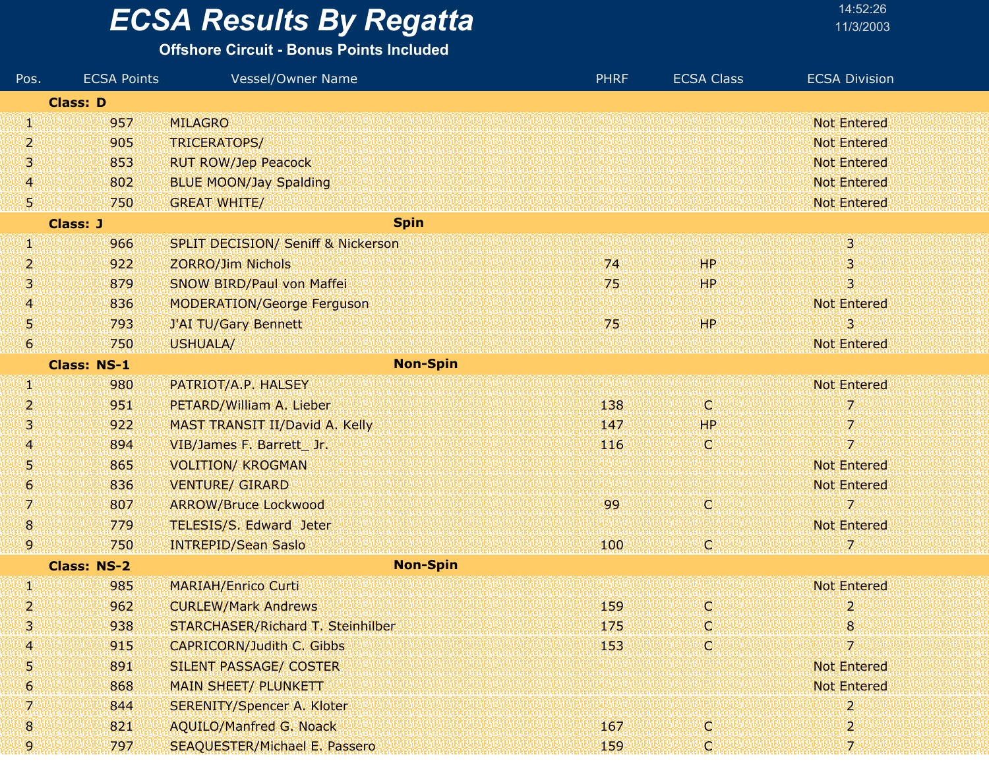# **ECSA Results By Regatta**

| 14:52:26  |  |
|-----------|--|
| 11/3/2003 |  |

| Pos.           | <b>ECSA Points</b> | Vessel/Owner Name                             | <b>PHRF</b> | <b>ECSA Class</b> | <b>ECSA Division</b>      |
|----------------|--------------------|-----------------------------------------------|-------------|-------------------|---------------------------|
|                | <b>Class: D</b>    |                                               |             |                   |                           |
| W              | 957                | <b>MILAGRO</b>                                |             |                   | <b>Not Entered</b>        |
| 2              | 905                | TRICERATOPS/                                  |             |                   | <b>Not Entered</b>        |
| ß.             | 853                | <b>RUT ROW/Jep Peacock</b>                    |             |                   | <b>Not Entered</b>        |
| 4              | 802                | <b>BLUE MOON/Jay Spalding</b>                 |             |                   | <b>Not Entered</b>        |
| 5.             | 750                | <b>GREAT WHITE/</b>                           |             |                   | <b>Not Entered</b>        |
|                | <b>Class: J</b>    | <b>Spin</b>                                   |             |                   |                           |
| W              | 966                | <b>SPLIT DECISION/ Seniff &amp; Nickerson</b> |             |                   | $\overline{3}$            |
| 2.             | 922                | <b>ZORRO/Jim Nichols</b>                      | 74          | <b>HP</b>         | $\mathbf{3}$              |
| 3.             | 879                | <b>SNOW BIRD/Paul von Maffei</b>              | 75          | <b>HP</b>         | $\overline{\mathbf{3}}$   |
| 4              | 836                | <b>MODERATION/George Ferguson</b>             |             |                   | <b>Not Entered</b>        |
| 5              | 793                | J'AI TU/Gary Bennett                          | 75          | HP                | 3                         |
| 6              | 750                | USHUALA/                                      |             |                   | <b>Not Entered</b>        |
|                | <b>Class: NS-1</b> | <b>Non-Spin</b>                               |             |                   |                           |
| W              | 980                | PATRIOT/A.P. HALSEY                           |             |                   | <b>Not Entered</b>        |
| 2              | 951                | PETARD/William A. Lieber                      | 138         | (C)               | 7                         |
| 3.             | 922                | MAST TRANSIT II/David A. Kelly                | 147         | HP                | 7                         |
| $\overline{A}$ | 894                | VIB/James F. Barrett Jr.                      | 116         | (C)               | 7                         |
| Ş.             | 865                | <b>VOLITION/ KROGMAN</b>                      |             |                   | <b>Not Entered</b>        |
| 6              | 836                | <b>VENTURE/ GIRARD</b>                        |             |                   | <b>Not Entered</b>        |
| 7.             | 807                | <b>ARROW/Bruce Lockwood</b>                   | 99          | O                 | 7                         |
| $\bf{8}$       | 779                | <b>TELESIS/S. Edward Jeter</b>                |             |                   | <b>Not Entered</b>        |
| 9              | 750                | <b>INTREPID/Sean Saslo</b>                    | 100         | O.                | 7.                        |
|                | <b>Class: NS-2</b> | <b>Non-Spin</b>                               |             |                   |                           |
| W              | 985                | <b>MARIAH/Enrico Curti</b>                    |             |                   | <b>Not Entered</b>        |
| 2              | 962                | <b>CURLEW/Mark Andrews</b>                    | 159         | (C)               | $\mathbf{2}^{\mathsf{r}}$ |
| 3              | 938                | STARCHASER/Richard T. Steinhilber             | 175         | C.                | 8                         |
| 4              | 915                | <b>CAPRICORN/Judith C. Gibbs</b>              | 153         | LC)               | 7                         |
| 5              | 891                | SILENT PASSAGE/ COSTER                        |             |                   | <b>Not Entered</b>        |
| 6              | 868                | <b>MAIN SHEET/ PLUNKETT</b>                   |             |                   | <b>Not Entered</b>        |
| 7              | 844                | <b>SERENITY/Spencer A. Kloter</b>             |             |                   | $\overline{2}$            |
| 8              | 821                | <b>AQUILO/Manfred G. Noack</b>                | 167         | O.                | 2                         |
| 9              | 797                | <b>SEAQUESTER/Michael E. Passero</b>          | 159         | IC)               | 7.                        |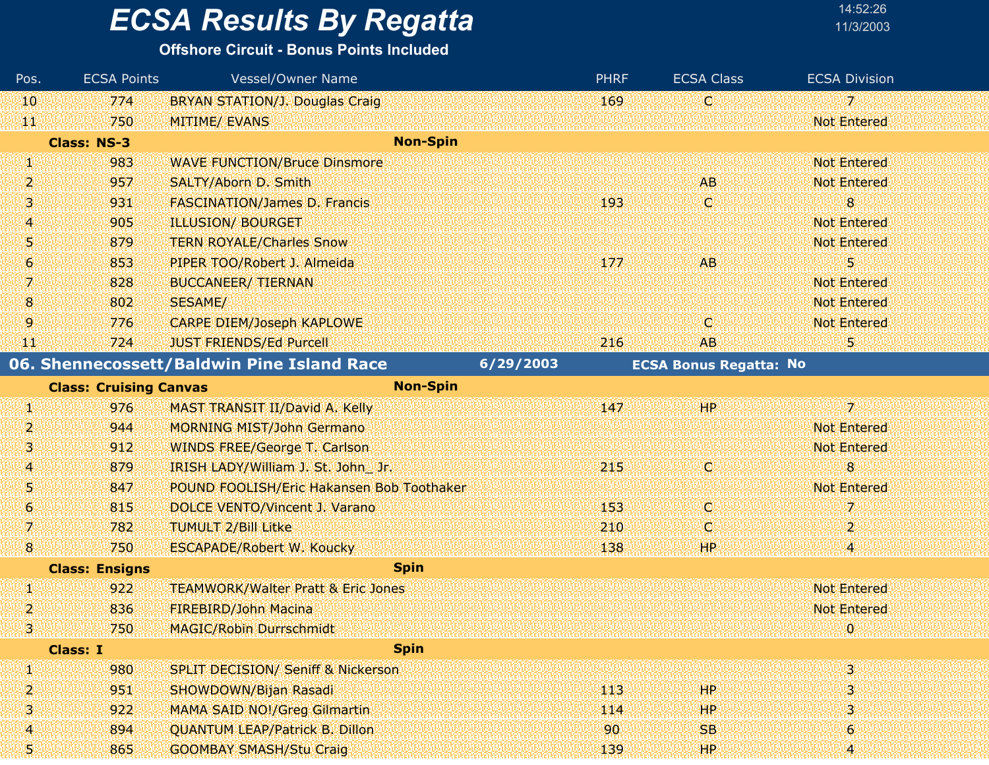| 14:52:26  |
|-----------|
| 11/3/2003 |
|           |

| Pos.             | <b>ECSA Points</b>            | Vessel/Owner Name                             | <b>PHRF</b> | <b>ECSA Class</b>             | <b>ECSA Division</b> |  |
|------------------|-------------------------------|-----------------------------------------------|-------------|-------------------------------|----------------------|--|
| 10               | 774                           | <b>BRYAN STATION/J. Douglas Craig.</b>        | 169         | C                             | $\overline{z}$       |  |
| WР               | 750                           | <b>MITIME/ EVANS</b>                          |             |                               | <b>Not Entered</b>   |  |
|                  | <b>Class: NS-3</b>            | <b>Non-Spin</b>                               |             |                               |                      |  |
| W                | 983                           | <b>WAVE FUNCTION/Bruce Dinsmore</b>           |             |                               | <b>Not Entered</b>   |  |
| 2                | 957                           | <b>SALTY/Aborn D. Smith</b>                   |             | AB.                           | <b>Not Entered</b>   |  |
| 3                | 931                           | <b>FASCINATION/James D. Francis</b>           | 193         | d                             | 8                    |  |
| 4                | 905                           | <b>ILLUSION/ BOURGET</b>                      |             |                               | <b>Not Entered</b>   |  |
| 5                | 879                           | <b>TERN ROYALE/Charles Snow</b>               |             |                               | <b>Not Entered</b>   |  |
| $\mathbf{6}$     | 853                           | PIPER TOO/Robert J. Almeida                   | 177         | AB                            | 5                    |  |
| 7.               | 828                           | <b>BUCCANEER/ TIERNAN</b>                     |             |                               | <b>Not Entered</b>   |  |
| $8\phantom{1}$   | 802                           | <b>SESAME/</b>                                |             |                               | <b>Not Entered</b>   |  |
| 9                | 776                           | <b>CARPE DIEM/Joseph KAPLOWE</b>              |             | C.                            | <b>Not Entered</b>   |  |
| ТW               | 724                           | <b>JUST FRIENDS/Ed Purcell</b>                | 216         | <b>AB</b>                     | 5                    |  |
|                  |                               | 06. Shennecossett/Baldwin Pine Island Race    | 6/29/2003   | <b>ECSA Bonus Regatta: No</b> |                      |  |
|                  | <b>Class: Cruising Canvas</b> | <b>Non-Spin</b>                               |             |                               |                      |  |
| W                | 976                           | MAST TRANSIT II/David A. Kelly                | 147         | HP                            | 7.                   |  |
| $\overline{2}$   | 944                           | <b>MORNING MIST/John Germano</b>              |             |                               | <b>Not Entered</b>   |  |
| з                | 912                           | <b>WINDS FREE/George T. Carlson</b>           |             |                               | <b>Not Entered</b>   |  |
| 4                | 879                           | IRISH LADY/William J. St. John Jr.            | 215         | C.                            | 8                    |  |
| 5                | 847                           | POUND FOOLISH/Eric Hakansen Bob Toothaker     |             |                               | <b>Not Entered</b>   |  |
| 6                | 815                           | DOLCE VENTO/Vincent J. Varano                 | 153         | O.                            | 7                    |  |
| V.               | 782                           | <b>TUMULT 2/Bill Litke</b>                    | 210         | Ç                             | $\overline{2}$       |  |
| 8                | 750                           | <b>ESCAPADE/Robert W. Koucky</b>              | 138         | <b>HP</b>                     | 4                    |  |
|                  | <b>Class: Ensigns</b>         | <b>Spin</b>                                   |             |                               |                      |  |
| U)               | 922                           | <b>TEAMWORK/Walter Pratt &amp; Eric Jones</b> |             |                               | <b>Not Entered</b>   |  |
| 2                | 836                           | <b>FIREBIRD/John Macina</b>                   |             |                               | <b>Not Entered</b>   |  |
| nienen<br>Henere | 750                           | <b>MAGIC/Robin Durrschmidt</b>                |             |                               | ימי                  |  |
|                  | <b>Class: I</b>               | <b>Spin</b>                                   |             |                               |                      |  |
| V)               | 980                           | <b>SPLIT DECISION/ Seniff &amp; Nickerson</b> |             |                               | 3.                   |  |
| 2                | 951                           | SHOWDOWN/Bijan Rasadi                         | 113         | HP                            | 3                    |  |
| 3                | 922                           | <b>MAMA SAID NO!/Greg Gilmartin</b>           | 114         | HР                            | 3                    |  |
| 4                | 894                           | <b>QUANTUM LEAP/Patrick B. Dillon</b>         | 90          | <b>SB</b>                     | 6                    |  |
| 51               | 865                           | <b>GOOMBAY SMASH/Stu Craig</b>                | 139         | HP.                           | 4                    |  |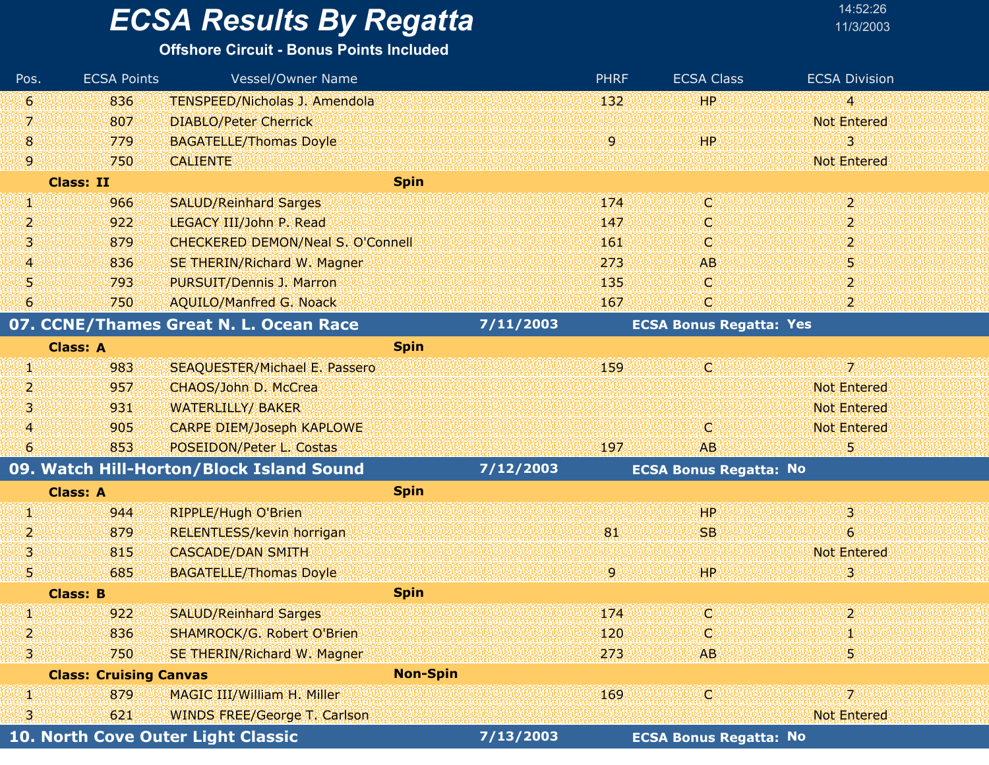#### **Offshore Circuit - Bonus Points Included**

| Pos.           | <b>ECSA Points</b>            | Vessel/Owner Name                        |                 |           | <b>PHRF</b> | <b>ECSA Class</b>              | <b>ECSA Division</b>     |
|----------------|-------------------------------|------------------------------------------|-----------------|-----------|-------------|--------------------------------|--------------------------|
| $\bullet$      | 836                           | TENSPEED/Nicholas J. Amendola            |                 |           | 132         | HP.                            | W                        |
| 7.             | 807                           | <b>DIABLO/Peter Cherrick</b>             |                 |           |             |                                | <b>Not Entered</b>       |
| 8              | 779                           | <b>BAGATELLE/Thomas Doyle</b>            |                 |           | 9.          | 44P                            | 3                        |
| 9              | 750                           | <b>CALIENTE</b>                          |                 |           |             |                                | <b>Not Entered</b>       |
|                | <b>Class: II</b>              |                                          | <b>Spin</b>     |           |             |                                |                          |
| W              | 966                           | <b>SALUD/Reinhard Sarges</b>             |                 |           | 174         | IC)                            | $\overline{2}$           |
| 2              | 922                           | LEGACY III/John P. Read                  |                 |           | 147         | о                              | $\mathbf{2}$             |
| 3              | 879                           | <b>CHECKERED DEMON/Neal S. O'Connell</b> |                 |           | 161         | O                              | 2                        |
| 4              | 836                           | SE THERIN/Richard W. Magner              |                 |           | 273         | <b>AB</b>                      | 5                        |
| 5              | 793                           | PURSUIT/Dennis J. Marron                 |                 |           | 135         | O.                             | 2                        |
| 6              | 750                           | <b>AQUILO/Manfred G. Noack</b>           |                 |           | 167         | O                              | 2                        |
|                |                               | 07. CCNE/Thames Great N. L. Ocean Race   |                 | 7/11/2003 |             | <b>ECSA Bonus Regatta: Yes</b> |                          |
|                | <b>Class: A</b>               |                                          | <b>Spin</b>     |           |             |                                |                          |
| W              | 983                           | <b>SEAQUESTER/Michael E. Passero</b>     |                 |           | 159         | IC.                            | $\overline{\mathcal{L}}$ |
| 2              | 957                           | CHAOS/John D. McCrea                     |                 |           |             |                                | <b>Not Entered</b>       |
| 3              | 931                           | <b>WATERLILLY/ BAKER</b>                 |                 |           |             |                                | <b>Not Entered</b>       |
| $\overline{A}$ | 905                           | <b>CARPE DIEM/Joseph KAPLOWE</b>         |                 |           |             | O                              | <b>Not Entered</b>       |
| 6              | 853                           | POSEIDON/Peter L. Costas                 |                 |           | 197         | <b>AB</b>                      | 5                        |
|                |                               | 09. Watch Hill-Horton/Block Island Sound |                 | 7/12/2003 |             | <b>ECSA Bonus Regatta: No</b>  |                          |
|                | <b>Class: A</b>               |                                          | <b>Spin</b>     |           |             |                                |                          |
| W.             | 944                           | <b>RIPPLE/Hugh O'Brien</b>               |                 |           |             | 44P                            | 3.                       |
| $\overline{2}$ | 879                           | <b>RELENTLESS/kevin horrigan</b>         |                 |           | 81          | <b>SB</b>                      | $\epsilon$               |
| 3              | 815                           | <b>CASCADE/DAN SMITH</b>                 |                 |           |             |                                | <b>Not Entered</b>       |
| 5              | 685                           | <b>BAGATELLE/Thomas Doyle</b>            |                 |           | 9.          | HР                             | 3                        |
|                | <b>Class: B</b>               |                                          | <b>Spin</b>     |           |             |                                |                          |
| W              | 922                           | <b>SALUD/Reinhard Sarges</b>             |                 |           | 174         | C.                             | $\overline{2}$           |
| 2              | 836                           | SHAMROCK/G. Robert O'Brien               |                 |           | 120         | Ю                              |                          |
| 31             | 750                           | SE THERIN/Richard W. Magner              |                 |           | 273         | <b>AB</b>                      | 5,                       |
|                | <b>Class: Cruising Canvas</b> |                                          | <b>Non-Spin</b> |           |             |                                |                          |
| W              | 879                           | MAGIC III/William H. Miller              |                 |           | 169         | Чçі                            | 72                       |
| 3              | 621                           | <b>WINDS FREE/George T. Carlson</b>      |                 |           |             |                                | <b>Not Entered</b>       |
|                |                               | 10. North Cove Outer Light Classic       |                 | 7/13/2003 |             | <b>ECSA Bonus Regatta: No</b>  |                          |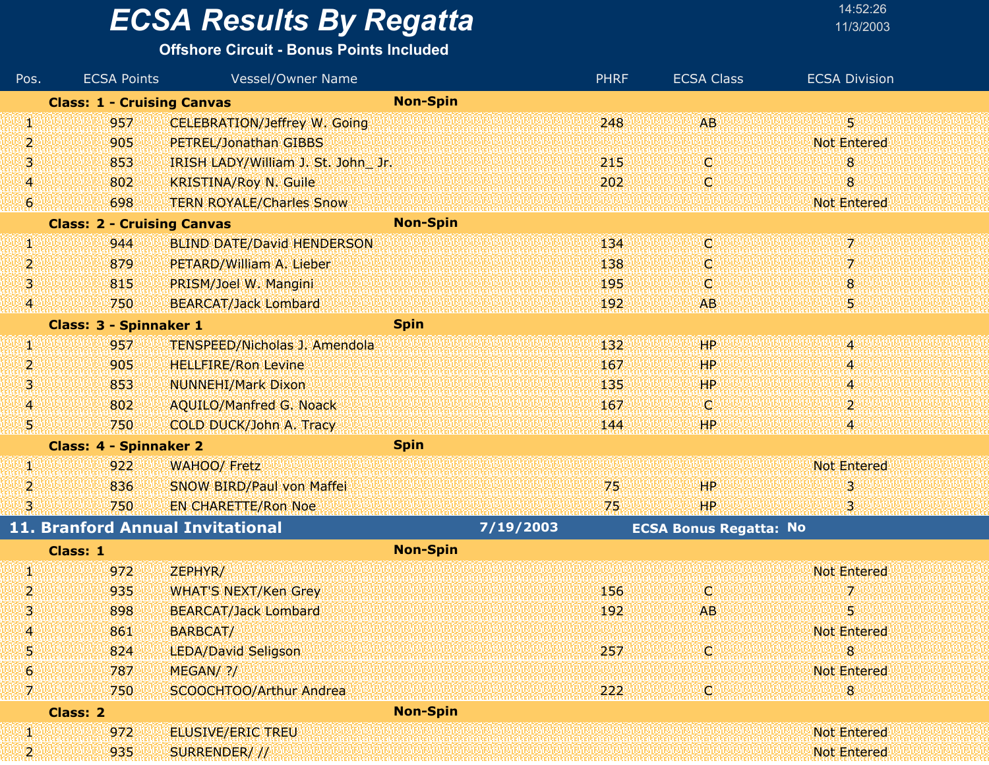#### **Offshore Circuit - Bonus Points Included**

| Pos.            | <b>ECSA Points</b>                | Vessel/Owner Name                    |                 | <b>PHRF</b> | <b>ECSA Class</b>             | <b>ECSA Division</b> |
|-----------------|-----------------------------------|--------------------------------------|-----------------|-------------|-------------------------------|----------------------|
|                 | <b>Class: 1 - Cruising Canvas</b> |                                      | <b>Non-Spin</b> |             |                               |                      |
| W               | 957                               | <b>CELEBRATION/Jeffrey W. Going</b>  |                 | 248         | <b>AB</b>                     | 52                   |
| 2               | 905                               | PETREL/Jonathan GIBBS                |                 |             |                               | <b>Not Entered</b>   |
| IS.             | 853                               | IRISH LADY/William J. St. John Jr.   |                 | 215         | O.                            | 8                    |
| $\overline{A}$  | 802                               | <b>KRISTINA/Roy N. Guile</b>         |                 | 202         | Ю                             | 8                    |
| $\vert 6 \vert$ | 698                               | <b>TERN ROYALE/Charles Snow</b>      |                 |             |                               | <b>Not Entered</b>   |
|                 | <b>Class: 2 - Cruising Canvas</b> |                                      | <b>Non-Spin</b> |             |                               |                      |
| W               | 944                               | <b>BLIND DATE/David HENDERSON</b>    |                 | 134         | IC.                           | 7                    |
| 2               | 879                               | PETARD/William A. Lieber             |                 | 138         | Q                             | 7                    |
| 3               | 815                               | PRISM/Joel W. Mangini                |                 | 195         | O.                            | 8                    |
| 41              | 750                               | <b>BEARCAT/Jack Lombard</b>          |                 | 192         | <b>AB</b>                     | 5.                   |
|                 | <b>Class: 3 - Spinnaker 1</b>     |                                      | <b>Spin</b>     |             |                               |                      |
| UI.             | 957                               | <b>TENSPEED/Nicholas J. Amendola</b> |                 | 132         | HP                            | 48                   |
| 2               | 905                               | <b>HELLFIRE/Ron Levine</b>           |                 | 167         | HP                            | 4.                   |
| 3               | 853                               | <b>NUNNEHI/Mark Dixon</b>            |                 | 135         | HP.                           | 4                    |
| $\vert 4 \vert$ | 802                               | <b>AQUILO/Manfred G. Noack</b>       |                 | 167         | IC.                           | 2                    |
| U)              | 750                               | COLD DUCK/John A. Tracy              |                 | 144         | HP.                           | 4                    |
|                 | <b>Class: 4 - Spinnaker 2</b>     |                                      | <b>Spin</b>     |             |                               |                      |
| W               | 922                               | <b>WAHOO/ Fretz</b>                  |                 |             |                               | <b>Not Entered</b>   |
| 2               | 836                               | <b>SNOW BIRD/Paul von Maffei</b>     |                 | 75          | HР                            | 3.                   |
| 31              | 750                               | <b>EN CHARETTE/Ron Noe</b>           |                 | 75          | 'HP                           | 3                    |
|                 |                                   | 11. Branford Annual Invitational     | 7/19/2003       |             | <b>ECSA Bonus Regatta: No</b> |                      |
|                 | Class: 1                          |                                      | <b>Non-Spin</b> |             |                               |                      |
| W               | 972                               | ZEPHYR/                              |                 |             |                               | <b>Not Entered</b>   |
| 2               | 935                               | <b>WHAT'S NEXT/Ken Grey</b>          |                 | 156         | <b>O</b>                      | 7                    |
| 3               | 898                               | <b>BEARCAT/Jack Lombard</b>          |                 | 192         | AB.                           | 5                    |
| 4               | 861                               | <b>BARBCAT/WW</b>                    |                 |             |                               | <b>Not Entered</b>   |
| 5               | 824                               | <b>LEDA/David Seligson</b>           |                 | 257         | C,                            | 8                    |
| 6               | 787                               | MEGAN/ ?/                            |                 |             |                               | <b>Not Entered</b>   |
| 71              | 750                               | SCOOCHTOO/Arthur Andrea              |                 | 222         | O                             | $8\phantom{1}$       |
|                 | <b>Class: 2</b>                   |                                      | <b>Non-Spin</b> |             |                               |                      |
| W               | 972                               | <b>ELUSIVE/ERIC TREU</b>             |                 |             |                               | <b>Not Entered</b>   |
| 28              | 935                               | SURRENDER///                         |                 |             |                               | <b>Not Entered</b>   |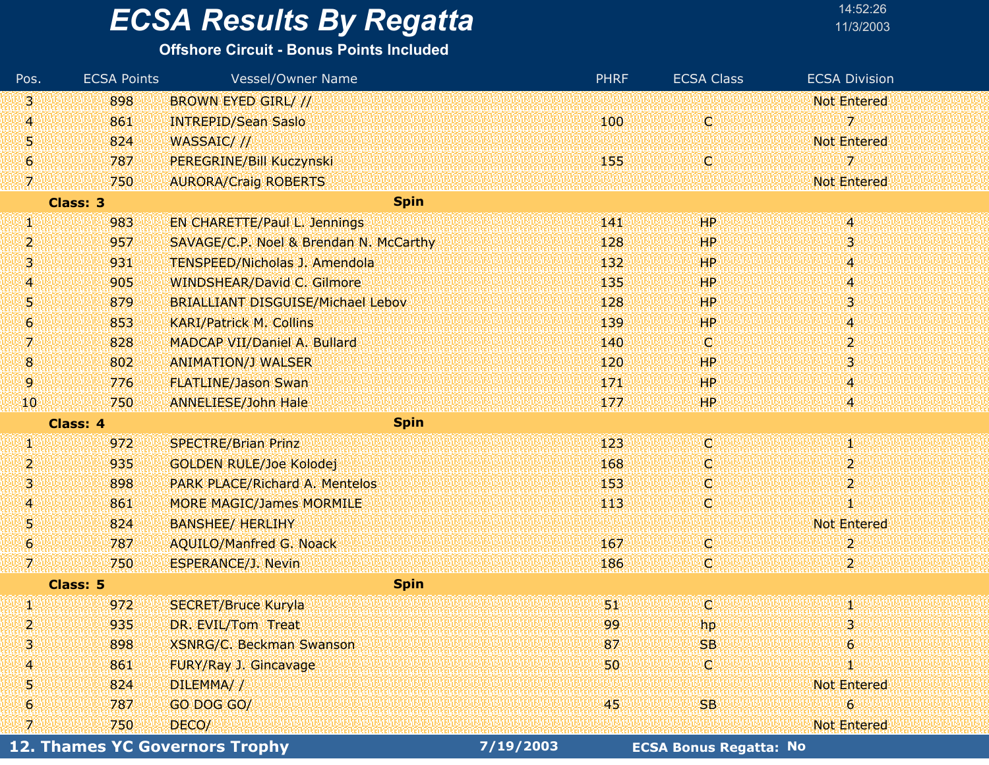#### **Offshore Circuit - Bonus Points Included**

| Pos.           | <b>ECSA Points</b> | Vessel/Owner Name                        | <b>PHRF</b>   | <b>ECSA Class</b> | <b>ECSA Division</b>          |
|----------------|--------------------|------------------------------------------|---------------|-------------------|-------------------------------|
| ВU             | 898                | <b>BROWN EYED GIRL///</b>                |               |                   | <b>Not Entered</b>            |
| $\overline{4}$ | 861                | <b>INTREPID/Sean Saslo</b>               | 100           | C)                | 7                             |
| 51             | 824                | WASSAIC///                               |               |                   | <b>Not Entered</b>            |
| 6              | 787                | PEREGRINE/Bill Kuczynski                 | 155           | C.                | 7                             |
| W              | 750                | <b>AURORA/Craig ROBERTS</b>              |               |                   | <b>Not Entered</b>            |
|                | <b>Class: 3</b>    | <b>Spin</b>                              |               |                   |                               |
| W              | 983                | <b>EN CHARETTE/Paul L. Jennings</b>      | 141           | 99P.              | 4                             |
| 2              | 957                | SAVAGE/C.P. Noel & Brendan N. McCarthy   | 128           | <b>HP</b>         | з.                            |
| 3,             | 931                | <b>TENSPEED/Nicholas J. Amendola</b>     | 132           | HР                | 4                             |
| 4              | 905                | <b>WINDSHEAR/David C. Gilmore</b>        | 135           | <b>HP</b>         | $\boldsymbol{A}$              |
| 51             | 879                | <b>BRIALLIANT DISGUISE/Michael Lebov</b> | 128           | HP.               | 3                             |
| 6,             | 853                | <b>KARI/Patrick M. Collins</b>           | 139           | HР                | $\boldsymbol{4}$              |
| ÿ,             | 828                | MADCAP VII/Daniel A. Bullard             | 140           | O.                | 2                             |
| $\mathbf{g}$   | 802                | <b>ANIMATION/J WALSER</b>                | 120           | <b>HP</b>         | 3                             |
| 9.             | 776                | <b>FLATLINE/Jason Swan</b>               | 171           | HP                | Ą                             |
| 10             | 750                | <b>ANNELIESE/John Hale</b>               | 177           | HP.               | 4                             |
|                | Class: 4           | <b>Spin</b>                              |               |                   |                               |
| W              | 972                | <b>SPECTRE/Brian Prinz</b>               | 123           | d                 | Y)                            |
| 2              | 935                | <b>GOLDEN RULE/Joe Kolodej</b>           | 168           | O                 | 2                             |
| 131            | 898                | <b>PARK PLACE/Richard A. Mentelos</b>    | 153           | o                 | 2                             |
| $\overline{4}$ | 861                | <b>MORE MAGIC/James MORMILE</b>          | $ 113\rangle$ | C)                | 4                             |
| 51             | 824                | <b>BANSHEE/ HERLIHY</b>                  |               |                   | <b>Not Entered</b>            |
| 6              | 787                | <b>AQUILO/Manfred G. Noack</b>           | 167           | C.                | 2                             |
| V,             | 750                | <b>ESPERANCE/J. Nevin</b>                | 186           | Q                 | $\overline{\mathbf{2}}$       |
|                | Class: 5           | <b>Spin</b>                              |               |                   |                               |
| W              | 972                | <b>SECRET/Bruce Kuryla</b>               | 31            | C.                | Φ                             |
| 2,             | 935                | DR. EVIL/Tom Treat                       | 99            | hp.               | 3                             |
| 3              | 898                | <b>XSNRG/C. Beckman Swanson</b>          | 87            | <b>SB</b>         | 6                             |
| A              | 861                | FURY/Ray J. Gincavage                    | 50            | O                 | Y.                            |
| 5              | 824                | DILEMMA//                                |               |                   | <b>Not Entered</b>            |
| 6              | 787                | GO DOG GO/                               | 45            | <b>SB</b>         | $\epsilon$                    |
| 7.             | 750                | DECO/                                    |               |                   | <b>Not Entered</b>            |
|                |                    | <b>12. Thames YC Governors Trophy</b>    | 7/19/2003     |                   | <b>ECSA Bonus Regatta: No</b> |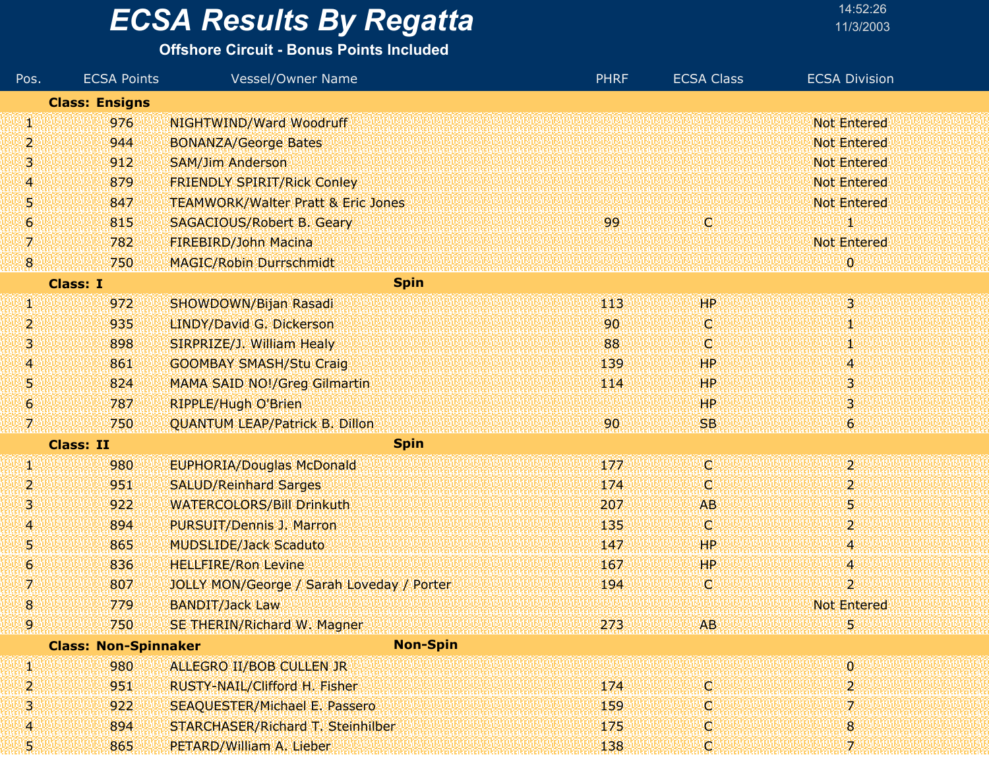#### **Offshore Circuit - Bonus Points Included**

| Pos.             | <b>ECSA Points</b>          | Vessel/Owner Name                             | <b>PHRF</b>     | <b>ECSA Class</b> | <b>ECSA Division</b>      |
|------------------|-----------------------------|-----------------------------------------------|-----------------|-------------------|---------------------------|
|                  | <b>Class: Ensigns</b>       |                                               |                 |                   |                           |
| W                | 976                         | NIGHTWIND/Ward Woodruff                       |                 |                   | <b>Not Entered</b>        |
| 2                | 944                         | <b>BONANZA/George Bates</b>                   |                 |                   | <b>Not Entered</b>        |
| 3                | 912                         | <b>SAM/Jim Anderson</b>                       |                 |                   | <b>Not Entered</b>        |
| 4                | 879                         | <b>FRIENDLY SPIRIT/Rick Conley</b>            |                 |                   | <b>Not Entered</b>        |
| 5                | 847                         | <b>TEAMWORK/Walter Pratt &amp; Eric Jones</b> |                 |                   | <b>Not Entered</b>        |
| 6                | 815                         | <b>SAGACIOUS/Robert B. Geary</b>              | 99              | <b>ICI</b>        | 1                         |
| 7                | 782                         | FIREBIRD/John Macina                          |                 |                   | <b>Not Entered</b>        |
| $\boldsymbol{8}$ | 750                         | <b>MAGIC/Robin Durrschmidt</b>                |                 |                   | $\boldsymbol{0}$          |
|                  | <b>Class: I</b>             | <b>Spin</b>                                   |                 |                   |                           |
| W                | 972                         | SHOWDOWN/Bijan Rasadi                         | 413             | ŦР                | $\overline{3}$            |
| 2                | 935                         | LINDY/David G. Dickerson                      | 90              | C.                | Ю                         |
| 3                | 898                         | SIRPRIZE/J. William Healy                     | 88              | O                 | H)                        |
| 4                | 861                         | <b>GOOMBAY SMASH/Stu Craig</b>                | 139             | HP                | 4                         |
| 5                | 824                         | <b>MAMA SAID NO!/Greg Gilmartin</b>           | 114             | HP                | 3                         |
| 6                | 787                         | <b>RIPPLE/Hugh O'Brien</b>                    |                 | HP.               | з                         |
| 7.               | 750                         | <b>QUANTUM LEAP/Patrick B. Dillon</b>         | 90 <sub>1</sub> | SB.               | $6\overline{6}$           |
|                  | <b>Class: II</b>            | <b>Spin</b>                                   |                 |                   |                           |
| U)               | 980                         | <b>EUPHORIA/Douglas McDonald</b>              | 177             | IC.               | $\mathbf{2}^{\mathbb{Z}}$ |
| 2                | 951                         | <b>SALUD/Reinhard Sarges</b>                  | 174             | o                 | $\overline{2}$            |
| 3                | 922                         | <b>WATERCOLORS/Bill Drinkuth</b>              | 207             | <b>AB</b>         | 5                         |
| 4                | 894                         | <b>PURSUIT/Dennis J. Marron</b>               | 135             | C.                | $\overline{\mathbf{2}}$   |
| 5                | 865                         | <b>MUDSLIDE/Jack Scaduto</b>                  | 147             | <b>HP</b>         | 4                         |
| 6                | 836                         | <b>HELLFIRE/Ron Levine</b>                    | 167             | HP                | 4                         |
| 7.               | 807                         | JOLLY MON/George / Sarah Loveday / Porter     | 194             | O.                | $\overline{2}$            |
| 8                | 779                         | <b>BANDIT/Jack Law</b>                        |                 |                   | <b>Not Entered</b>        |
| g                | 750                         | SE THERIN/Richard W. Magner                   | 273             | <b>AB</b>         | 5                         |
|                  | <b>Class: Non-Spinnaker</b> | <b>Non-Spin</b>                               |                 |                   |                           |
| Ŋ.               | 980                         | ALLEGRO II/BOB CULLEN JR                      |                 |                   | $\mathbf 0$               |
| 2.               | 951                         | RUSTY-NAIL/Clifford H. Fisher                 | 174             | IC.               | 2                         |
| з                | 922                         | <b>SEAQUESTER/Michael E. Passero</b>          | 159             | C                 | 7.                        |
| 4                | 894                         | STARCHASER/Richard T. Steinhilber             | 175             | o                 | 8                         |
| 5!               | 865                         | PETARD/William A. Lieber                      | 138             | C)                | $\mathcal{I}$             |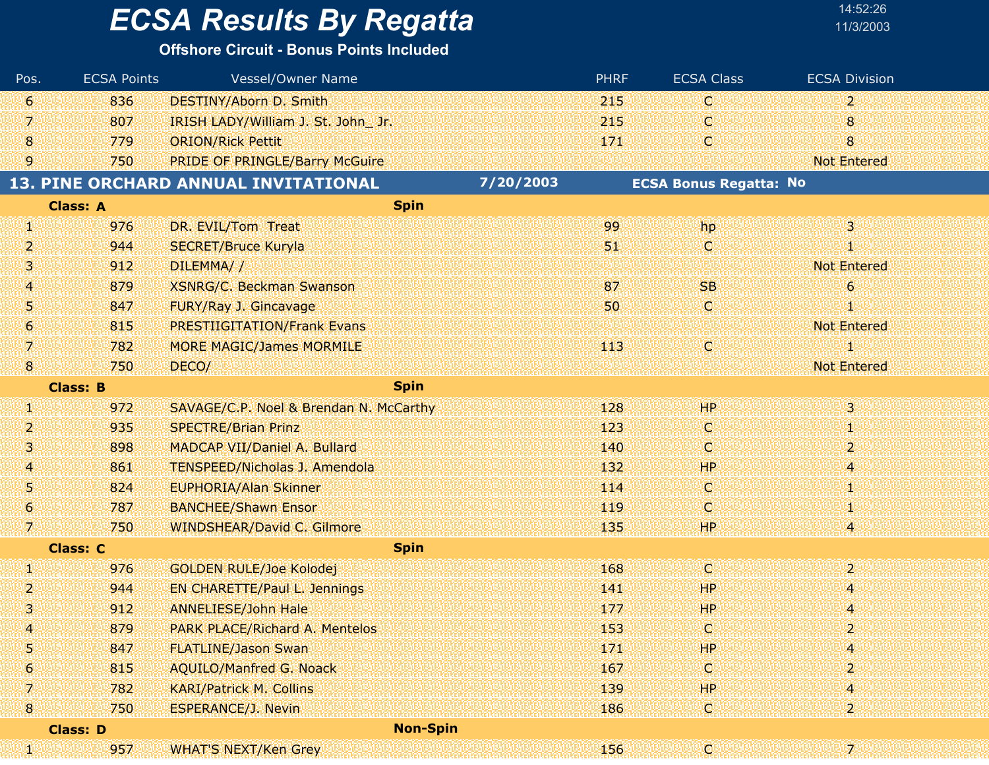# **ECSA Results By Regatta**

|  | 14:52:26  |
|--|-----------|
|  | 11/3/200: |

| Pos.             | <b>ECSA Points</b> | Vessel/Owner Name                      |           | <b>PHRF</b> | <b>ECSA Class</b>             | <b>ECSA Division</b> |
|------------------|--------------------|----------------------------------------|-----------|-------------|-------------------------------|----------------------|
| $\vert 6 \vert$  | 836                | <b>DESTINY/Aborn D. Smith</b>          |           | 215         | O                             | $\overline{2}$       |
| 71               | 807                | IRISH LADY/William J. St. John Jr.     |           | 215         | Ю                             | 8                    |
| $\bf{8}$         | 779                | <b>ORION/Rick Pettit</b>               |           | 171         | IC.                           | 8                    |
| 9.               | 750                | <b>PRIDE OF PRINGLE/Barry McGuire</b>  |           |             |                               | <b>Not Entered</b>   |
|                  |                    | 13. PINE ORCHARD ANNUAL INVITATIONAL   | 7/20/2003 |             | <b>ECSA Bonus Regatta: No</b> |                      |
|                  | <b>Class: A</b>    | <b>Spin</b>                            |           |             |                               |                      |
| W                | 976                | DR. EVIL/Tom Treat                     |           | 99          | hp                            | $\overline{3}$       |
| 2                | 944                | <b>SECRET/Bruce Kuryla</b>             |           | 51.         | O                             |                      |
| 31               | 912                | DILEMMA//                              |           |             |                               | <b>Not Entered</b>   |
| 4                | 879                | <b>XSNRG/C. Beckman Swanson</b>        |           | 87          | <b>SB</b>                     | $\ddot{\mathbf{6}}$  |
| 51               | 847                | FURY/Ray J. Gincavage                  |           | 50          | O                             |                      |
| $\vert 6 \vert$  | 815                | <b>PRESTIIGITATION/Frank Evans</b>     |           |             |                               | <b>Not Entered</b>   |
| 71               | 782                | <b>MORE MAGIC/James MORMILE</b>        |           | 113         | IC)                           |                      |
| $\mathbf{8}$     | 750                | DECO/                                  |           |             |                               | <b>Not Entered</b>   |
|                  | <b>Class: B</b>    | <b>Spin</b>                            |           |             |                               |                      |
| W                | 972                | SAVAGE/C.P. Noel & Brendan N. McCarthy |           | 128         | HР                            | $\overline{3}$       |
| 2                | 935                | <b>SPECTRE/Brian Prinz</b>             |           | 123         | IC.                           | 4                    |
| 31               | 898                | MADCAP VII/Daniel A. Bullard           |           | 140         | O                             | $\overline{2}$       |
| 41               | 861                | <b>TENSPEED/Nicholas J. Amendola</b>   |           | 132         | <b>HP</b>                     | 4                    |
| 5,               | 824                | <b>EUPHORIA/Alan Skinner</b>           |           | 114         | IC.                           | ц                    |
| $\boldsymbol{6}$ | 787                | <b>BANCHEE/Shawn Ensor</b>             |           | 119         | О                             | 1                    |
| 79               | 750                | <b>WINDSHEAR/David C. Gilmore</b>      |           | 135         | HP                            |                      |
|                  | <b>Class: C</b>    | <b>Spin</b>                            |           |             |                               |                      |
| W                | 976                | <b>GOLDEN RULE/Joe Kolodej</b>         |           | 168         | C                             | $\overline{2}$       |
| 121              | 944                | <b>EN CHARETTE/Paul L. Jennings</b>    |           | 141         | <b>HP</b>                     | 4                    |
| 31               | 912                | <b>ANNELIESE/John Hale</b>             |           | 177         | HP                            | 4                    |
|                  | 879                | <b>PARK PLACE/Richard A. Mentelos</b>  |           | 153         | LC!                           | 2                    |
| 5                | 847                | <b>FLATLINE/Jason Swan</b>             |           | 171         | HP.                           | 4                    |
| 6.               | 815                | <b>AQUILO/Manfred G. Noack</b>         |           | 167         | O                             |                      |
| 7                | 782                | <b>KARI/Patrick M. Collins</b>         |           | 139         | HP.                           | 4                    |
| 8                | 750                | <b>ESPERANCE/J. Nevin</b>              |           | 186         | LC!                           | $\mathbf{2}$         |
|                  | <b>Class: D</b>    | <b>Non-Spin</b>                        |           |             |                               |                      |
| ianan<br>Akar    | 957                | <b>WHAT'S NEXT/Ken Grey</b>            |           | 156         | ¢                             |                      |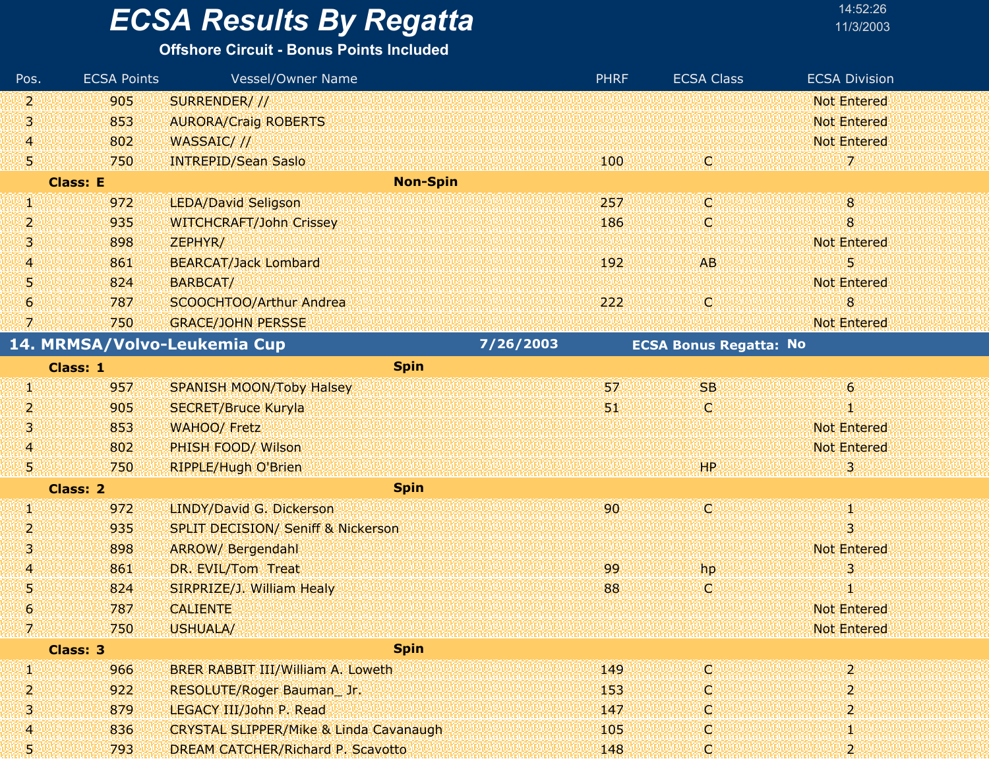#### **Offshore Circuit - Bonus Points Included**

| Pos.                     | <b>ECSA Points</b> | Vessel/Owner Name                                 |           | <b>PHRF</b> | <b>ECSA Class</b>             | <b>ECSA Division</b> |
|--------------------------|--------------------|---------------------------------------------------|-----------|-------------|-------------------------------|----------------------|
| 2,                       | 905                | SURRENDER///                                      |           |             |                               | <b>Not Entered</b>   |
| Ŋ                        | 853                | <b>AURORA/Craig ROBERTS</b>                       |           |             |                               | <b>Not Entered</b>   |
| 4                        | 802                | WASSAIC///                                        |           |             |                               | <b>Not Entered</b>   |
| 5                        | 750                | <b>INTREPID/Sean Saslo</b>                        |           | 100         | W                             | 7                    |
|                          | <b>Class: E</b>    | <b>Non-Spin</b>                                   |           |             |                               |                      |
| g,                       | 972                | <b>LEDA/David Seligson</b>                        |           | 257         | C,                            | $\bf{8}$             |
| 2                        | 935                | <b>WITCHCRAFT/John Crissey</b>                    |           | 186         | C.                            | 8                    |
| 3.                       | 898                | ZEPHYR/                                           |           |             |                               | <b>Not Entered</b>   |
| 4.                       | 861                | <b>BEARCAT/Jack Lombard</b>                       |           | 192         | <b>AB</b>                     | 5                    |
| Ŋ                        | 824                | BARBCAT/                                          |           |             |                               | <b>Not Entered</b>   |
| 6                        | 787                | SCOOCHTOO/Arthur Andrea                           |           | 222         | C.                            | 8                    |
| 7.                       | 750                | <b>GRACE/JOHN PERSSE</b>                          |           |             |                               | <b>Not Entered</b>   |
|                          |                    | 14. MRMSA/Volvo-Leukemia Cup                      | 7/26/2003 |             | <b>ECSA Bonus Regatta: No</b> |                      |
|                          | Class: 1           | <b>Spin</b>                                       |           |             |                               |                      |
| W                        | 957                | <b>SPANISH MOON/Toby Halsey</b>                   |           | 57          | <b>SB</b>                     | $\ddot{\mathbf{6}}$  |
| 2                        | 905                | <b>SECRET/Bruce Kuryla</b>                        |           | 51          | O.                            | T                    |
| 3.                       | 853                | <b>WAHOO/ Fretz</b>                               |           |             |                               | <b>Not Entered</b>   |
| 4                        | 802                | PHISH FOOD/ Wilson                                |           |             |                               | Not Entered          |
| 51                       | 750                | RIPPLE/Hugh O'Brien                               |           |             | HP                            | з                    |
|                          | <b>Class: 2</b>    | <b>Spin</b>                                       |           |             |                               |                      |
| Ŋ.                       | 972                | LINDY/David G. Dickerson                          |           | 90          | C.                            | PO.                  |
| 2                        | 935                | <b>SPLIT DECISION/ Seniff &amp; Nickerson</b>     |           |             |                               | 3                    |
| Ņ                        | 898                | <b>ARROW/ Bergendahl</b>                          |           |             |                               | <b>Not Entered</b>   |
| $\overline{A}$           | 861                | DR. EVIL/Tom Treat                                |           | 99          | hp                            | 3                    |
| 5                        | 824                | SIRPRIZE/J. William Healy                         |           | 88          | C.                            | 1                    |
| 6                        | 787                | <b>CALIENTE</b>                                   |           |             |                               | <b>Not Entered</b>   |
| isienenen.<br>Eienenenen | 750                | USHUALA/                                          |           |             |                               | Not Entered          |
|                          | Class: 3           | <b>Spin</b>                                       |           |             |                               |                      |
| W                        | 966                | BRER RABBIT III/William A. Loweth                 |           | 149         | O                             | 2                    |
| 2                        | 922                | RESOLUTE/Roger Bauman_Jr.                         |           | 153         | C.                            | 2                    |
| 3                        | 879                | LEGACY III/John P. Read                           |           | 147         | O                             | 2                    |
| 4                        | 836                | <b>CRYSTAL SLIPPER/Mike &amp; Linda Cavanaugh</b> |           | 105         | O                             | Ю                    |
| 51                       | 793                | DREAM CATCHER/Richard P. Scavotto                 |           | 148         | Q                             | 2                    |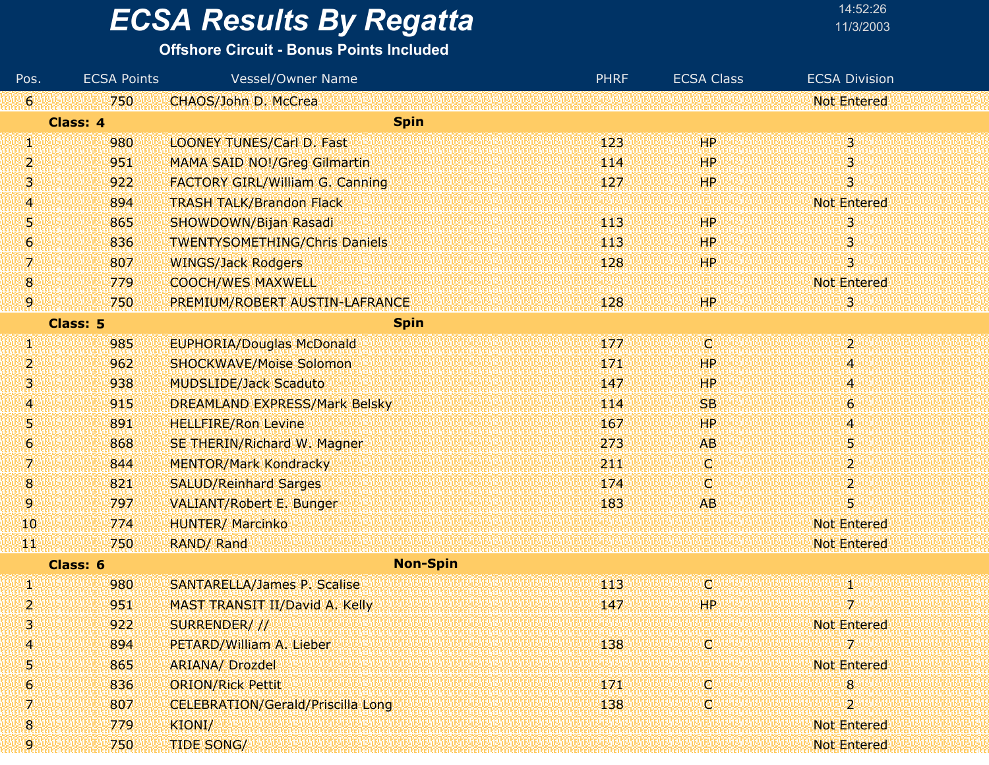### **ECSA Results By Regatta**

| 14:52:26  |  |
|-----------|--|
| 11/3/2003 |  |

| Pos.             | <b>ECSA Points</b> | <b>Vessel/Owner Name</b>                 | <b>PHRF</b> | <b>ECSA Class</b> | <b>ECSA Division</b> |
|------------------|--------------------|------------------------------------------|-------------|-------------------|----------------------|
| 161              | 750                | CHAOS/John D. McCrea                     |             |                   | <b>Not Entered</b>   |
|                  | Class: 4           | <b>Spin</b>                              |             |                   |                      |
| W                | 980                | <b>LOONEY TUNES/Carl D. Fast</b>         | 123         | <b>HP</b>         | $\overline{3}$       |
| $\overline{2}$   | 951                | <b>MAMA SAID NO!/Greg Gilmartin</b>      | 114         | HP.               | 3                    |
| W,               | 922                | <b>FACTORY GIRL/William G. Canning</b>   | 127         | <b>HP</b>         | 3                    |
| 14.              | 894                | <b>TRASH TALK/Brandon Flack</b>          |             |                   | <b>Not Entered</b>   |
| 5                | 865                | SHOWDOWN/Bijan Rasadi                    | 113         | <b>HP</b>         | 3                    |
| 6                | 836                | <b>TWENTYSOMETHING/Chris Daniels</b>     | 113         | HP.               | 3                    |
| 7.               | 807                | <b>WINGS/Jack Rodgers</b>                | 128         | HP.               | 3                    |
| 8                | 779                | <b>COOCH/WES MAXWELL</b>                 |             |                   | <b>Not Entered</b>   |
| 9                | 750                | PREMIUM/ROBERT AUSTIN-LAFRANCE           | 128         | <b>HP</b>         | 3                    |
|                  | Class: 5           | <b>Spin</b>                              |             |                   |                      |
| W                | 985                | <b>EUPHORIA/Douglas McDonald</b>         | 177         | ΙCΙ               | $\overline{2}$       |
| 2                | 962                | <b>SHOCKWAVE/Moise Solomon</b>           | 171         | <b>HP</b>         | 4                    |
| 3                | 938                | <b>MUDSLIDE/Jack Scaduto</b>             | 147         | <b>HP</b>         | 4                    |
| 4                | 915                | <b>DREAMLAND EXPRESS/Mark Belsky</b>     | 114         | <b>SB</b>         | 6                    |
| 51               | 891                | <b>HELLFIRE/Ron Levine</b>               | 167         | <b>HP</b>         | 4                    |
| 6                | 868                | SE THERIN/Richard W. Magner              | 273         | <b>AB</b>         | 5                    |
| 7.               | 844                | <b>MENTOR/Mark Kondracky</b>             | 211         | O.                | $\boldsymbol{2}$     |
| 18.              | 821                | <b>SALUD/Reinhard Sarges</b>             | 174         | O.                | $\overline{2}$       |
| 91               | 797                | <b>VALIANT/Robert E. Bunger</b>          | 183         | AB                | 5                    |
| 40               | 774                | <b>HUNTER/ Marcinko</b>                  |             |                   | <b>Not Entered</b>   |
| ЩI               | 750                | RAND/ Rand                               |             |                   | <b>Not Entered</b>   |
|                  | Class: 6           | <b>Non-Spin</b>                          |             |                   |                      |
| W                | 980                | <b>SANTARELLA/James P. Scalise</b>       | 113         | O.                | Φ                    |
| 2                | 951                | MAST TRANSIT II/David A. Kelly           | 147         | <b>HP</b>         | 7                    |
| 3                | 922                | SURRENDER///                             |             |                   | <b>Not Entered</b>   |
| 14               | 894                | PETARD/William A. Lieber                 | 138         | O.                | 7                    |
| 5                | 865                | <b>ARIANA/ Drozdel</b>                   |             |                   | <b>Not Entered</b>   |
| $\boldsymbol{6}$ | 836                | <b>ORION/Rick Pettit</b>                 | 171         | C.                | 8                    |
| 7                | 807                | <b>CELEBRATION/Gerald/Priscilla Long</b> | 138         | O.                | $\overline{2}$       |
| $\boldsymbol{8}$ | 779                | KIONI/                                   |             |                   | <b>Not Entered</b>   |
| 9                | 750                | <b>TIDE SONG/</b>                        |             |                   | Not Entered          |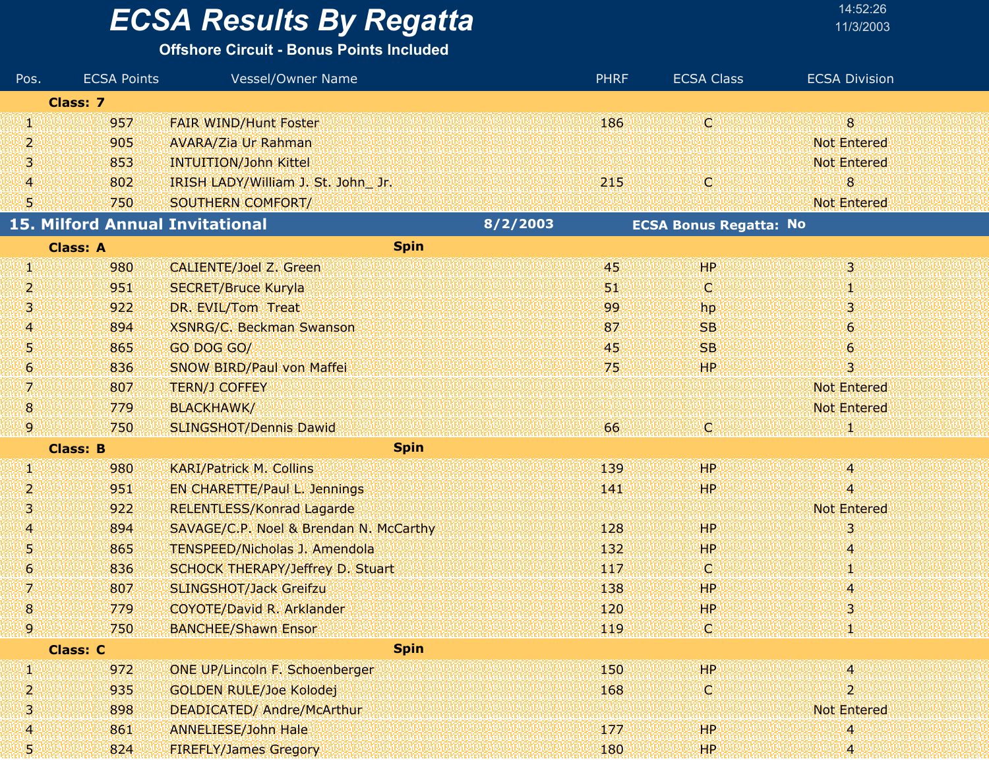#### **Offshore Circuit - Bonus Points Included**

| Pos.             | <b>ECSA Points</b>                     | <b>Vessel/Owner Name</b>               |          | <b>PHRF</b> | <b>ECSA Class</b>             | <b>ECSA Division</b> |
|------------------|----------------------------------------|----------------------------------------|----------|-------------|-------------------------------|----------------------|
|                  | <b>Class: 7</b>                        |                                        |          |             |                               |                      |
| ŋ,               | 957                                    | <b>FAIR WIND/Hunt Foster</b>           |          | 186         | (C)                           | 8 <sup>°</sup>       |
| 2                | 905                                    | <b>AVARA/Zia Ur Rahman</b>             |          |             |                               | <b>Not Entered</b>   |
| 3                | 853                                    | <b>INTUITION/John Kittel</b>           |          |             |                               | <b>Not Entered</b>   |
| $\overline{4}$   | 802                                    | IRISH LADY/William J. St. John Jr.     |          | 215         | ω                             | 8                    |
| 51               | 750                                    | SOUTHERN COMFORT/                      |          |             |                               | <b>Not Entered</b>   |
|                  | <b>15. Milford Annual Invitational</b> |                                        | 8/2/2003 |             | <b>ECSA Bonus Regatta: No</b> |                      |
|                  | <b>Class: A</b>                        | <b>Spin</b>                            |          |             |                               |                      |
| ă.               | 980                                    | CALIENTE/Joel Z. Green                 |          | 45          | HP.                           | 3.                   |
| 2                | 951                                    | <b>SECRET/Bruce Kuryla</b>             |          | 51.         | Q                             | W                    |
| 31               | 922                                    | DR. EVIL/Tom Treat                     |          | 99          | hp                            | 3 <sup>°</sup>       |
| 41               | 894                                    | <b>XSNRG/C. Beckman Swanson</b>        |          | 87          | <b>SB</b>                     | $\boldsymbol{6}$     |
| 51               | 865                                    | GO DOG GO/                             |          | 45          | <b>SB</b>                     | $\epsilon$           |
| $\boldsymbol{6}$ | 836                                    | SNOW BIRD/Paul von Maffei              |          | 75          | HP.                           | 3                    |
| 7                | 807                                    | <b>TERN/J COFFEY</b>                   |          |             |                               | <b>Not Entered</b>   |
| 8                | 779                                    | <b>BLACKHAWK/</b>                      |          |             |                               | <b>Not Entered</b>   |
| 9                | 750                                    | <b>SLINGSHOT/Dennis Dawid</b>          |          | 66          | C.                            | и                    |
|                  | <b>Class: B</b>                        | <b>Spin</b>                            |          |             |                               |                      |
| 4                | 980                                    | <b>KARI/Patrick M. Collins</b>         |          | 139         | HP.                           | Щ.                   |
| 2                | 951                                    | <b>EN CHARETTE/Paul L. Jennings</b>    |          | 141         | <b>HP</b>                     | 4                    |
| 31               | 922                                    | <b>RELENTLESS/Konrad Lagarde</b>       |          |             |                               | <b>Not Entered</b>   |
| 41               | 894                                    | SAVAGE/C.P. Noel & Brendan N. McCarthy |          | 128         | HР                            | 3                    |
| 51               | 865                                    | <b>TENSPEED/Nicholas J. Amendola</b>   |          | 132         | <b>HP</b>                     | 4                    |
| 61               | 836                                    | SCHOCK THERAPY/Jeffrey D. Stuart       |          | 117         | O                             | 1                    |
| 7.               | 807                                    | <b>SLINGSHOT/Jack Greifzu</b>          |          | 138         | HР                            | 4                    |
| $\boldsymbol{8}$ | 779                                    | <b>COYOTE/David R. Arklander</b>       |          | 120         | HP                            | 3                    |
| gunn<br>Amm      | 750                                    | <b>BANCHEE/Shawn Ensor</b>             |          | 119         | Юl                            | и                    |
|                  | <b>Class: C</b>                        | <b>Spin</b>                            |          |             |                               |                      |
| W                | 972                                    | <b>ONE UP/Lincoln F. Schoenberger</b>  |          | 150         | HP.                           | 14                   |
| 2                | 935                                    | <b>GOLDEN RULE/Joe Kolodej</b>         |          | 168         | C                             | $\overline{2}$       |
| 3                | 898                                    | DEADICATED/ Andre/McArthur             |          |             |                               | <b>Not Entered</b>   |
| 4                | 861                                    | <b>ANNELIESE/John Hale</b>             |          | 177         | HP.                           | 4                    |
| 5!               | 824                                    | <b>FIREFLY/James Gregory</b>           |          | 180         | HP.                           | Ι4.                  |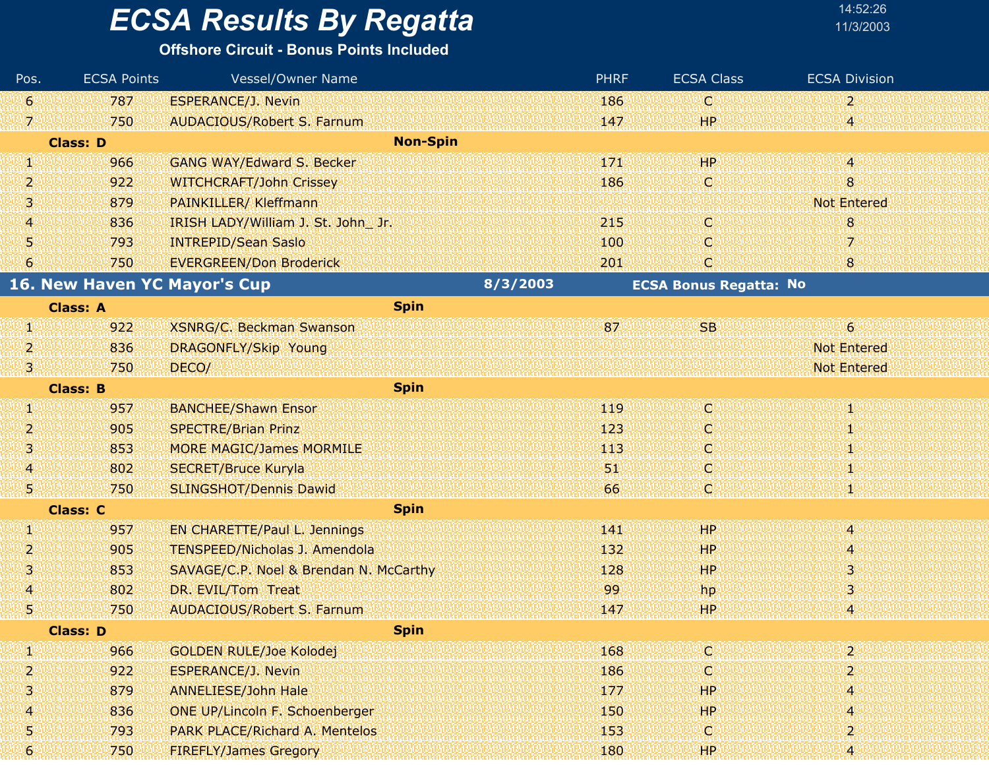| 14:52:26  |
|-----------|
| 11/3/200: |

| Pos.             | <b>ECSA Points</b>           | Vessel/Owner Name                      |          | <b>PHRF</b> | <b>ECSA Class</b>             | <b>ECSA Division</b>      |
|------------------|------------------------------|----------------------------------------|----------|-------------|-------------------------------|---------------------------|
| $\mathbf{6}$     | 787                          | <b>ESPERANCE/J. Nevin</b>              |          | 186         | IC.                           | $\mathbf{2}$              |
| 7.               | 750                          | <b>AUDACIOUS/Robert S. Farnum</b>      |          | 147         | HP.                           | 4                         |
|                  | <b>Class: D</b>              | <b>Non-Spin</b>                        |          |             |                               |                           |
| W                | 966                          | GANG WAY/Edward S. Becker              |          | 171         | HP                            | V)                        |
| 2                | 922                          | <b>WITCHCRAFT/John Crissey</b>         |          | 186         | O.                            | $8\phantom{1}$            |
| 3                | 879                          | PAINKILLER/ Kleffmann                  |          |             |                               | <b>Not Entered</b>        |
| 4                | 836                          | IRISH LADY/William J. St. John Jr.     |          | 215         | IC.                           | 8                         |
| 5                | 793                          | <b>INTREPID/Sean Saslo</b>             |          | 100         | O                             | 7                         |
| $\boldsymbol{6}$ | 750                          | <b>EVERGREEN/Don Broderick</b>         |          | 201         | C                             | 8                         |
|                  | 16. New Haven YC Mayor's Cup |                                        | 8/3/2003 |             | <b>ECSA Bonus Regatta: No</b> |                           |
|                  | <b>Class: A</b>              | <b>Spin</b>                            |          |             |                               |                           |
| W                | 922                          | <b>XSNRG/C. Beckman Swanson</b>        |          | 87          | <b>SB</b>                     | $\epsilon$                |
| 2                | 836                          | <b>DRAGONFLY/Skip Young</b>            |          |             |                               | <b>Not Entered</b>        |
| 31               | 750                          | DECO/                                  |          |             |                               | Not Entered               |
|                  | <b>Class: B</b>              | <b>Spin</b>                            |          |             |                               |                           |
| Щ.               | 957                          | <b>BANCHEE/Shawn Ensor</b>             |          | 119         | IC.                           | M.                        |
| 2                | 905                          | <b>SPECTRE/Brian Prinz</b>             |          | 123         | O                             | 1                         |
| з                | 853                          | <b>MORE MAGIC/James MORMILE</b>        |          | 113         | O                             | 1                         |
| 4                | 802                          | <b>SECRET/Bruce Kuryla</b>             |          | 51          | O                             | ă,                        |
| 51               | 750                          | SLINGSHOT/Dennis Dawid                 |          | 66          | O                             |                           |
|                  | <b>Class: C</b>              | <b>Spin</b>                            |          |             |                               |                           |
| W                | 957                          | <b>EN CHARETTE/Paul L. Jennings</b>    |          | 141         | HP                            | 4                         |
| 2                | 905                          | <b>TENSPEED/Nicholas J. Amendola</b>   |          | 132         | HP                            | 4                         |
| 3                | 853                          | SAVAGE/C.P. Noel & Brendan N. McCarthy |          | 128         | HР                            | $\mathbf{3}^{\mathsf{r}}$ |
| 4                | 802                          | DR. EVIL/Tom Treat                     |          | 99          | hp.                           | 3                         |
| 5.               | 750                          | <b>AUDACIOUS/Robert S. Farnum</b>      |          | 147         | HP.                           | 4                         |
|                  | Class: D                     | <b>Spin</b>                            |          |             |                               |                           |
| V)               | 966                          | <b>GOLDEN RULE/Joe Kolodej</b>         |          | 168         | C.                            | $\mathbf{2}$              |
| 2                | 922                          | <b>ESPERANCE/J. Nevin</b>              |          | 186         | O.                            |                           |
| 3                | 879                          | <b>ANNELIESE/John Hale</b>             |          | 177         | HP.                           | $\overline{4}$            |
| 4                | 836                          | <b>ONE UP/Lincoln F. Schoenberger</b>  |          | 150         | HP.                           | $\overline{4}$            |
| 5                | 793                          | <b>PARK PLACE/Richard A. Mentelos</b>  |          | 153         | ņ.                            | $\overline{2}$            |
| 6                | 750                          | <b>FIREFLY/James Gregory</b>           |          | 180         | НP                            |                           |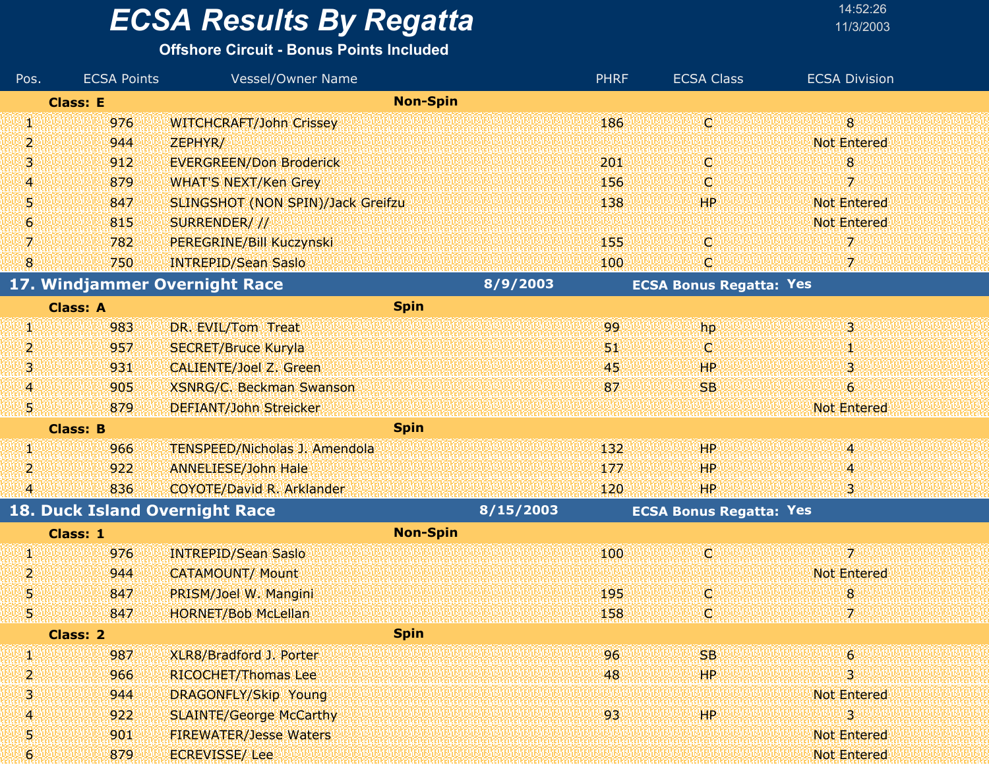#### **Offshore Circuit - Bonus Points Included**

| Pos.           | <b>ECSA Points</b> | Vessel/Owner Name                    |                 | <b>PHRF</b> | <b>ECSA Class</b>              | <b>ECSA Division</b> |
|----------------|--------------------|--------------------------------------|-----------------|-------------|--------------------------------|----------------------|
|                | <b>Class: E</b>    |                                      | <b>Non-Spin</b> |             |                                |                      |
| W              | 976                | <b>WITCHCRAFT/John Crissey</b>       |                 | 186         | (c)                            | 8 <sup>°</sup>       |
| 2              | 944                | ZEPHYR/                              |                 |             |                                | <b>Not Entered</b>   |
| з              | 912                | <b>EVERGREEN/Don Broderick</b>       |                 | 201         | Ο                              | 8                    |
| 4              | 879                | <b>WHAT'S NEXT/Ken Grey</b>          |                 | 156         | O                              | 7                    |
| Ņ              | 847                | SLINGSHOT (NON SPIN)/Jack Greifzu    |                 | 138         | <b>HP</b>                      | <b>Not Entered</b>   |
| 6              | 815                | SURRENDER///                         |                 |             |                                | <b>Not Entered</b>   |
| 7              | 782                | PEREGRINE/Bill Kuczynski             |                 | 155         | o                              | 7                    |
| 8              | 750                | <b>INTREPID/Sean Saslo</b>           |                 | 100         | C,                             | 7                    |
|                |                    | 17. Windjammer Overnight Race        | 8/9/2003        |             | <b>ECSA Bonus Regatta: Yes</b> |                      |
|                | <b>Class: A</b>    | <b>Spin</b>                          |                 |             |                                |                      |
| V)             | 983                | DR. EVIL/Tom Treat                   |                 | 99          | hp                             | 3.                   |
| 2              | 957                | <b>SECRET/Bruce Kuryla</b>           |                 | 51.         | O                              | 1                    |
| 3              | 931                | <b>CALIENTE/Joel Z. Green</b>        |                 | 45          | <b>HP</b>                      | 3                    |
| $\overline{4}$ | 905                | XSNRG/C. Beckman Swanson             |                 | 87          | <b>SB</b>                      | 6                    |
| 51             | 879                | <b>DEFIANT/John Streicker</b>        |                 |             |                                | <b>Not Entered</b>   |
|                | <b>Class: B</b>    | <b>Spin</b>                          |                 |             |                                |                      |
| Ø,             | 966                | <b>TENSPEED/Nicholas J. Amendola</b> |                 | 132         | HP                             | 4                    |
| 2              | 922                | <b>ANNELIESE/John Hale</b>           |                 | 177         | <b>HP</b>                      | 4.                   |
| $\overline{4}$ | 836                | <b>COYOTE/David R. Arklander</b>     |                 | 120         | <b>HP</b>                      | 31                   |
|                |                    | 18. Duck Island Overnight Race       | 8/15/2003       |             | <b>ECSA Bonus Regatta: Yes</b> |                      |
|                | Class: 1           |                                      | <b>Non-Spin</b> |             |                                |                      |
| SI)            | 976                | <b>INTREPID/Sean Saslo</b>           |                 | 100         | ω                              | 7                    |
| 2              | 944                | <b>CATAMOUNT/ Mount</b>              |                 |             |                                | <b>Not Entered</b>   |
| 5              | 847                | PRISM/Joel W. Mangini                |                 | 195         | Ο                              | 8 <sup>°</sup>       |
| Ş.             | 847                | <b>HORNET/Bob McLellan</b>           |                 | 158         | Ģ                              | 7                    |
|                | <b>Class: 2</b>    | <b>Spin</b>                          |                 |             |                                |                      |
| Щ              | 987                | XLR8/Bradford J. Porter              |                 | 96          | <b>SB</b>                      | 6                    |
| 2              | 966                | <b>RICOCHET/Thomas Lee</b>           |                 | 48          | HP.                            | 3.                   |
| з              | 944                | <b>DRAGONFLY/Skip Young</b>          |                 |             |                                | <b>Not Entered</b>   |
| 4              | 922                | <b>SLAINTE/George McCarthy</b>       |                 | 93          | <b>HP</b>                      | 3                    |
| Ş              | 901                | <b>FIREWATER/Jesse Waters</b>        |                 |             |                                | Not Entered          |
| 6              | 879                | <b>ECREVISSE/Lee</b>                 |                 |             |                                | <b>Not Entered</b>   |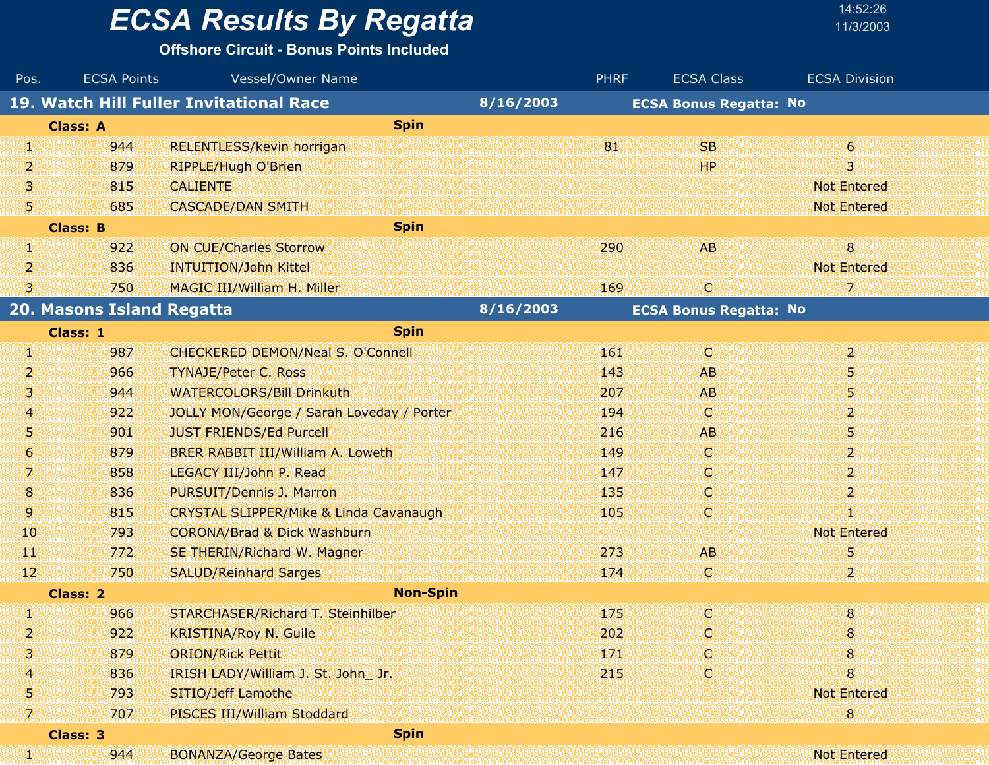#### **Offshore Circuit - Bonus Points Included**

| Pos. | <b>ECSA Points</b>        | <b>Vessel/Owner Name</b>                          |           | <b>PHRF</b> | <b>ECSA Class</b>             | <b>ECSA Division</b> |
|------|---------------------------|---------------------------------------------------|-----------|-------------|-------------------------------|----------------------|
|      |                           | 19. Watch Hill Fuller Invitational Race           | 8/16/2003 |             | <b>ECSA Bonus Regatta: No</b> |                      |
|      | <b>Class: A</b>           | <b>Spin</b>                                       |           |             |                               |                      |
| Щ.   | 944                       | <b>RELENTLESS/kevin horrigan</b>                  |           | 81          | <b>SB</b>                     | $\epsilon$           |
| 2    | 879                       | <b>RIPPLE/Hugh O'Brien</b>                        |           |             | HP                            | 3                    |
| 3    | 815                       | <b>CALIENTE</b>                                   |           |             |                               | <b>Not Entered</b>   |
| 5,   | 685                       | <b>CASCADE/DAN SMITH</b>                          |           |             |                               | <b>Not Entered</b>   |
|      | <b>Class: B</b>           | <b>Spin</b>                                       |           |             |                               |                      |
| q,   | 922                       | <b>ON CUE/Charles Storrow</b>                     |           | 290         | AB                            | 8                    |
| 2    | 836                       | <b>INTUITION/John Kittel</b>                      |           |             |                               | <b>Not Entered</b>   |
| 3    | 750                       | MAGIC III/William H. Miller                       |           | 169         | O.                            | 7                    |
|      | 20. Masons Island Regatta |                                                   | 8/16/2003 |             | <b>ECSA Bonus Regatta: No</b> |                      |
|      | Class: 1                  | <b>Spin</b>                                       |           |             |                               |                      |
| Ø.   | 987                       | <b>CHECKERED DEMON/Neal S. O'Connell</b>          |           | 161         | O                             | $\overline{2}$       |
| 2    | 966                       | <b>TYNAJE/Peter C. Ross</b>                       |           | 143         | <b>AB</b>                     | 5                    |
| 3.   | 944                       | <b>WATERCOLORS/Bill Drinkuth</b>                  |           | 207         | <b>AB</b>                     | 5                    |
| 4    | 922                       | JOLLY MON/George / Sarah Loveday / Porter         |           | 194         | O                             | $\overline{2}$       |
| 5    | 901                       | <b>JUST FRIENDS/Ed Purcell</b>                    |           | 216         | <b>AB</b>                     | 5                    |
| 6    | 879                       | BRER RABBIT III/William A. Loweth                 |           | 149         | O                             | $\overline{2}$       |
| 7    | 858                       | LEGACY III/John P. Read                           |           | 147         | O                             | $\overline{2}$       |
| 8    | 836                       | PURSUIT/Dennis J. Marron                          |           | 135         | О                             | $\overline{2}$       |
| 9.   | 815                       | <b>CRYSTAL SLIPPER/Mike &amp; Linda Cavanaugh</b> |           | 105         | O                             | 4                    |
| 10   | 793                       | <b>CORONA/Brad &amp; Dick Washburn</b>            |           |             |                               | <b>Not Entered</b>   |
| TТ   | 772                       | SE THERIN/Richard W. Magner                       |           | 273         | <b>AB</b>                     | 5                    |
| 12   | 750                       | <b>SALUD/Reinhard Sarges</b>                      |           | 174         | O.                            | 2                    |
|      | Class: 2                  | <b>Non-Spin</b>                                   |           |             |                               |                      |
| H)   | 966                       | STARCHASER/Richard T. Steinhilber                 |           | 175         | O.                            | $8\phantom{1}$       |
| 2    | 922                       | <b>KRISTINA/Roy N. Guile</b>                      |           | 202         | C                             | 8                    |
| 3    | 879                       | <b>ORION/Rick Pettit</b>                          |           | 171         | c                             | 8                    |
| 4    | 836                       | IRISH LADY/William J. St. John Jr.                |           | 215         | O                             | 8                    |
| 5    | 793                       | SITIO/Jeff Lamothe                                |           |             |                               | Not Entered          |
| 70   | 707                       | PISCES III/William Stoddard                       |           |             |                               | 8                    |
|      | Class: 3                  | <b>Spin</b>                                       |           |             |                               |                      |
| 90   | 944                       | <b>BONANZA/George Bates</b>                       |           |             |                               | <b>Not Entered</b>   |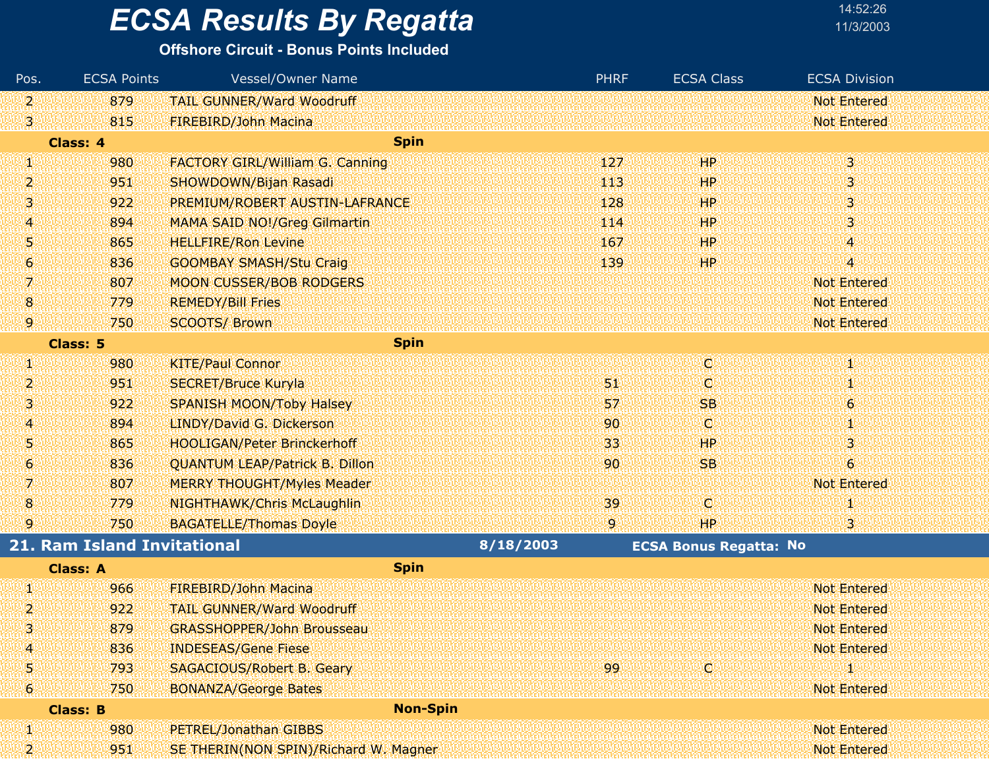| 14:52:26  |  |
|-----------|--|
| 11/3/200: |  |

| Pos. | <b>ECSA Points</b>                 | <b>Vessel/Owner Name</b>               |                 | <b>PHRF</b>     | <b>ECSA Class</b>             | <b>ECSA Division</b> |
|------|------------------------------------|----------------------------------------|-----------------|-----------------|-------------------------------|----------------------|
| 2    | 879                                | <b>TAIL GUNNER/Ward Woodruff</b>       |                 |                 |                               | <b>Not Entered</b>   |
| 3    | 815                                | <b>FIREBIRD/John Macina</b>            |                 |                 |                               | <b>Not Entered</b>   |
|      | Class: 4                           | <b>Spin</b>                            |                 |                 |                               |                      |
| W    | 980                                | <b>FACTORY GIRL/William G. Canning</b> |                 | 127             | <b>HP</b>                     | 3                    |
| 2.   | 951                                | SHOWDOWN/Bijan Rasadi                  |                 | 113             | HР                            | 3                    |
| 3    | 922                                | PREMIUM/ROBERT AUSTIN-LAFRANCE         |                 | 128             | <b>HP</b>                     | 3                    |
| 4    | 894                                | <b>MAMA SAID NO!/Greg Gilmartin.</b>   |                 | 114             | HP                            | 3                    |
| 5    | 865                                | <b>HELLFIRE/Ron Levine</b>             |                 | 167             | HР                            | 4                    |
| 6.   | 836                                | <b>GOOMBAY SMASH/Stu Craig</b>         |                 | 139             | HP                            | 4                    |
| 7    | 807                                | <b>MOON CUSSER/BOB RODGERS</b>         |                 |                 |                               | <b>Not Entered</b>   |
| 8    | 779                                | <b>REMEDY/Bill Fries</b>               |                 |                 |                               | <b>Not Entered</b>   |
| 9    | 750                                | <b>SCOOTS/ Brown</b>                   |                 |                 |                               | <b>Not Entered</b>   |
|      | Class: 5                           | <b>Spin</b>                            |                 |                 |                               |                      |
| Щ    | 980                                | <b>KITE/Paul Connor</b>                |                 |                 | d                             |                      |
| 2    | 951                                | <b>SECRET/Bruce Kuryla</b>             |                 | 51,             | O                             |                      |
| 3    | 922                                | <b>SPANISH MOON/Toby Halsey</b>        |                 | 57              | <b>SB</b>                     | 6                    |
| 4    | 894                                | LINDY/David G. Dickerson               |                 | 90 <sub>o</sub> | O                             | 1                    |
| 5.   | 865                                | <b>HOOLIGAN/Peter Brinckerhoff</b>     |                 | 33              | HP                            | 3                    |
| 6.   | 836                                | <b>QUANTUM LEAP/Patrick B. Dillon</b>  |                 | 90              | <b>SB</b>                     | 6                    |
| 7    | 807                                | <b>MERRY THOUGHT/Myles Meader</b>      |                 |                 |                               | <b>Not Entered</b>   |
| 8    | 779                                | NIGHTHAWK/Chris McLaughlin             |                 | 39              | O.                            |                      |
| 9    | 750                                | <b>BAGATELLE/Thomas Doyle</b>          |                 | 9.              | HP                            | 3                    |
|      | <b>21. Ram Island Invitational</b> |                                        | 8/18/2003       |                 | <b>ECSA Bonus Regatta: No</b> |                      |
|      | <b>Class: A</b>                    | <b>Spin</b>                            |                 |                 |                               |                      |
| W    | 966                                | <b>FIREBIRD/John Macina</b>            |                 |                 |                               | <b>Not Entered</b>   |
| 2    | 922                                | <b>TAIL GUNNER/Ward Woodruff</b>       |                 |                 |                               | Not Entered          |
| 3    | 879                                | <b>GRASSHOPPER/John Brousseau</b>      |                 |                 |                               | <b>Not Entered</b>   |
| 4    | 836                                | <b>INDESEAS/Gene Fiese</b>             |                 |                 |                               | <b>Not Entered</b>   |
| 5.   | 793                                | SAGACIOUS/Robert B. Geary              |                 | 99              | C)                            |                      |
| 6    | 750                                | <b>BONANZA/George Bates</b>            |                 |                 |                               | <b>Not Entered</b>   |
|      | <b>Class: B</b>                    |                                        | <b>Non-Spin</b> |                 |                               |                      |
| Л    | 980                                | PETREL/Jonathan GIBBS                  |                 |                 |                               | <b>Not Entered</b>   |
| 2    | 951                                | SE THERIN(NON SPIN)/Richard W. Magner  |                 |                 |                               | <b>Not Entered</b>   |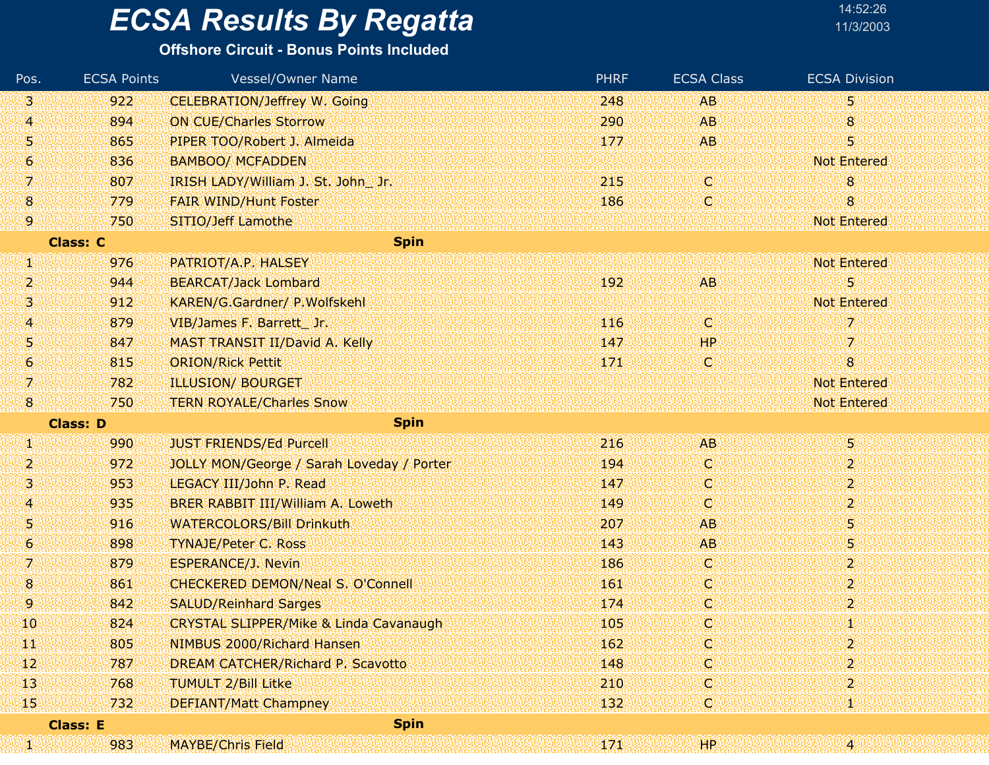| Pos.             | <b>ECSA Points</b> | <b>Vessel/Owner Name</b>                          | <b>PHRF</b> | <b>ECSA Class</b> | <b>ECSA Division</b>      |
|------------------|--------------------|---------------------------------------------------|-------------|-------------------|---------------------------|
| 3                | 922                | <b>CELEBRATION/Jeffrey W. Going</b>               | 248         | <b>AB</b>         | 5                         |
| 4                | 894                | <b>ON CUE/Charles Storrow</b>                     | 290         | <b>AB</b>         | 8                         |
| 5                | 865                | PIPER TOO/Robert J. Almeida                       | 177         | <b>AB</b>         | 5                         |
| $\boldsymbol{6}$ | 836                | <b>BAMBOO/ MCFADDEN</b>                           |             |                   | <b>Not Entered</b>        |
| 7                | 807                | IRISH LADY/William J. St. John Jr.                | 215         | C)                | 8                         |
| 8                | 779                | <b>FAIR WIND/Hunt Foster</b>                      | 186         | Ç,                | 8                         |
| 9                | 750                | SITIO/Jeff Lamothe                                |             |                   | <b>Not Entered</b>        |
|                  | <b>Class: C</b>    | <b>Spin</b>                                       |             |                   |                           |
| W                | 976                | PATRIOT/A.P. HALSEY                               |             |                   | <b>Not Entered</b>        |
| 2                | 944                | <b>BEARCAT/Jack Lombard</b>                       | 192         | <b>AB</b>         | 5                         |
| з                | 912                | KAREN/G.Gardner/ P.Wolfskehl                      |             |                   | <b>Not Entered</b>        |
| 4                | 879                | VIB/James F. Barrett Jr.                          | 116         | C.                | 7                         |
| 5                | 847                | MAST TRANSIT II/David A. Kelly                    | 147         | HP                | 7                         |
| 6                | 815                | <b>ORION/Rick Pettit</b>                          | 171         | C.                | 8 <sup>°</sup>            |
| 7                | 782                | <b>ILLUSION/ BOURGET</b>                          |             |                   | <b>Not Entered</b>        |
| 8                | 750                | <b>TERN ROYALE/Charles Snow</b>                   |             |                   | <b>Not Entered</b>        |
|                  | <b>Class: D</b>    | <b>Spin</b>                                       |             |                   |                           |
| W.               | 990                | <b>JUST FRIENDS/Ed Purcell</b>                    | 216         | <b>AB</b>         | 5.                        |
| 2                | 972                | JOLLY MON/George / Sarah Loveday / Porter         | 194         | C.                | 2                         |
| 3                | 953                | LEGACY III/John P. Read                           | 147         | O.                | $\overline{2}$            |
| 4                | 935                | BRER RABBIT III/William A. Loweth                 | 149         | C,                | $\mathbf{2}^{\mathsf{r}}$ |
| Ŋ                | 916                | <b>WATERCOLORS/Bill Drinkuth</b>                  | 207         | <b>AB</b>         | 5                         |
| 6                | 898                | <b>TYNAJE/Peter C. Ross</b>                       | 143         | <b>AB</b>         | 5                         |
| 7                | 879                | <b>ESPERANCE/J. Nevin</b>                         | 186         | O.                | $\overline{2}$            |
| 8                | 861                | CHECKERED DEMON/Neal S. O'Connell                 | 161         | C,                | 2                         |
| 9                | 842                | <b>SALUD/Reinhard Sarges</b>                      | 174         | ¢                 | $\mathbf{2}^{\mathsf{r}}$ |
| 10               | 824                | <b>CRYSTAL SLIPPER/Mike &amp; Linda Cavanaugh</b> | 105         | ¢                 |                           |
| ŦT               | 805                | NIMBUS 2000/Richard Hansen                        | 162         | Q                 | 2                         |
| 12               | 787                | <b>DREAM CATCHER/Richard P. Scavotto</b>          | 148         | C                 | 2                         |
| $\mathbf{13}$    | 768                | <b>TUMULT 2/Bill Litke</b>                        | 210         | Ç.                | $\overline{2}$            |
| 15 <sub>1</sub>  | 732                | <b>DEFIANT/Matt Champney</b>                      | 132         | C                 |                           |
|                  | <b>Class: E</b>    | <b>Spin</b>                                       |             |                   |                           |
| W                | 983                | <b>MAYBE/Chris Field</b>                          | 171         | HP.               | Ά.                        |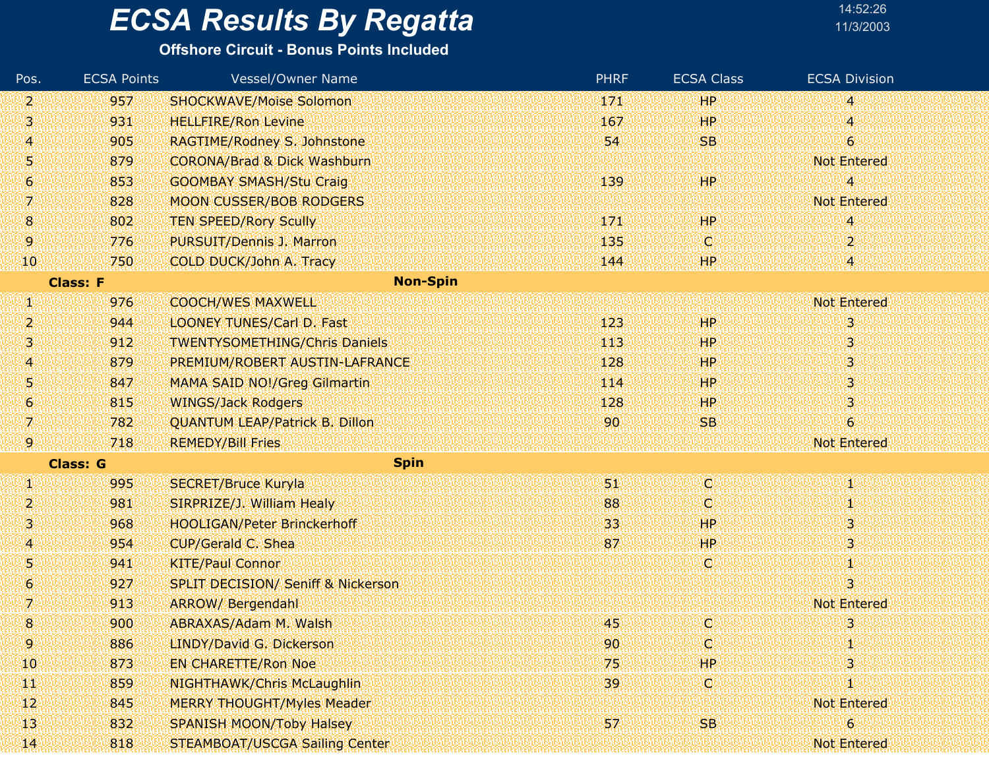#### **Offshore Circuit - Bonus Points Included**

| Pos.                | <b>ECSA Points</b> | <b>Vessel/Owner Name</b>                      | <b>PHRF</b> | <b>ECSA Class</b> | <b>ECSA Division</b>     |
|---------------------|--------------------|-----------------------------------------------|-------------|-------------------|--------------------------|
| 2.                  | 957                | <b>SHOCKWAVE/Moise Solomon</b>                | 171         | HР                | 4                        |
| 3                   | 931                | <b>HELLFIRE/Ron Levine</b>                    | 167         | HР                | '4                       |
| 4                   | 905                | RAGTIME/Rodney S. Johnstone                   | 54          | <b>SB</b>         | $\boldsymbol{6}$         |
| 5                   | 879                | <b>CORONA/Brad &amp; Dick Washburn</b>        |             |                   | <b>Not Entered</b>       |
| 6                   | 853                | <b>GOOMBAY SMASH/Stu Craig</b>                | 139         | HP                | $\overline{\mathcal{A}}$ |
| 7.                  | 828                | <b>MOON CUSSER/BOB RODGERS</b>                |             |                   | <b>Not Entered</b>       |
| 8                   | 802                | <b>TEN SPEED/Rory Scully</b>                  | 171         | HP                | 4                        |
| 9                   | 776                | PURSUIT/Dennis J. Marron                      | 135         | IC)               | $\overline{2}$           |
| 10                  | 750                | <b>COLD DUCK/John A. Tracy</b>                | 144         | HP                | 14.                      |
|                     | <b>Class: F</b>    | <b>Non-Spin</b>                               |             |                   |                          |
| W                   | 976                | <b>COOCH/WES MAXWELL</b>                      |             |                   | <b>Not Entered</b>       |
| $\overline{2}$      | 944                | <b>LOONEY TUNES/Carl D. Fast</b>              | 123         | HР                | 3                        |
| з                   | 912                | <b>TWENTYSOMETHING/Chris Daniels</b>          | 443         | HР                | 3                        |
| 4                   | 879                | PREMIUM/ROBERT AUSTIN-LAFRANCE                | 128         | HР                | 3                        |
| 5                   | 847                | MAMA SAID NO!/Greg Gilmartin                  | 114         | HP                | 3                        |
| $\epsilon$          | 815                | <b>WINGS/Jack Rodgers</b>                     | 128         | HР                | 3                        |
| 7.                  | 782                | <b>QUANTUM LEAP/Patrick B. Dillon</b>         | 90          | <b>SB</b>         | $\boldsymbol{6}$         |
| 9                   | 718                | <b>REMEDY/Bill Fries</b>                      |             |                   | <b>Not Entered</b>       |
|                     | <b>Class: G</b>    | <b>Spin</b>                                   |             |                   |                          |
| W                   | 995                | <b>SECRET/Bruce Kuryla</b>                    | 51.         | Q                 | Φ                        |
| 2                   | 981                | SIRPRIZE/J. William Healy                     | 88          | C                 | Ф                        |
| 3                   | 968                | <b>HOOLIGAN/Peter Brinckerhoff</b>            | 33          | HР                | 3                        |
| 4                   | 954                | CUP/Gerald C. Shea                            | 87          | HP                | 3.                       |
| 5                   | 941                | <b>KITE/Paul Connor</b>                       |             | Ç                 | Ф                        |
| $\ddot{\mathbf{6}}$ | 927                | <b>SPLIT DECISION/ Seniff &amp; Nickerson</b> |             |                   | $\overline{\mathbf{3}}$  |
| 7.                  | 913                | <b>ARROW/ Bergendahl</b>                      |             |                   | <b>Not Entered</b>       |
| 8                   | 900                | ABRAXAS/Adam M. Walsh                         | 45          | C                 | 3                        |
| 9                   | 886                | LINDY/David G. Dickerson                      | 90          | (C)               | Y)                       |
| 10                  | 873                | <b>EN CHARETTE/Ron Noe</b>                    | 75          | HР                | 3                        |
| ŦТ                  | 859                | NIGHTHAWK/Chris McLaughlin                    | 39          | Ø.                | Ю                        |
| 12                  | 845                | <b>MERRY THOUGHT/Myles Meader</b>             |             |                   | <b>Not Entered</b>       |
| 13                  | 832                | <b>SPANISH MOON/Toby Halsey</b>               | 57          | <b>SB</b>         | 6                        |
| 14.                 | 818                | <b>STEAMBOAT/USCGA Sailing Center</b>         |             |                   | <b>Not Entered</b>       |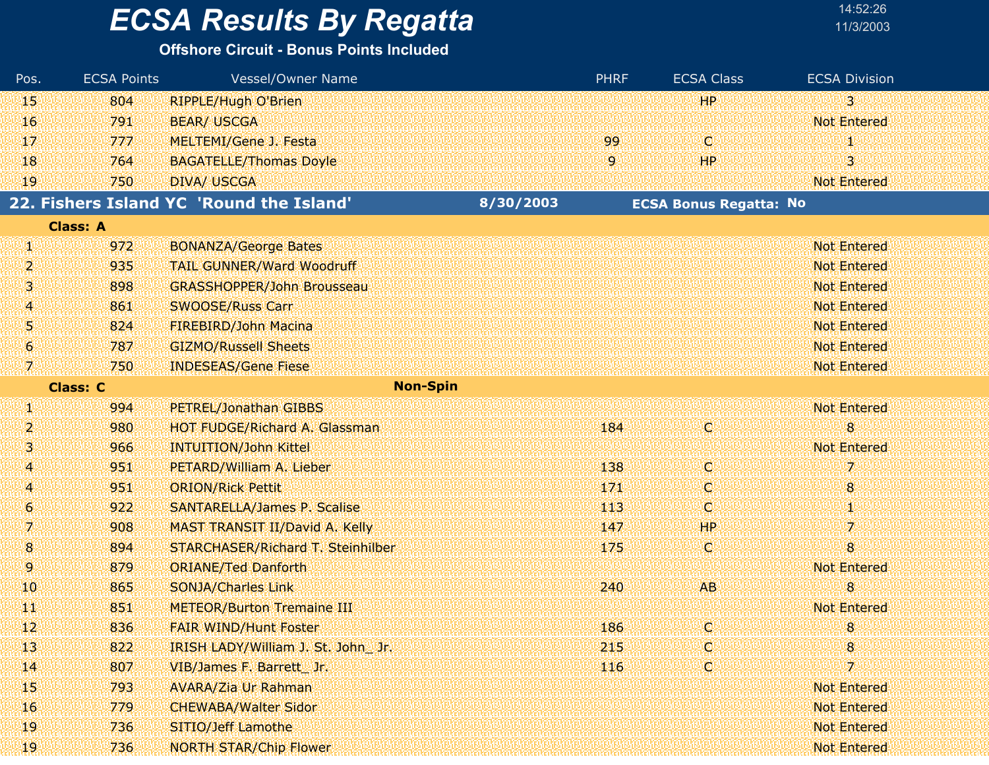#### **Offshore Circuit - Bonus Points Included**

| $\overline{3}$<br>HP.<br>804<br>45.<br><b>RIPPLE/Hugh O'Brien</b><br><b>Not Entered</b><br>16<br>791<br><b>BEAR/ USCGA</b><br>MELTEMI/Gene J. Festa<br>99<br>O<br>17<br>777<br>и<br>3<br>9.<br>HР<br>18<br>764<br><b>BAGATELLE/Thomas Doyle</b><br>49<br><b>Not Entered</b><br>750<br><b>DIVA/ USCGA</b><br>22. Fishers Island YC 'Round the Island'<br>8/30/2003<br><b>ECSA Bonus Regatta: No</b><br><b>Class: A</b><br>972<br><b>Not Entered</b><br>W<br><b>BONANZA/George Bates</b><br>2<br>935<br><b>Not Entered</b><br><b>TAIL GUNNER/Ward Woodruff</b><br>31<br>898<br><b>Not Entered</b><br><b>GRASSHOPPER/John Brousseau</b><br><b>SWOOSE/Russ Carr</b><br>861<br><b>Not Entered</b><br>4<br>Ņ<br>824<br>FIREBIRD/John Macina<br><b>Not Entered</b><br>6<br>787<br><b>GIZMO/Russell Sheets</b><br><b>Not Entered</b><br><b>INDESEAS/Gene Fiese</b><br>$\mathcal{I}^0$<br>750<br><b>Not Entered</b><br><b>Non-Spin</b><br><b>Class: C</b><br>EN,<br><b>Not Entered</b><br>994<br>PETREL/Jonathan GIBBS<br>C<br>184<br>8<br>2<br>980<br>HOT FUDGE/Richard A. Glassman<br>S.<br><b>Not Entered</b><br>966<br><b>INTUITION/John Kittel</b><br>O<br>7<br>4<br>951<br>PETARD/William A. Lieber<br>138<br><b>ORION/Rick Pettit</b><br>171<br>4<br>951<br>Q<br>8<br>6<br>O<br>Φ<br>922<br><b>SANTARELLA/James P. Scalise</b><br>113<br>7<br>7<br><b>HP</b><br>908<br>MAST TRANSIT II/David A. Kelly<br>147<br>8<br>O<br>8<br>894<br>STARCHASER/Richard T. Steinhilber<br>175<br>9<br>879<br><b>ORIANE/Ted Danforth</b><br><b>Not Entered</b><br>8<br><b>AB</b><br>10<br>865<br><b>SONJA/Charles Link</b><br>240<br>851<br><b>Not Entered</b><br>TЩ<br><b>METEOR/Burton Tremaine III</b><br>12<br>836<br>186<br>Q<br>8<br><b>FAIR WIND/Hunt Foster</b><br>8<br>q<br>13<br>822<br>215<br>IRISH LADY/William J. St. John _ Jr.<br>807<br>¢<br>7.<br>14<br>VIB/James F. Barrett_Jr.<br>116<br>15<br><b>Not Entered</b><br>793<br><b>AVARA/Zia Ur Rahman</b><br>16<br><b>CHEWABA/Walter Sidor</b><br><b>Not Entered</b><br>779<br>SITIO/Jeff Lamothe<br><b>Not Entered</b><br>19<br>736<br>19<br>736<br><b>Not Entered</b><br><b>NORTH STAR/Chip Flower</b> | Pos. | <b>ECSA Points</b> | <b>Vessel/Owner Name</b> | <b>PHRF</b> | <b>ECSA Class</b> | <b>ECSA Division</b> |
|--------------------------------------------------------------------------------------------------------------------------------------------------------------------------------------------------------------------------------------------------------------------------------------------------------------------------------------------------------------------------------------------------------------------------------------------------------------------------------------------------------------------------------------------------------------------------------------------------------------------------------------------------------------------------------------------------------------------------------------------------------------------------------------------------------------------------------------------------------------------------------------------------------------------------------------------------------------------------------------------------------------------------------------------------------------------------------------------------------------------------------------------------------------------------------------------------------------------------------------------------------------------------------------------------------------------------------------------------------------------------------------------------------------------------------------------------------------------------------------------------------------------------------------------------------------------------------------------------------------------------------------------------------------------------------------------------------------------------------------------------------------------------------------------------------------------------------------------------------------------------------------------------------------------------------------------------------------------------------------------------------------------------------------------------------------------------------------------------------------------------------------------------------|------|--------------------|--------------------------|-------------|-------------------|----------------------|
|                                                                                                                                                                                                                                                                                                                                                                                                                                                                                                                                                                                                                                                                                                                                                                                                                                                                                                                                                                                                                                                                                                                                                                                                                                                                                                                                                                                                                                                                                                                                                                                                                                                                                                                                                                                                                                                                                                                                                                                                                                                                                                                                                        |      |                    |                          |             |                   |                      |
|                                                                                                                                                                                                                                                                                                                                                                                                                                                                                                                                                                                                                                                                                                                                                                                                                                                                                                                                                                                                                                                                                                                                                                                                                                                                                                                                                                                                                                                                                                                                                                                                                                                                                                                                                                                                                                                                                                                                                                                                                                                                                                                                                        |      |                    |                          |             |                   |                      |
|                                                                                                                                                                                                                                                                                                                                                                                                                                                                                                                                                                                                                                                                                                                                                                                                                                                                                                                                                                                                                                                                                                                                                                                                                                                                                                                                                                                                                                                                                                                                                                                                                                                                                                                                                                                                                                                                                                                                                                                                                                                                                                                                                        |      |                    |                          |             |                   |                      |
|                                                                                                                                                                                                                                                                                                                                                                                                                                                                                                                                                                                                                                                                                                                                                                                                                                                                                                                                                                                                                                                                                                                                                                                                                                                                                                                                                                                                                                                                                                                                                                                                                                                                                                                                                                                                                                                                                                                                                                                                                                                                                                                                                        |      |                    |                          |             |                   |                      |
|                                                                                                                                                                                                                                                                                                                                                                                                                                                                                                                                                                                                                                                                                                                                                                                                                                                                                                                                                                                                                                                                                                                                                                                                                                                                                                                                                                                                                                                                                                                                                                                                                                                                                                                                                                                                                                                                                                                                                                                                                                                                                                                                                        |      |                    |                          |             |                   |                      |
|                                                                                                                                                                                                                                                                                                                                                                                                                                                                                                                                                                                                                                                                                                                                                                                                                                                                                                                                                                                                                                                                                                                                                                                                                                                                                                                                                                                                                                                                                                                                                                                                                                                                                                                                                                                                                                                                                                                                                                                                                                                                                                                                                        |      |                    |                          |             |                   |                      |
|                                                                                                                                                                                                                                                                                                                                                                                                                                                                                                                                                                                                                                                                                                                                                                                                                                                                                                                                                                                                                                                                                                                                                                                                                                                                                                                                                                                                                                                                                                                                                                                                                                                                                                                                                                                                                                                                                                                                                                                                                                                                                                                                                        |      |                    |                          |             |                   |                      |
|                                                                                                                                                                                                                                                                                                                                                                                                                                                                                                                                                                                                                                                                                                                                                                                                                                                                                                                                                                                                                                                                                                                                                                                                                                                                                                                                                                                                                                                                                                                                                                                                                                                                                                                                                                                                                                                                                                                                                                                                                                                                                                                                                        |      |                    |                          |             |                   |                      |
|                                                                                                                                                                                                                                                                                                                                                                                                                                                                                                                                                                                                                                                                                                                                                                                                                                                                                                                                                                                                                                                                                                                                                                                                                                                                                                                                                                                                                                                                                                                                                                                                                                                                                                                                                                                                                                                                                                                                                                                                                                                                                                                                                        |      |                    |                          |             |                   |                      |
|                                                                                                                                                                                                                                                                                                                                                                                                                                                                                                                                                                                                                                                                                                                                                                                                                                                                                                                                                                                                                                                                                                                                                                                                                                                                                                                                                                                                                                                                                                                                                                                                                                                                                                                                                                                                                                                                                                                                                                                                                                                                                                                                                        |      |                    |                          |             |                   |                      |
|                                                                                                                                                                                                                                                                                                                                                                                                                                                                                                                                                                                                                                                                                                                                                                                                                                                                                                                                                                                                                                                                                                                                                                                                                                                                                                                                                                                                                                                                                                                                                                                                                                                                                                                                                                                                                                                                                                                                                                                                                                                                                                                                                        |      |                    |                          |             |                   |                      |
|                                                                                                                                                                                                                                                                                                                                                                                                                                                                                                                                                                                                                                                                                                                                                                                                                                                                                                                                                                                                                                                                                                                                                                                                                                                                                                                                                                                                                                                                                                                                                                                                                                                                                                                                                                                                                                                                                                                                                                                                                                                                                                                                                        |      |                    |                          |             |                   |                      |
|                                                                                                                                                                                                                                                                                                                                                                                                                                                                                                                                                                                                                                                                                                                                                                                                                                                                                                                                                                                                                                                                                                                                                                                                                                                                                                                                                                                                                                                                                                                                                                                                                                                                                                                                                                                                                                                                                                                                                                                                                                                                                                                                                        |      |                    |                          |             |                   |                      |
|                                                                                                                                                                                                                                                                                                                                                                                                                                                                                                                                                                                                                                                                                                                                                                                                                                                                                                                                                                                                                                                                                                                                                                                                                                                                                                                                                                                                                                                                                                                                                                                                                                                                                                                                                                                                                                                                                                                                                                                                                                                                                                                                                        |      |                    |                          |             |                   |                      |
|                                                                                                                                                                                                                                                                                                                                                                                                                                                                                                                                                                                                                                                                                                                                                                                                                                                                                                                                                                                                                                                                                                                                                                                                                                                                                                                                                                                                                                                                                                                                                                                                                                                                                                                                                                                                                                                                                                                                                                                                                                                                                                                                                        |      |                    |                          |             |                   |                      |
|                                                                                                                                                                                                                                                                                                                                                                                                                                                                                                                                                                                                                                                                                                                                                                                                                                                                                                                                                                                                                                                                                                                                                                                                                                                                                                                                                                                                                                                                                                                                                                                                                                                                                                                                                                                                                                                                                                                                                                                                                                                                                                                                                        |      |                    |                          |             |                   |                      |
|                                                                                                                                                                                                                                                                                                                                                                                                                                                                                                                                                                                                                                                                                                                                                                                                                                                                                                                                                                                                                                                                                                                                                                                                                                                                                                                                                                                                                                                                                                                                                                                                                                                                                                                                                                                                                                                                                                                                                                                                                                                                                                                                                        |      |                    |                          |             |                   |                      |
|                                                                                                                                                                                                                                                                                                                                                                                                                                                                                                                                                                                                                                                                                                                                                                                                                                                                                                                                                                                                                                                                                                                                                                                                                                                                                                                                                                                                                                                                                                                                                                                                                                                                                                                                                                                                                                                                                                                                                                                                                                                                                                                                                        |      |                    |                          |             |                   |                      |
|                                                                                                                                                                                                                                                                                                                                                                                                                                                                                                                                                                                                                                                                                                                                                                                                                                                                                                                                                                                                                                                                                                                                                                                                                                                                                                                                                                                                                                                                                                                                                                                                                                                                                                                                                                                                                                                                                                                                                                                                                                                                                                                                                        |      |                    |                          |             |                   |                      |
|                                                                                                                                                                                                                                                                                                                                                                                                                                                                                                                                                                                                                                                                                                                                                                                                                                                                                                                                                                                                                                                                                                                                                                                                                                                                                                                                                                                                                                                                                                                                                                                                                                                                                                                                                                                                                                                                                                                                                                                                                                                                                                                                                        |      |                    |                          |             |                   |                      |
|                                                                                                                                                                                                                                                                                                                                                                                                                                                                                                                                                                                                                                                                                                                                                                                                                                                                                                                                                                                                                                                                                                                                                                                                                                                                                                                                                                                                                                                                                                                                                                                                                                                                                                                                                                                                                                                                                                                                                                                                                                                                                                                                                        |      |                    |                          |             |                   |                      |
|                                                                                                                                                                                                                                                                                                                                                                                                                                                                                                                                                                                                                                                                                                                                                                                                                                                                                                                                                                                                                                                                                                                                                                                                                                                                                                                                                                                                                                                                                                                                                                                                                                                                                                                                                                                                                                                                                                                                                                                                                                                                                                                                                        |      |                    |                          |             |                   |                      |
|                                                                                                                                                                                                                                                                                                                                                                                                                                                                                                                                                                                                                                                                                                                                                                                                                                                                                                                                                                                                                                                                                                                                                                                                                                                                                                                                                                                                                                                                                                                                                                                                                                                                                                                                                                                                                                                                                                                                                                                                                                                                                                                                                        |      |                    |                          |             |                   |                      |
|                                                                                                                                                                                                                                                                                                                                                                                                                                                                                                                                                                                                                                                                                                                                                                                                                                                                                                                                                                                                                                                                                                                                                                                                                                                                                                                                                                                                                                                                                                                                                                                                                                                                                                                                                                                                                                                                                                                                                                                                                                                                                                                                                        |      |                    |                          |             |                   |                      |
|                                                                                                                                                                                                                                                                                                                                                                                                                                                                                                                                                                                                                                                                                                                                                                                                                                                                                                                                                                                                                                                                                                                                                                                                                                                                                                                                                                                                                                                                                                                                                                                                                                                                                                                                                                                                                                                                                                                                                                                                                                                                                                                                                        |      |                    |                          |             |                   |                      |
|                                                                                                                                                                                                                                                                                                                                                                                                                                                                                                                                                                                                                                                                                                                                                                                                                                                                                                                                                                                                                                                                                                                                                                                                                                                                                                                                                                                                                                                                                                                                                                                                                                                                                                                                                                                                                                                                                                                                                                                                                                                                                                                                                        |      |                    |                          |             |                   |                      |
|                                                                                                                                                                                                                                                                                                                                                                                                                                                                                                                                                                                                                                                                                                                                                                                                                                                                                                                                                                                                                                                                                                                                                                                                                                                                                                                                                                                                                                                                                                                                                                                                                                                                                                                                                                                                                                                                                                                                                                                                                                                                                                                                                        |      |                    |                          |             |                   |                      |
|                                                                                                                                                                                                                                                                                                                                                                                                                                                                                                                                                                                                                                                                                                                                                                                                                                                                                                                                                                                                                                                                                                                                                                                                                                                                                                                                                                                                                                                                                                                                                                                                                                                                                                                                                                                                                                                                                                                                                                                                                                                                                                                                                        |      |                    |                          |             |                   |                      |
|                                                                                                                                                                                                                                                                                                                                                                                                                                                                                                                                                                                                                                                                                                                                                                                                                                                                                                                                                                                                                                                                                                                                                                                                                                                                                                                                                                                                                                                                                                                                                                                                                                                                                                                                                                                                                                                                                                                                                                                                                                                                                                                                                        |      |                    |                          |             |                   |                      |
|                                                                                                                                                                                                                                                                                                                                                                                                                                                                                                                                                                                                                                                                                                                                                                                                                                                                                                                                                                                                                                                                                                                                                                                                                                                                                                                                                                                                                                                                                                                                                                                                                                                                                                                                                                                                                                                                                                                                                                                                                                                                                                                                                        |      |                    |                          |             |                   |                      |
|                                                                                                                                                                                                                                                                                                                                                                                                                                                                                                                                                                                                                                                                                                                                                                                                                                                                                                                                                                                                                                                                                                                                                                                                                                                                                                                                                                                                                                                                                                                                                                                                                                                                                                                                                                                                                                                                                                                                                                                                                                                                                                                                                        |      |                    |                          |             |                   |                      |
|                                                                                                                                                                                                                                                                                                                                                                                                                                                                                                                                                                                                                                                                                                                                                                                                                                                                                                                                                                                                                                                                                                                                                                                                                                                                                                                                                                                                                                                                                                                                                                                                                                                                                                                                                                                                                                                                                                                                                                                                                                                                                                                                                        |      |                    |                          |             |                   |                      |
|                                                                                                                                                                                                                                                                                                                                                                                                                                                                                                                                                                                                                                                                                                                                                                                                                                                                                                                                                                                                                                                                                                                                                                                                                                                                                                                                                                                                                                                                                                                                                                                                                                                                                                                                                                                                                                                                                                                                                                                                                                                                                                                                                        |      |                    |                          |             |                   |                      |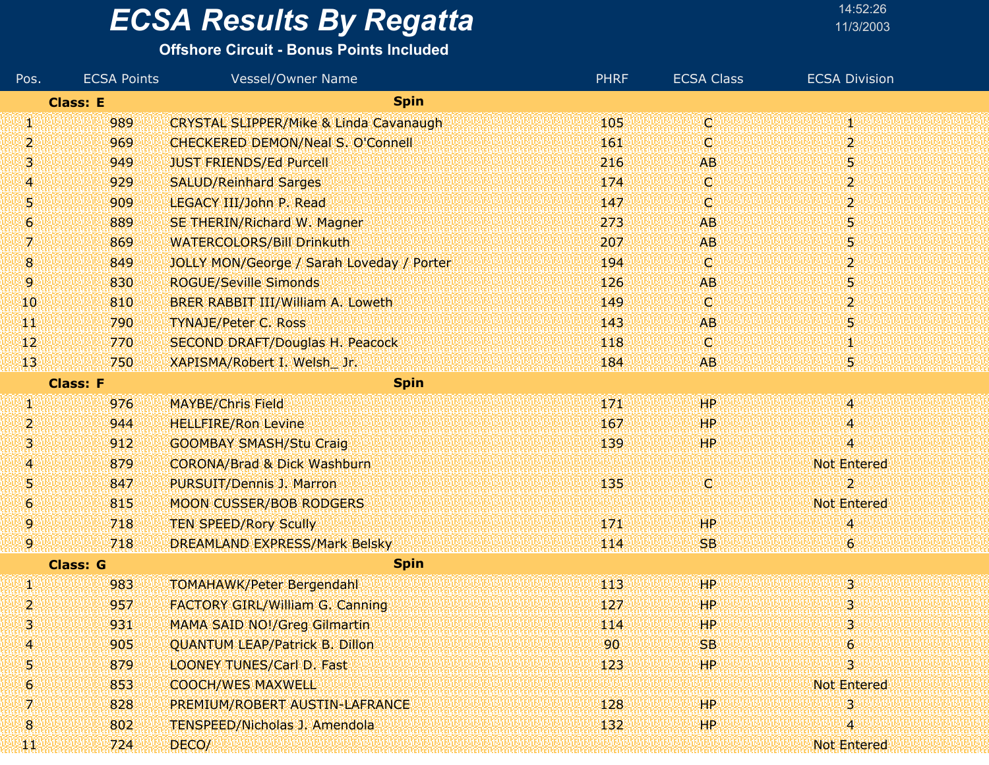#### **Offshore Circuit - Bonus Points Included**

| Pos.                | <b>ECSA Points</b> | <b>Vessel/Owner Name</b>                          | <b>PHRF</b> | <b>ECSA Class</b> | <b>ECSA Division</b> |
|---------------------|--------------------|---------------------------------------------------|-------------|-------------------|----------------------|
|                     | <b>Class: E</b>    | <b>Spin</b>                                       |             |                   |                      |
| W                   | 989                | <b>CRYSTAL SLIPPER/Mike &amp; Linda Cavanaugh</b> | 105         | Ο                 | Τ                    |
| 2                   | 969                | <b>CHECKERED DEMON/Neal S. O'Connell</b>          | 161         | O                 | $\overline{2}$       |
| 3                   | 949                | <b>JUST FRIENDS/Ed Purcell</b>                    | 216         | <b>AB</b>         | 5.                   |
| 4                   | 929                | <b>SALUD/Reinhard Sarges</b>                      | 174         | Ο                 | $\overline{2}$       |
| 5                   | 909                | LEGACY III/John P. Read                           | 147         | C)                | $\mathbf{2}$         |
| $\ddot{\mathbf{6}}$ | 889                | SE THERIN/Richard W. Magner                       | 273         | <b>AB</b>         | 5                    |
| 7.                  | 869                | <b>WATERCOLORS/Bill Drinkuth</b>                  | 207         | AB.               | 5                    |
| 8                   | 849                | JOLLY MON/George / Sarah Loveday / Porter         | 194         | C)                | $\mathbf{2}$         |
| 9                   | 830                | <b>ROGUE/Seville Simonds</b>                      | 126         | <b>AB</b>         | 5                    |
| 10                  | 810                | BRER RABBIT III/William A. Loweth                 | 149         | O                 | $\overline{2}$       |
| WР                  | 790                | <b>TYNAJE/Peter C. Ross</b>                       | 143         | AB.               | 5                    |
| $\mathbf{12}$       | 770                | <b>SECOND DRAFT/Douglas H. Peacock</b>            | 118         | Ο                 | 1                    |
| 13                  | 750                | XAPISMA/Robert I. Welsh_Jr.                       | 184         | AB.               | 5                    |
|                     | <b>Class: F</b>    | <b>Spin</b>                                       |             |                   |                      |
| W                   | 976                | <b>MAYBE/Chris Field</b>                          | 171         | HP.               | $\blacktriangleleft$ |
| 2                   | 944                | <b>HELLFIRE/Ron Levine</b>                        | 167         | HР                | $\boldsymbol{A}$     |
| 3                   | 912                | <b>GOOMBAY SMASH/Stu Craig</b>                    | 139         | HP.               | 4                    |
| 4                   | 879                | <b>CORONA/Brad &amp; Dick Washburn</b>            |             |                   | <b>Not Entered</b>   |
| 5                   | 847                | <b>PURSUIT/Dennis J. Marron</b>                   | 135         | IC.               | $\overline{2}$       |
| $\ddot{\mathbf{6}}$ | 815                | <b>MOON CUSSER/BOB RODGERS</b>                    |             |                   | <b>Not Entered</b>   |
| 9                   | 718                | <b>TEN SPEED/Rory Scully</b>                      | 171         | HР                | $\overline{4}$       |
| 9                   | 718                | <b>DREAMLAND EXPRESS/Mark Belsky</b>              | 114         | SB.               | 6 <sup>1</sup>       |
|                     | <b>Class: G</b>    | <b>Spin</b>                                       |             |                   |                      |
| И                   | 983                | <b>TOMAHAWK/Peter Bergendahl</b>                  | 113         | ЩP                | 3                    |
| 2                   | 957                | <b>FACTORY GIRL/William G. Canning</b>            | 127         | <b>HP</b>         | 3                    |
|                     | 931                | <b>MAMA SAID NO!/Greg Gilmartin</b>               | 114         | <b>HP</b>         | 3.                   |
| A                   | 905                | <b>QUANTUM LEAP/Patrick B. Dillon</b>             | 90          | <b>SB</b>         | $\epsilon$           |
| 5                   | 879                | <b>LOONEY TUNES/Carl D. Fast</b>                  | 123         | HP.               | 3.                   |
| 6.                  | 853                | <b>COOCH/WES MAXWELL</b>                          |             |                   | <b>Not Entered</b>   |
| Z.                  | 828                | PREMIUM/ROBERT AUSTIN-LAFRANCE                    | 128         | HР                | 3                    |
| 8                   | 802                | <b>TENSPEED/Nicholas J. Amendola</b>              | 132         | HP.               | 4                    |
| TТ                  | 724                | DECO/                                             |             |                   | <b>Not Entered</b>   |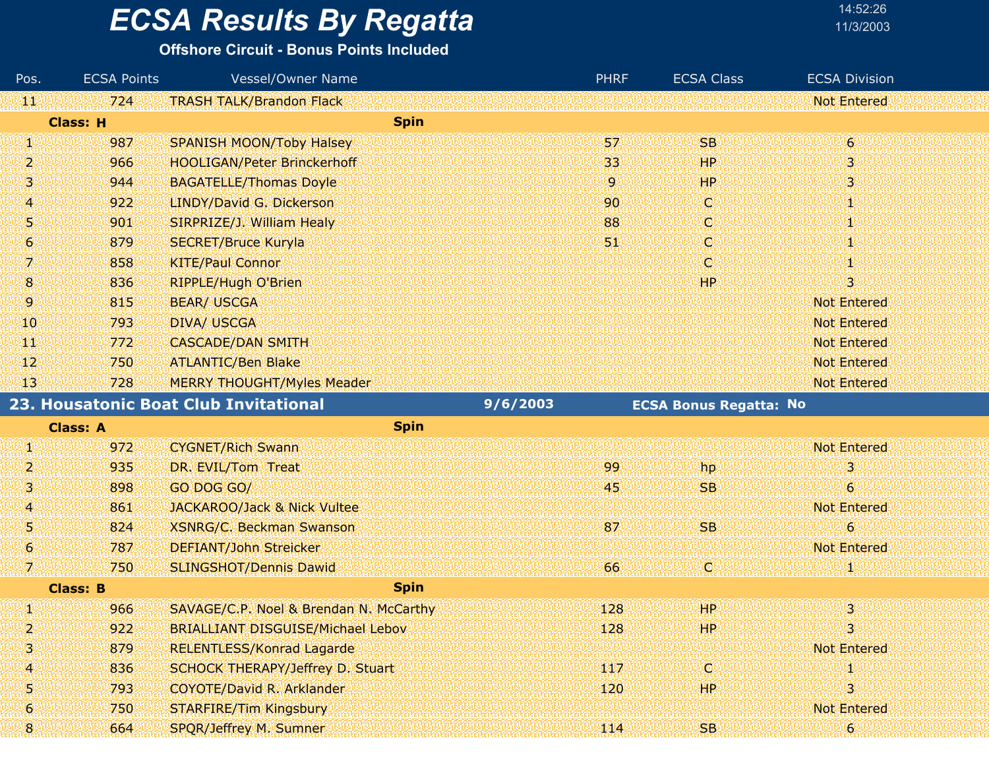| 14:52:26  |
|-----------|
| 11/3/2003 |
|           |

| Pos. | <b>ECSA Points</b> | <b>Vessel/Owner Name</b>                 |          | <b>PHRF</b> | <b>ECSA Class</b>             | <b>ECSA Division</b>    |
|------|--------------------|------------------------------------------|----------|-------------|-------------------------------|-------------------------|
| 無機   | 724                | <b>TRASH TALK/Brandon Flack</b>          |          |             |                               | <b>Not Entered</b>      |
|      | <b>Class: H</b>    | <b>Spin</b>                              |          |             |                               |                         |
| W    | 987                | <b>SPANISH MOON/Toby Halsey</b>          |          | 57          | <b>SB</b>                     | $\overline{6}$          |
| 2.   | 966                | <b>HOOLIGAN/Peter Brinckerhoff</b>       |          | 33          | HP                            | 3                       |
| 31   | 944                | <b>BAGATELLE/Thomas Doyle</b>            |          | 9           | HP                            | $\overline{\mathbf{3}}$ |
| 4    | 922                | LINDY/David G. Dickerson                 |          | 90          | IC.                           | šŅ.                     |
| 5    | 901                | SIRPRIZE/J. William Healy                |          | 88          | C                             | 1                       |
| 6    | 879                | <b>SECRET/Bruce Kuryla</b>               |          | 51.         | Ο                             | Ш                       |
| 7.   | 858                | <b>KITE/Paul Connor</b>                  |          |             | C.                            | šÚ,                     |
| 8    | 836                | <b>RIPPLE/Hugh O'Brien</b>               |          |             | <b>HP</b>                     | Э                       |
| 9.   | 815                | <b>BEAR/ USCGA</b>                       |          |             |                               | <b>Not Entered</b>      |
| 10   | 793                | <b>DIVA/ USCGA</b>                       |          |             |                               | <b>Not Entered</b>      |
| TТ   | 772                | <b>CASCADE/DAN SMITH</b>                 |          |             |                               | <b>Not Entered</b>      |
| 42   | 750                | <b>ATLANTIC/Ben Blake</b>                |          |             |                               | <b>Not Entered</b>      |
| 13   | 728                | <b>MERRY THOUGHT/Myles Meader</b>        |          |             |                               | <b>Not Entered</b>      |
|      |                    | 23. Housatonic Boat Club Invitational    | 9/6/2003 |             | <b>ECSA Bonus Regatta: No</b> |                         |
|      | <b>Class: A</b>    | <b>Spin</b>                              |          |             |                               |                         |
| W    | 972                | <b>CYGNET/Rich Swann</b>                 |          |             |                               | <b>Not Entered</b>      |
| 2.   | 935                | DR. EVIL/Tom Treat                       |          | 99          | hp                            | 3                       |
| 3    | 898                | GO DOG GO/                               |          | 45          | <b>SB</b>                     | $\boldsymbol{6}$        |
| A.   | 861                | <b>JACKAROO/Jack &amp; Nick Vultee</b>   |          |             |                               | <b>Not Entered</b>      |
| 51   | 824                | <b>XSNRG/C. Beckman Swanson</b>          |          | 87          | <b>SB</b>                     | 6                       |
| 6.   | 787                | <b>DEFIANT/John Streicker</b>            |          |             |                               | <b>Not Entered</b>      |
| 7    | 750                | <b>SLINGSHOT/Dennis Dawid</b>            |          | 66          | O)                            | 31.                     |
|      | <b>Class: B</b>    | <b>Spin</b>                              |          |             |                               |                         |
| W    | 966                | SAVAGE/C.P. Noel & Brendan N. McCarthy   |          | 128         | HP                            | $\overline{\mathbf{3}}$ |
| 2    | 922                | <b>BRIALLIANT DISGUISE/Michael Lebov</b> |          | 128         | HP.                           | 3                       |
| 3    | 879                | <b>RELENTLESS/Konrad Lagarde</b>         |          |             |                               | <b>Not Entered</b>      |
| 4    | 836                | SCHOCK THERAPY/Jeffrey D. Stuart         |          | 117         | W                             |                         |
| 5.   | 793                | <b>COYOTE/David R. Arklander</b>         |          | 120         | HP.                           |                         |
| 6    | 750                | <b>STARFIRE/Tim Kingsbury</b>            |          |             |                               | <b>Not Entered</b>      |
| 8    | 664                | SPQR/Jeffrey M. Sumner                   |          | 114         | SB                            | $\boldsymbol{6}$        |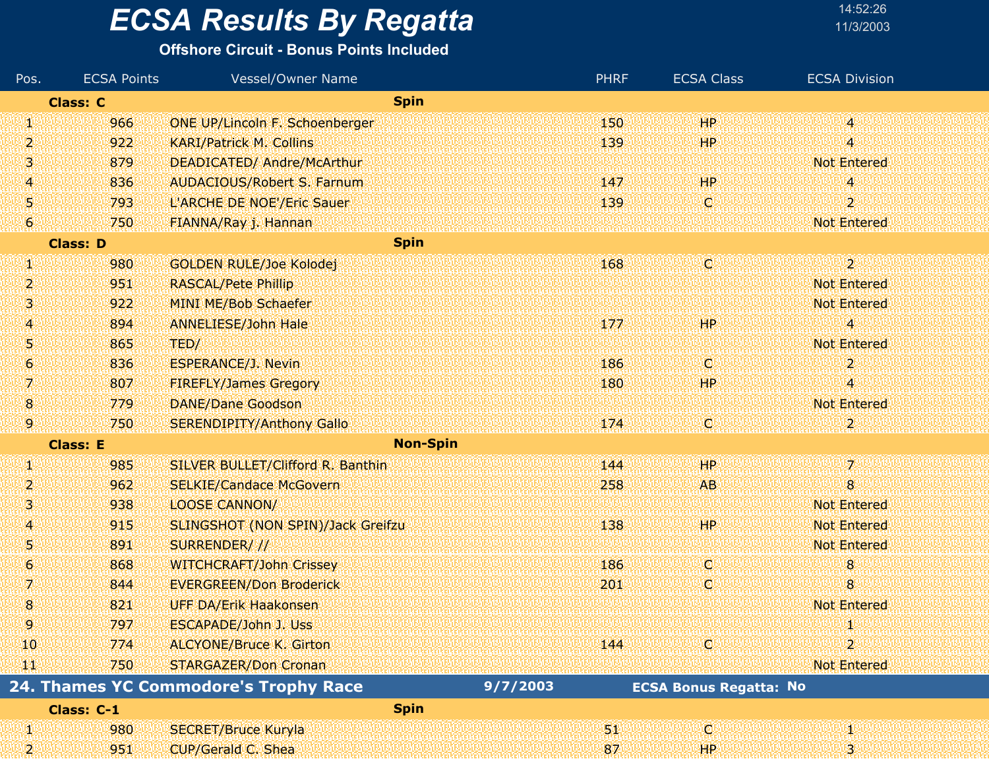#### **Offshore Circuit - Bonus Points Included**

| Pos.                  | <b>ECSA Points</b> | <b>Vessel/Owner Name</b>              | <b>PHRF</b> | <b>ECSA Class</b>             | <b>ECSA Division</b> |
|-----------------------|--------------------|---------------------------------------|-------------|-------------------------------|----------------------|
|                       | <b>Class: C</b>    | <b>Spin</b>                           |             |                               |                      |
| W                     | 966                | <b>ONE UP/Lincoln F. Schoenberger</b> | 150         | HP.                           | V)                   |
| 2                     | 922                | <b>KARI/Patrick M. Collins</b>        | 139         | HP                            | 4                    |
| Ŋ                     | 879                | DEADICATED/ Andre/McArthur            |             |                               | <b>Not Entered</b>   |
| 4                     | 836                | <b>AUDACIOUS/Robert S. Farnum</b>     | 147         | HP.                           | 4                    |
| Ŋ                     | 793                | L'ARCHE DE NOE'/Eric Sauer            | 139         | Ø                             | 2.                   |
| $\bullet$             | 750                | FIANNA/Ray j. Hannan                  |             |                               | <b>Not Entered</b>   |
|                       | <b>Class: D</b>    | <b>Spin</b>                           |             |                               |                      |
| Ø                     | 980                | <b>GOLDEN RULE/Joe Kolodej</b>        | 168         | Q                             | $\overline{2}$       |
| 2                     | 951                | <b>RASCAL/Pete Phillip</b>            |             |                               | <b>Not Entered</b>   |
| 3                     | 922                | <b>MINI ME/Bob Schaefer</b>           |             |                               | <b>Not Entered</b>   |
| $\mathbf{4}^{\prime}$ | 894                | <b>ANNELIESE/John Hale</b>            | 177         | HР                            | $\overline{4}$       |
| 51                    | 865                | TED/                                  |             |                               | <b>Not Entered</b>   |
| 6                     | 836                | <b>ESPERANCE/J. Nevin</b>             | 186         | O                             | $\mathbf{2}$         |
| 7.                    | 807                | <b>FIREFLY/James Gregory</b>          | 180         | HР                            | 4                    |
| $\mathbf{8}$          | 779                | <b>DANE/Dane Goodson</b>              |             |                               | <b>Not Entered</b>   |
| 9.                    | 750                | <b>SERENDIPITY/Anthony Gallo</b>      | 174         | C                             | 2.                   |
|                       | <b>Class: E</b>    | <b>Non-Spin</b>                       |             |                               |                      |
| Ø                     | 985                | SILVER BULLET/Clifford R. Banthin     | 144         | HP                            | 7.                   |
| 2                     | 962                | <b>SELKIE/Candace McGovern</b>        | 258         | AB.                           | 8                    |
| 3                     | 938                | <b>LOOSE CANNON/</b>                  |             |                               | <b>Not Entered</b>   |
| 41                    | 915                | SLINGSHOT (NON SPIN)/Jack Greifzu     | 138         | HP                            | <b>Not Entered</b>   |
| 5                     | 891                | SURRENDER///                          |             |                               | <b>Not Entered</b>   |
| $\ddot{\mathbf{6}}$   | 868                | <b>WITCHCRAFT/John Crissey</b>        | 186         | O                             | 8                    |
| 7                     | 844                | <b>EVERGREEN/Don Broderick</b>        | 201         | O                             | 8                    |
| 8                     | 821                | <b>UFF DA/Erik Haakonsen</b>          |             |                               | <b>Not Entered</b>   |
| 9.                    | 797                | ESCAPADE/John J. Uss                  |             |                               |                      |
| 10                    | 774                | <b>ALCYONE/Bruce K. Girton</b>        | 144         | O                             | $\overline{2}$       |
| W                     | 750                | <b>STARGAZER/Don Cronan</b>           |             |                               | <b>Not Entered</b>   |
|                       |                    | 24. Thames YC Commodore's Trophy Race | 9/7/2003    | <b>ECSA Bonus Regatta: No</b> |                      |
|                       | Class: C-1         | <b>Spin</b>                           |             |                               |                      |
| W                     | 980                | <b>SECRET/Bruce Kuryla</b>            | 91          | <b>ICI</b>                    | M.                   |
| 2                     | 951                | CUP/Gerald C. Shea                    | 87          | <b>HP</b>                     | 3.                   |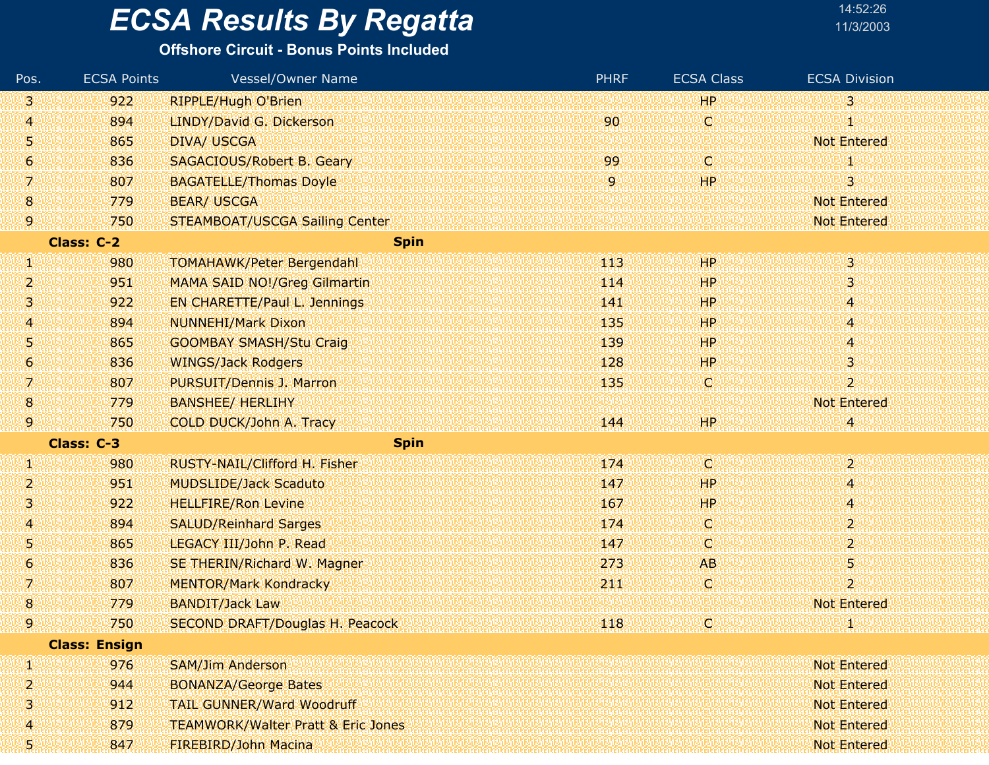#### **Offshore Circuit - Bonus Points Included**

| Pos.             | <b>ECSA Points</b>   | <b>Vessel/Owner Name</b>                      | <b>PHRF</b> | <b>ECSA Class</b> | <b>ECSA Division</b> |
|------------------|----------------------|-----------------------------------------------|-------------|-------------------|----------------------|
| 131              | 922                  | <b>RIPPLE/Hugh O'Brien</b>                    |             | <b>HP</b>         | 3                    |
| 4                | 894                  | LINDY/David G. Dickerson                      | 90          | Ç,                |                      |
| 51               | 865                  | <b>DIVA/ USCGA</b>                            |             |                   | <b>Not Entered</b>   |
| $\boldsymbol{6}$ | 836                  | <b>SAGACIOUS/Robert B. Geary</b>              | 99          | C                 |                      |
| 7                | 807                  | <b>BAGATELLE/Thomas Doyle</b>                 | 9           | HP                | 3                    |
| 8                | 779                  | <b>BEAR/ USCGA</b>                            |             |                   | <b>Not Entered</b>   |
| 9.               | 750                  | <b>STEAMBOAT/USCGA Sailing Center</b>         |             |                   | <b>Not Entered</b>   |
|                  | <b>Class: C-2</b>    | <b>Spin</b>                                   |             |                   |                      |
| Щ                | 980                  | <b>TOMAHAWK/Peter Bergendahl</b>              | 443         | HP                | 3                    |
| 2                | 951                  | <b>MAMA SAID NO!/Greg Gilmartin</b>           | 114         | HP                | 3                    |
| 3                | 922                  | EN CHARETTE/Paul L. Jennings                  | 141         | HР                | 4                    |
| 4                | 894                  | <b>NUNNEHI/Mark Dixon</b>                     | 135         | <b>HP</b>         | 4                    |
| 5                | 865                  | <b>GOOMBAY SMASH/Stu Craig</b>                | 139         | HP                | 4                    |
| 6                | 836                  | <b>WINGS/Jack Rodgers</b>                     | 128         | HР                | 3                    |
| 7                | 807                  | PURSUIT/Dennis J. Marron                      | 135         | C                 | $\overline{2}$       |
| 8                | 779                  | <b>BANSHEE/ HERLIHY</b>                       |             |                   | <b>Not Entered</b>   |
| 9.               | 750                  | COLD DUCK/John A. Tracy                       | 144         | HP                | 4                    |
|                  | Class: C-3           | <b>Spin</b>                                   |             |                   |                      |
| W                | 980                  | RUSTY-NAIL/Clifford H. Fisher                 | 174         | d                 | $\overline{2}$       |
| 2                | 951                  | <b>MUDSLIDE/Jack Scaduto</b>                  | 147         | <b>HP</b>         | 4                    |
| ß,               | 922                  | <b>HELLFIRE/Ron Levine</b>                    | 167         | HР                | 4                    |
| $\overline{A}$   | 894                  | <b>SALUD/Reinhard Sarges</b>                  | 174         | O.                | 2                    |
| 5                | 865                  | LEGACY III/John P. Read                       | 147         | C                 | 2                    |
| 6                | 836                  | SE THERIN/Richard W. Magner                   | 273         | <b>AB</b>         | 5                    |
| 7                | 807                  | <b>MENTOR/Mark Kondracky</b>                  | 211         | O                 | 2                    |
| 8                | 779                  | <b>BANDIT/Jack Law</b>                        |             |                   | <b>Not Entered</b>   |
| 9                | 750                  | <b>SECOND DRAFT/Douglas H. Peacock</b>        | 118         | Q                 |                      |
|                  | <b>Class: Ensign</b> |                                               |             |                   |                      |
| И                | 976                  | <b>SAM/Jim Anderson</b>                       |             |                   | <b>Not Entered</b>   |
| 2                | 944                  | <b>BONANZA/George Bates</b>                   |             |                   | <b>Not Entered</b>   |
| 3                | 912                  | <b>TAIL GUNNER/Ward Woodruff</b>              |             |                   | <b>Not Entered</b>   |
| 4                | 879                  | <b>TEAMWORK/Walter Pratt &amp; Eric Jones</b> |             |                   | <b>Not Entered</b>   |
| 51               | 847                  | FIREBIRD/John Macina                          |             |                   | <b>Not Entered</b>   |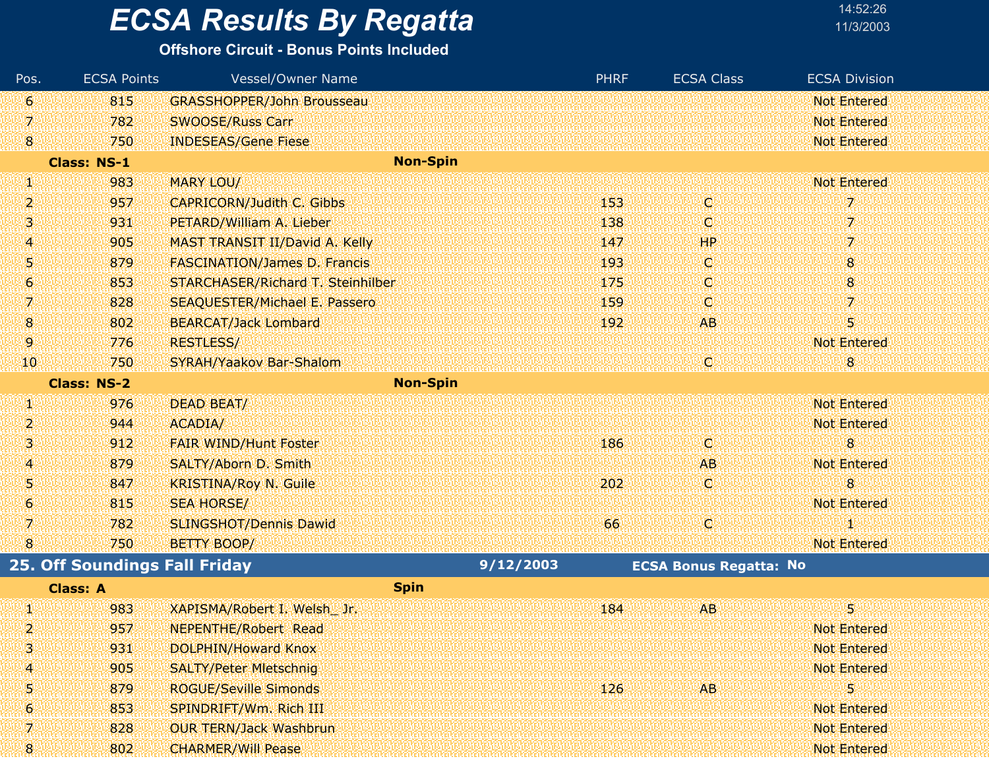**Offshore Circuit - Bonus Points Included**

| Pos.           | <b>ECSA Points</b>                   | <b>Vessel/Owner Name</b>             |           | <b>PHRF</b> | <b>ECSA Class</b>             | <b>ECSA Division</b> |
|----------------|--------------------------------------|--------------------------------------|-----------|-------------|-------------------------------|----------------------|
| 61             | 815                                  | <b>GRASSHOPPER/John Brousseau</b>    |           |             |                               | <b>Not Entered</b>   |
| 7              | 782                                  | <b>SWOOSE/Russ Carr</b>              |           |             |                               | <b>Not Entered</b>   |
| $\bf{8}$       | 750                                  | <b>INDESEAS/Gene Fiese</b>           |           |             |                               | <b>Not Entered</b>   |
|                | <b>Class: NS-1</b>                   | <b>Non-Spin</b>                      |           |             |                               |                      |
| W              | 983                                  | MARY LOU/                            |           |             |                               | <b>Not Entered</b>   |
| 2              | 957                                  | <b>CAPRICORN/Judith C. Gibbs</b>     |           | 153         | C                             | 7                    |
| 3              | 931                                  | PETARD/William A. Lieber             |           | 138         | C                             | 7                    |
| $\overline{A}$ | 905                                  | MAST TRANSIT II/David A. Kelly       |           | 147         | HP                            | 7                    |
| 5              | 879                                  | <b>FASCINATION/James D. Francis</b>  |           | 193         | C.                            | 8                    |
| 6              | 853                                  | STARCHASER/Richard T. Steinhilber    |           | 175         | C                             | 8                    |
| 7.             | 828                                  | <b>SEAQUESTER/Michael E. Passero</b> |           | 159         | C.                            | 7.                   |
| $\bf{8}$       | 802                                  | <b>BEARCAT/Jack Lombard</b>          |           | 192         | <b>AB</b>                     | 5                    |
| 9              | 776                                  | <b>RESTLESS/</b>                     |           |             |                               | <b>Not Entered</b>   |
| 10             | 750                                  | SYRAH/Yaakov Bar-Shalom              |           |             | O                             | 8                    |
|                | <b>Class: NS-2</b>                   | <b>Non-Spin</b>                      |           |             |                               |                      |
| Щ              | 976                                  | DEAD BEAT/                           |           |             |                               | <b>Not Entered</b>   |
| 2              | 944                                  | <b>ACADIA/</b>                       |           |             |                               | <b>Not Entered</b>   |
| 13,            | 912                                  | <b>FAIR WIND/Hunt Foster</b>         |           | 186         | C.                            | 8                    |
| 4              | 879                                  | SALTY/Aborn D. Smith                 |           |             | <b>AB</b>                     | <b>Not Entered</b>   |
| 5              | 847                                  | <b>KRISTINA/Roy N. Guile</b>         |           | 202         | C.                            | 8                    |
| 6              | 815                                  | <b>SEA HORSE/</b>                    |           |             |                               | <b>Not Entered</b>   |
| 7.             | 782                                  | <b>SLINGSHOT/Dennis Dawid</b>        |           | 66          | C)                            | O                    |
| 8              | 750                                  | <b>BETTY BOOP/</b>                   |           |             |                               | <b>Not Entered</b>   |
|                | <b>25. Off Soundings Fall Friday</b> |                                      | 9/12/2003 |             | <b>ECSA Bonus Regatta: No</b> |                      |
|                | <b>Class: A</b>                      | <b>Spin</b>                          |           |             |                               |                      |
| H              | 983                                  | XAPISMA/Robert I. Welsh Jr.          |           | 184         | <b>AB</b>                     | 5                    |
| 2              | 957                                  | <b>NEPENTHE/Robert Read</b>          |           |             |                               | <b>Not Entered</b>   |
| з              | 931                                  | DOLPHIN/Howard Knox                  |           |             |                               | <b>Not Entered</b>   |
| 4              | 905                                  | <b>SALTY/Peter Mietschnig</b>        |           |             |                               | <b>Not Entered</b>   |
| 5              | 879                                  | <b>ROGUE/Seville Simonds</b>         |           | 126         | AB.                           | 5                    |
| 6              | 853                                  | SPINDRIFT/Wm. Rich III               |           |             |                               | <b>Not Entered</b>   |
| 7              | 828                                  | <b>OUR TERN/Jack Washbrun</b>        |           |             |                               | <b>Not Entered</b>   |
| 8              | 802                                  | <b>CHARMER/Will Pease</b>            |           |             |                               | <b>Not Entered</b>   |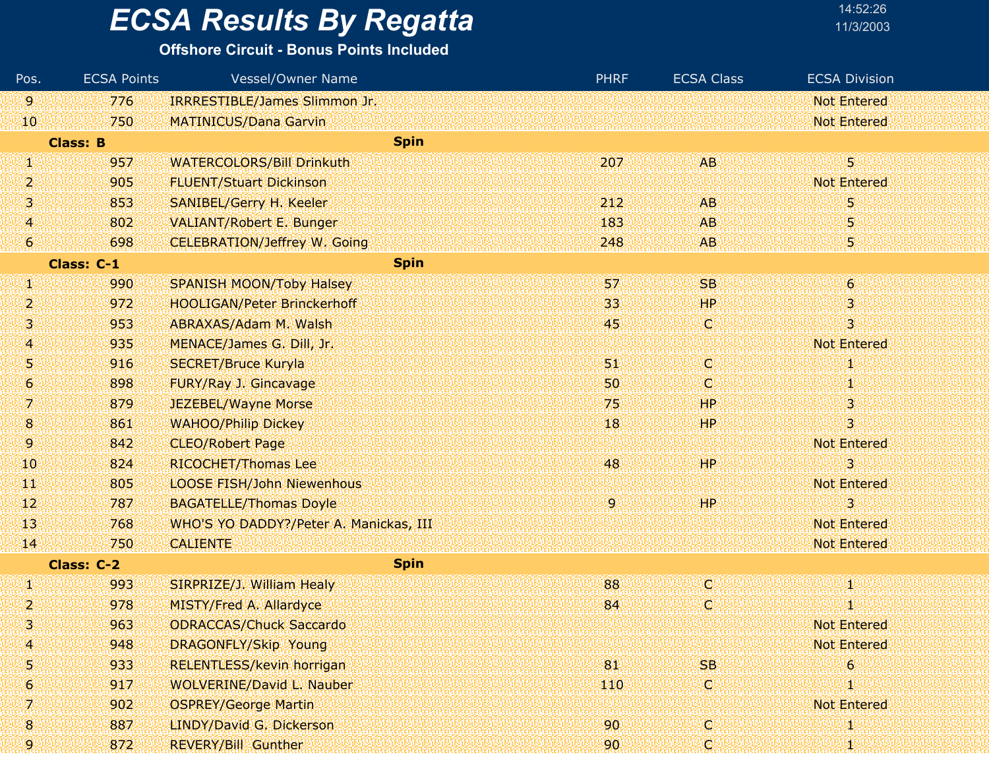#### **Offshore Circuit - Bonus Points Included**

| Pos.            | <b>ECSA Points</b> | <b>Vessel/Owner Name</b>               | <b>PHRF</b> | <b>ECSA Class</b> | <b>ECSA Division</b>    |
|-----------------|--------------------|----------------------------------------|-------------|-------------------|-------------------------|
| 9.              | 776                | IRRRESTIBLE/James Slimmon Jr.          |             |                   | <b>Not Entered</b>      |
| 10 <sub>1</sub> | 750                | <b>MATINICUS/Dana Garvin</b>           |             |                   | <b>Not Entered</b>      |
|                 | <b>Class: B</b>    | <b>Spin</b>                            |             |                   |                         |
| W               | 957                | <b>WATERCOLORS/Bill Drinkuth</b>       | 207         | <b>AB</b>         | 5                       |
| 2               | 905                | <b>FLUENT/Stuart Dickinson</b>         |             |                   | <b>Not Entered</b>      |
| 3               | 853                | SANIBEL/Gerry H. Keeler                | 212         | AB                | 5                       |
| 4               | 802                | <b>VALIANT/Robert E. Bunger</b>        | 183         | <b>AB</b>         | 5                       |
| 6               | 698                | <b>CELEBRATION/Jeffrey W. Going</b>    | 248         | <b>AB</b>         | 5.                      |
|                 | Class: C-1         | <b>Spin</b>                            |             |                   |                         |
| S)              | 990                | <b>SPANISH MOON/Toby Halsey</b>        | 57          | <b>SB</b>         | $\ddot{\mathbf{6}}$     |
| 2               | 972                | <b>HOOLIGAN/Peter Brinckerhoff</b>     | 33          | <b>HP</b>         | 3                       |
| 31              | 953                | ABRAXAS/Adam M. Walsh                  | 45          | (C)               | 3                       |
| 4               | 935                | MENACE/James G. Dill, Jr.              |             |                   | <b>Not Entered</b>      |
| 5               | 916                | <b>SECRET/Bruce Kuryla</b>             | 51          | IC.               | 90                      |
| 6               | 898                | FURY/Ray J. Gincavage                  | 50          | (C)               | Ψ                       |
| 7.              | 879                | JEZEBEL/Wayne Morse                    | 75          | <b>HP</b>         | 3                       |
| 18.             | 861                | <b>WAHOO/Philip Dickey</b>             | 18          | HP                | 3                       |
| 9.              | 842                | <b>CLEO/Robert Page</b>                |             |                   | <b>Not Entered</b>      |
| 10              | 824                | RICOCHET/Thomas Lee                    | 48          | HР                | 3.                      |
| щU              | 805                | <b>LOOSE FISH/John Niewenhous</b>      |             |                   | <b>Not Entered</b>      |
| 12              | 787                | <b>BAGATELLE/Thomas Doyle</b>          | 9.          | HP                | $\overline{\mathbf{3}}$ |
| 13              | 768                | WHO'S YO DADDY?/Peter A. Manickas, III |             |                   | <b>Not Entered</b>      |
| 14.             | 750                | <b>CALIENTE</b>                        |             |                   | Not Entered             |
|                 | Class: C-2         | <b>Spin</b>                            |             |                   |                         |
| W               | 993                | SIRPRIZE/J. William Healy              | 88          | O                 | ă,                      |
| 2               | 978                | <b>MISTY/Fred A. Allardyce</b>         | 84          | Q                 | 1                       |
| 3               | 963                | <b>ODRACCAS/Chuck Saccardo</b>         |             |                   | <b>Not Entered</b>      |
| 4               | 948                | DRAGONFLY/Skip Young                   |             |                   | <b>Not Entered</b>      |
| 5               | 933                | <b>RELENTLESS/kevin horrigan</b>       | 81          | <b>SB</b>         | 6                       |
| 6.              | 917                | <b>WOLVERINE/David L. Nauber</b>       | 110         | O                 |                         |
| 7.              | 902                | <b>OSPREY/George Martin</b>            |             |                   | <b>Not Entered</b>      |
| 8               | 887                | LINDY/David G. Dickerson               | 90          | C.                | 1                       |
| 9.              | 872                | <b>REVERY/Bill Gunther</b>             | 90          | ω                 | 1                       |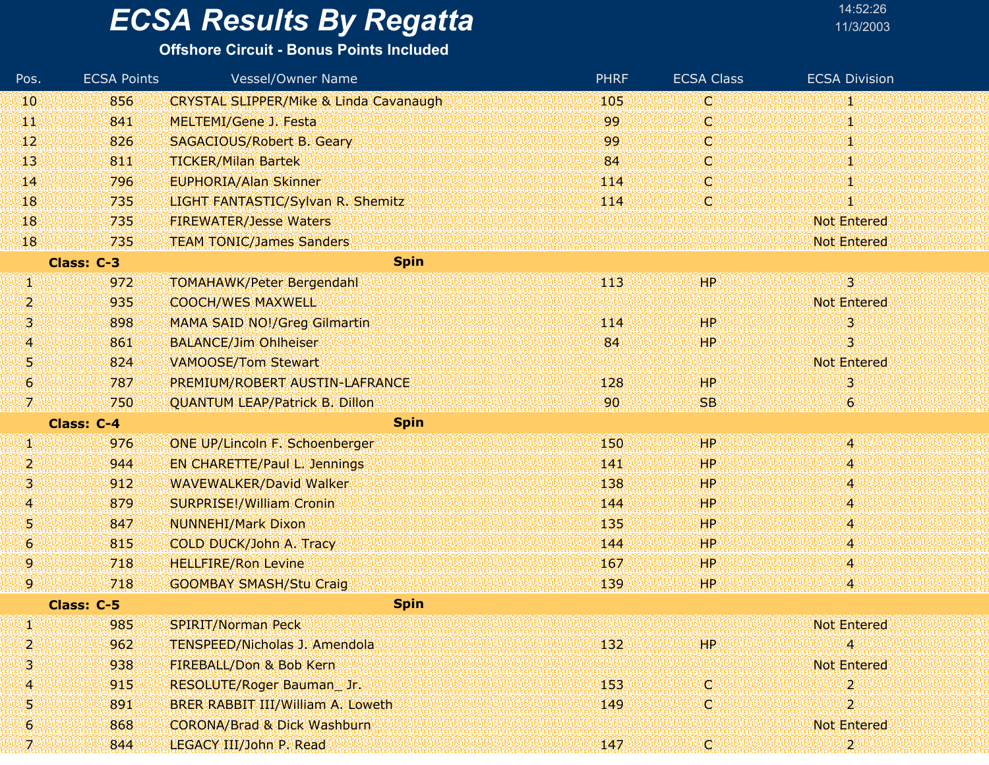# **ECSA Results By Regatta**

| 14:52:26  |  |
|-----------|--|
| 11/3/200: |  |

| Pos.            | <b>ECSA Points</b> | <b>Vessel/Owner Name</b>                          | <b>PHRF</b>     | <b>ECSA Class</b> | <b>ECSA Division</b>    |
|-----------------|--------------------|---------------------------------------------------|-----------------|-------------------|-------------------------|
| 10              | 856                | <b>CRYSTAL SLIPPER/Mike &amp; Linda Cavanaugh</b> | 105             | O                 | 1                       |
| 44              | 841                | MELTEMI/Gene J. Festa                             | 99              | O                 | 1                       |
| 12              | 826                | SAGACIOUS/Robert B. Geary                         | 99              | O                 |                         |
| 13              | 811                | <b>TICKER/Milan Bartek</b>                        | 84              | O                 | 1                       |
| 14              | 796                | <b>EUPHORIA/Alan Skinner</b>                      | 114             | O.                |                         |
| 18              | 735                | LIGHT FANTASTIC/Sylvan R. Shemitz                 | 114             | O                 |                         |
| 18              | 735                | <b>FIREWATER/Jesse Waters</b>                     |                 |                   | <b>Not Entered</b>      |
| 18              | 735                | <b>TEAM TONIC/James Sanders</b>                   |                 |                   | <b>Not Entered</b>      |
|                 | Class: C-3         | <b>Spin</b>                                       |                 |                   |                         |
| 59              | 972                | <b>TOMAHAWK/Peter Bergendahl</b>                  | 443             | HP                | 31                      |
| 2               | 935                | <b>COOCH/WES MAXWELL</b>                          |                 |                   | <b>Not Entered</b>      |
| 3,              | 898                | <b>MAMA SAID NO!/Greg Gilmartin</b>               | 114             | HP                | 3                       |
| 4               | 861                | <b>BALANCE/Jim Ohlheiser</b>                      | 84              | HP.               | 3.                      |
| 5               | 824                | <b>VAMOOSE/Tom Stewart</b>                        |                 |                   | <b>Not Entered</b>      |
| $\vert 6 \vert$ | 787                | PREMIUM/ROBERT AUSTIN-LAFRANCE                    | 128             | <b>HP</b>         | 3                       |
| 7.              | 750                | <b>QUANTUM LEAP/Patrick B. Dillon</b>             | 90 <sup>1</sup> | <b>SB</b>         | $\epsilon$              |
|                 | <b>Class: C-4</b>  | <b>Spin</b>                                       |                 |                   |                         |
| W,              | 976                | ONE UP/Lincoln F. Schoenberger                    | 150             | HP                | 4                       |
| 2               | 944                | <b>EN CHARETTE/Paul L. Jennings</b>               | 141             | HP                | 4                       |
| 3.              | 912                | <b>WAVEWALKER/David Walker</b>                    | 138             | <b>HP</b>         | 48                      |
| 41              | 879                | <b>SURPRISE!/William Cronin</b>                   | 144             | HP.               | 4                       |
| 5               | 847                | <b>NUNNEHI/Mark Dixon</b>                         | 135             | HP                | $\overline{4}$          |
| 6               | 815                | COLD DUCK/John A. Tracy                           | 144             | HP.               | 48                      |
| 9               | 718                | <b>HELLFIRE/Ron Levine</b>                        | 167             | HP.               | 4                       |
| 9.              | 718                | <b>GOOMBAY SMASH/Stu Craig</b>                    | 139             | HP.               | $\overline{\mathbf{4}}$ |
|                 | Class: C-5         | <b>Spin</b>                                       |                 |                   |                         |
| J)              | 985                | <b>SPIRIT/Norman Peck</b>                         |                 |                   | <b>Not Entered</b>      |
| 2               | 962                | <b>TENSPEED/Nicholas J. Amendola</b>              | 132             | HP.               | Μ.                      |
| 3.              | 938                | FIREBALL/Don & Bob Kern                           |                 |                   | <b>Not Entered</b>      |
| 41              | 915                | RESOLUTE/Roger Bauman_Jr.                         | 153             | O                 | $\overline{\mathbf{2}}$ |
| 51              | 891                | BRER RABBIT III/William A. Loweth                 | 149             | IC.               | $\overline{2}$          |
| 6               | 868                | <b>CORONA/Brad &amp; Dick Washburn</b>            |                 |                   | <b>Not Entered</b>      |
| 7               | 844                | LEGACY III/John P. Read                           | 147             | W                 | $\boldsymbol{2}$        |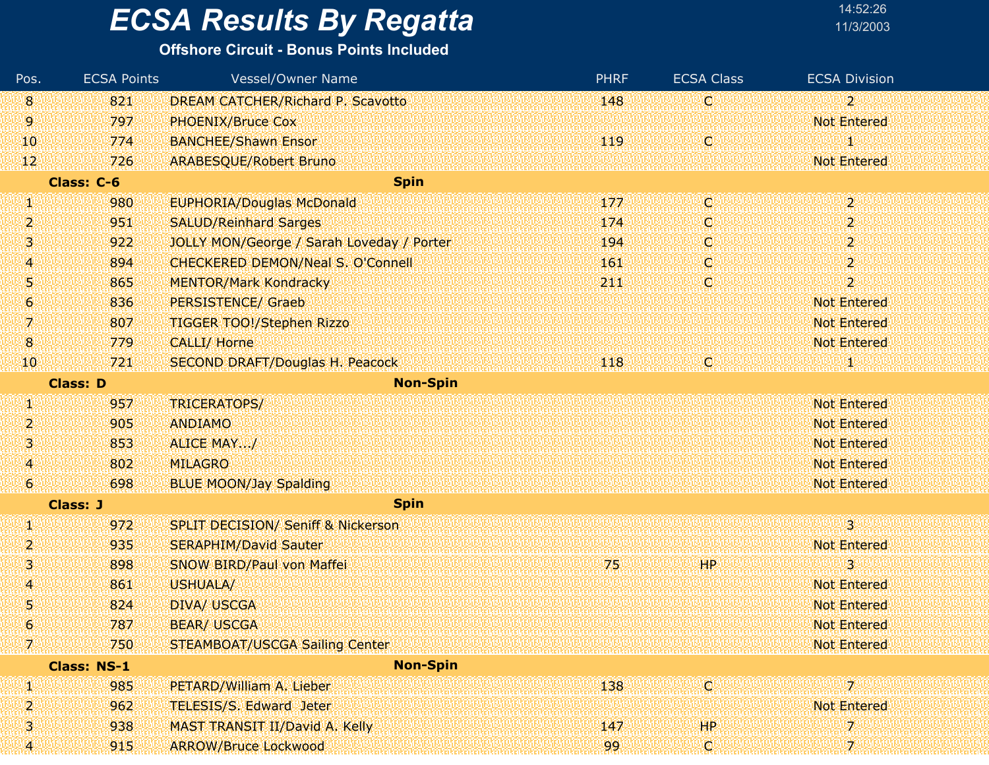#### **Offshore Circuit - Bonus Points Included**

| Pos.           | <b>ECSA Points</b> | Vessel/Owner Name                             | <b>PHRF</b> | <b>ECSA Class</b> | <b>ECSA Division</b>  |
|----------------|--------------------|-----------------------------------------------|-------------|-------------------|-----------------------|
| $\overline{8}$ | 821                | <b>DREAM CATCHER/Richard P. Scavotto</b>      | 148         | C.                | $2^{\circ}$           |
| 9              | 797                | <b>PHOENIX/Bruce Cox</b>                      |             |                   | <b>Not Entered</b>    |
| 10             | 774                | <b>BANCHEE/Shawn Ensor</b>                    | 119         | O                 | 1                     |
| 12             | 726                | <b>ARABESQUE/Robert Bruno</b>                 |             |                   | <b>Not Entered</b>    |
|                | Class: C-6         | <b>Spin</b>                                   |             |                   |                       |
| V)             | 980                | <b>EUPHORIA/Douglas McDonald</b>              | 177         | C.                | 2.                    |
| 2              | 951                | <b>SALUD/Reinhard Sarges</b>                  | 174         | O                 | $\mathbf{2}^{\circ}$  |
| 3              | 922                | JOLLY MON/George / Sarah Loveday / Porter     | 194         | O                 | $\overline{2}$        |
| 4              | 894                | <b>CHECKERED DEMON/Neal S. O'Connell</b>      | 161         | O.                | $\mathbf{2}^{\prime}$ |
| 5              | 865                | <b>MENTOR/Mark Kondracky</b>                  | 211         | C.                | $\overline{2}$        |
| 6              | 836                | <b>PERSISTENCE/ Graeb</b>                     |             |                   | <b>Not Entered</b>    |
| 7.             | 807                | <b>TIGGER TOO!/Stephen Rizzo</b>              |             |                   | <b>Not Entered</b>    |
| $\bf{8}$       | 779                | <b>CALLI/ Horne</b>                           |             |                   | <b>Not Entered</b>    |
| 10             | 721                | <b>SECOND DRAFT/Douglas H. Peacock</b>        | 118         | O                 | 80                    |
|                | <b>Class: D</b>    | <b>Non-Spin</b>                               |             |                   |                       |
| И              | 957                | TRICERATOPS/                                  |             |                   | <b>Not Entered</b>    |
| 2              | 905                | <b>ANDIAMO</b>                                |             |                   | <b>Not Entered</b>    |
| 3              | 853                | ALICE MAY/                                    |             |                   | <b>Not Entered</b>    |
| 4              | 802                | <b>MILAGRO</b>                                |             |                   | <b>Not Entered</b>    |
| 6              | 698                | <b>BLUE MOON/Jay Spalding</b>                 |             |                   | Not Entered           |
|                | <b>Class: J</b>    | <b>Spin</b>                                   |             |                   |                       |
| И              | 972                | <b>SPLIT DECISION/ Seniff &amp; Nickerson</b> |             |                   | $\overline{3}$        |
| 2              | 935                | <b>SERAPHIM/David Sauter</b>                  |             |                   | <b>Not Entered</b>    |
| 3              | 898                | <b>SNOW BIRD/Paul von Maffei</b>              | 75          | HP                | 3                     |
| 4              | 861                | <b>USHUALA/</b>                               |             |                   | <b>Not Entered</b>    |
| 5              | 824                | <b>DIVA/ USCGA</b>                            |             |                   | <b>Not Entered</b>    |
| 6              | 787                | <b>BEAR/ USCGA</b>                            |             |                   | <b>Not Entered</b>    |
| 7              | 750                | <b>STEAMBOAT/USCGA Sailing Center</b>         |             |                   | <b>Not Entered</b>    |
|                | <b>Class: NS-1</b> | <b>Non-Spin</b>                               |             |                   |                       |
| W              | 985                | PETARD/William A. Lieber                      | 138         | ici               | 7                     |
| 2              | 962                | TELESIS/S. Edward Jeter                       |             |                   | <b>Not Entered</b>    |
| з              | 938                | MAST TRANSIT II/David A. Kelly                | 147         | HP.               | 7                     |
| 4              | 915                | <b>ARROW/Bruce Lockwood</b>                   | 99          | C)                | $\mathcal{I}$         |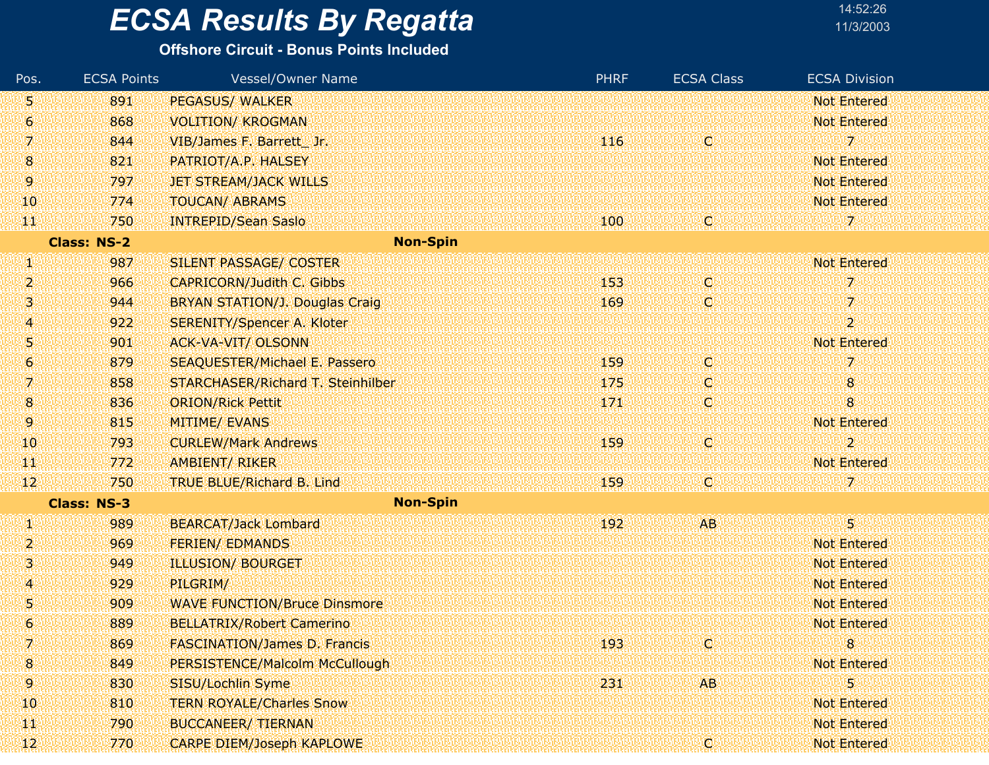#### **Offshore Circuit - Bonus Points Included**

| Pos.           | <b>ECSA Points</b> | <b>Vessel/Owner Name</b>                 | <b>PHRF</b> | <b>ECSA Class</b> | <b>ECSA Division</b> |
|----------------|--------------------|------------------------------------------|-------------|-------------------|----------------------|
| 51             | 891                | <b>PEGASUS/ WALKER</b>                   |             |                   | <b>Not Entered</b>   |
| 6              | 868                | <b>VOLITION/ KROGMAN</b>                 |             |                   | <b>Not Entered</b>   |
| 7.             | 844                | VIB/James F. Barrett Jr.                 | 116         | O                 | 7.                   |
| 18.            | 821                | PATRIOT/A.P. HALSEY                      |             |                   | <b>Not Entered</b>   |
| 9              | 797                | <b>JET STREAM/JACK WILLS</b>             |             |                   | <b>Not Entered</b>   |
| 10             | 774                | <b>TOUCAN/ ABRAMS</b>                    |             |                   | <b>Not Entered</b>   |
| W              | 750                | <b>INTREPID/Sean Saslo</b>               | 100         | C)                | 7.                   |
|                | <b>Class: NS-2</b> | <b>Non-Spin</b>                          |             |                   |                      |
| U)             | 987                | SILENT PASSAGE/ COSTER                   |             |                   | <b>Not Entered</b>   |
| 2.             | 966                | <b>CAPRICORN/Judith C. Gibbs</b>         | 153         | C                 | 7                    |
| Ņ              | 944                | <b>BRYAN STATION/J. Douglas Craig</b>    | 169         | C.                | 7.                   |
| 4              | 922                | <b>SERENITY/Spencer A. Kloter</b>        |             |                   | $\overline{2}$       |
| Ŋ              | 901                | <b>ACK-VA-VIT/ OLSONN</b>                |             |                   | <b>Not Entered</b>   |
| 6              | 879                | <b>SEAQUESTER/Michael E. Passero</b>     | 159         | C.                | 7                    |
| 7.             | 858                | <b>STARCHASER/Richard T. Steinhilber</b> | 175         | C.                | 8                    |
| $8\phantom{1}$ | 836                | <b>ORION/Rick Pettit</b>                 | 171         | O                 | $\bf{8}$             |
| 9              | 815                | <b>MITIME/ EVANS</b>                     |             |                   | <b>Not Entered</b>   |
| 10             | 793                | <b>CURLEW/Mark Andrews</b>               | 159         | C.                | $\overline{2}$       |
| ТW             | 772                | <b>AMBIENT/ RIKER</b>                    |             |                   | <b>Not Entered</b>   |
| $ 12\rangle$   | 750                | <b>TRUE BLUE/Richard B. Lind</b>         | 159         | ¢                 |                      |
|                | <b>Class: NS-3</b> | <b>Non-Spin</b>                          |             |                   |                      |
| W              | 989                | <b>BEARCAT/Jack Lombard</b>              | 192         | <b>AB</b>         | 38                   |
| 2.             | 969                | <b>FERIEN/ EDMANDS</b>                   |             |                   | <b>Not Entered</b>   |
| Ņ              | 949                | <b>ILLUSION/ BOURGET</b>                 |             |                   | <b>Not Entered</b>   |
| 4              | 929                | PILGRIM/                                 |             |                   | <b>Not Entered</b>   |
| 5              | 909                | <b>WAVE FUNCTION/Bruce Dinsmore</b>      |             |                   | <b>Not Entered</b>   |
| 6              | 889                | <b>BELLATRIX/Robert Camerino</b>         |             |                   | <b>Not Entered</b>   |
| 7              | 869                | <b>FASCINATION/James D. Francis</b>      | 193         | ¢                 | 8                    |
| 8              | 849                | PERSISTENCE/Malcolm McCullough           |             |                   | <b>Not Entered</b>   |
| 9.             | 830                | SISU/Lochlin Syme                        | 231         | <b>AB</b>         | 5                    |
| 10             | 810                | <b>TERN ROYALE/Charles Snow</b>          |             |                   | <b>Not Entered</b>   |
| щï             | 790                | <b>BUCCANEER/ TIERNAN</b>                |             |                   | <b>Not Entered</b>   |
| 12             | 770                | <b>CARPE DIEM/Joseph KAPLOWE</b>         |             | q                 | Not Entered          |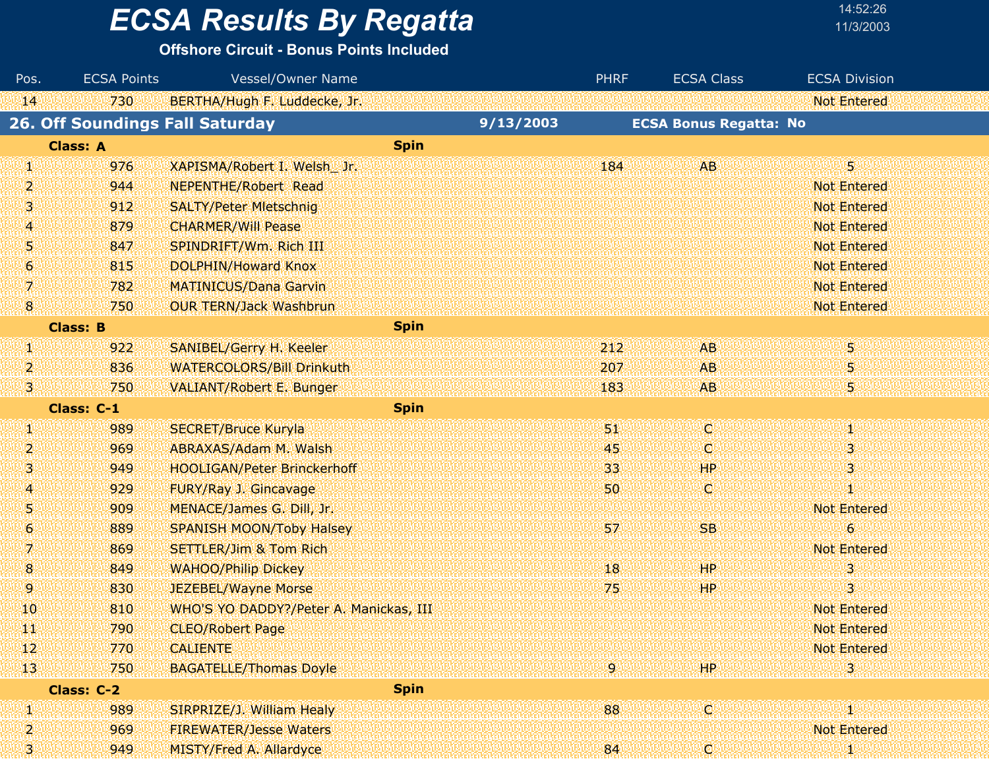**Offshore Circuit - Bonus Points Included**

| Pos.            | <b>ECSA Points</b>                     | Vessel/Owner Name                      |             | <b>PHRF</b> | <b>ECSA Class</b>             | <b>ECSA Division</b> |
|-----------------|----------------------------------------|----------------------------------------|-------------|-------------|-------------------------------|----------------------|
| 14.             | 730                                    | BERTHA/Hugh F. Luddecke, Jr.           |             |             |                               | <b>Not Entered</b>   |
|                 | <b>26. Off Soundings Fall Saturday</b> |                                        | 9/13/2003   |             | <b>ECSA Bonus Regatta: No</b> |                      |
|                 | <b>Class: A</b>                        |                                        | <b>Spin</b> |             |                               |                      |
| 90              | 976                                    | XAPISMA/Robert I. Welsh Jr.            |             | 184         | AB                            | 5                    |
| 2               | 944                                    | <b>NEPENTHE/Robert Read</b>            |             |             |                               | <b>Not Entered</b>   |
| 3               | 912                                    | <b>SALTY/Peter Mietschnig</b>          |             |             |                               | <b>Not Entered</b>   |
| 4               | 879                                    | <b>CHARMER/Will Pease</b>              |             |             |                               | <b>Not Entered</b>   |
| 51              | 847                                    | SPINDRIFT/Wm. Rich III                 |             |             |                               | <b>Not Entered</b>   |
| $\vert 6 \vert$ | 815                                    | <b>DOLPHIN/Howard Knox</b>             |             |             |                               | <b>Not Entered</b>   |
| 7.              | 782                                    | <b>MATINICUS/Dana Garvin</b>           |             |             |                               | <b>Not Entered</b>   |
| $\bf{8}$        | 750                                    | <b>OUR TERN/Jack Washbrun</b>          |             |             |                               | Not Entered          |
|                 | <b>Class: B</b>                        |                                        | <b>Spin</b> |             |                               |                      |
| W               | 922                                    | SANIBEL/Gerry H. Keeler                |             | 212         | <b>AB</b>                     | 5                    |
| 2               | 836                                    | <b>WATERCOLORS/Bill Drinkuth</b>       |             | 207         | <b>AB</b>                     | 5                    |
| 3.              | 750                                    | <b>VALIANT/Robert E. Bunger</b>        |             | 183         | <b>AB</b>                     | 5.                   |
|                 | Class: C-1                             |                                        | <b>Spin</b> |             |                               |                      |
| q,              | 989                                    | <b>SECRET/Bruce Kuryla</b>             |             | 51          | lC.                           | Ŵ                    |
| 2               | 969                                    | ABRAXAS/Adam M. Walsh                  |             | 45          | IC.                           | 3                    |
| 3               | 949                                    | <b>HOOLIGAN/Peter Brinckerhoff</b>     |             | 33          | <b>HP</b>                     | З                    |
| $\overline{4}$  | 929                                    | FURY/Ray J. Gincavage                  |             | 50          | V.                            | И                    |
| 51              | 909                                    | MENACE/James G. Dill, Jr.              |             |             |                               | <b>Not Entered</b>   |
| 6.              | 889                                    | <b>SPANISH MOON/Toby Halsey</b>        |             | 57          | <b>SB</b>                     | 6                    |
| 71              | 869                                    | <b>SETTLER/Jim &amp; Tom Rich</b>      |             |             |                               | <b>Not Entered</b>   |
| $\bf{8}$        | 849                                    | <b>WAHOO/Philip Dickey</b>             |             | 18          | HP                            | 3                    |
| 9.              | 830                                    | <b>JEZEBEL/Wayne Morse</b>             |             | 75          | <b>HP</b>                     | 3                    |
| 10              | 810                                    | WHO'S YO DADDY?/Peter A. Manickas, III |             |             |                               | <b>Not Entered</b>   |
| H.              | 790                                    | <b>CLEO/Robert Page</b>                |             |             |                               | Not Entered          |
| 12              | 770                                    | <b>CALIENTE</b>                        |             |             |                               | <b>Not Entered</b>   |
| 13 <sub>1</sub> | 750                                    | <b>BAGATELLE/Thomas Doyle</b>          |             | .9 I        | HP                            | з                    |
|                 | Class: C-2                             |                                        | <b>Spin</b> |             |                               |                      |
| Ø0              | 989                                    | SIRPRIZE/J. William Healy              |             | 88          | ЮÏ                            | 80                   |
| 2               | 969                                    | <b>FIREWATER/Jesse Waters</b>          |             |             |                               | <b>Not Entered</b>   |
| 3)<br>ak        | 949                                    | MISTY/Fred A. Allardyce                |             | 84          | W                             | 41                   |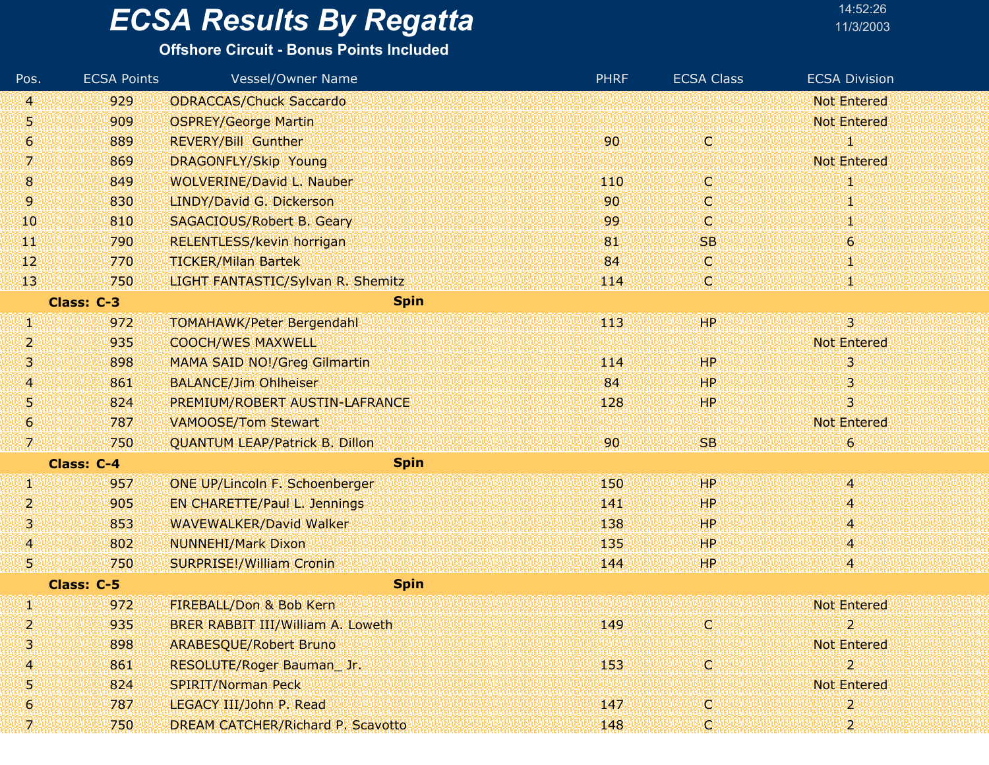#### **Offshore Circuit - Bonus Points Included**

| Pos.           | <b>ECSA Points</b> | <b>Vessel/Owner Name</b>              | <b>PHRF</b> | <b>ECSA Class</b> | <b>ECSA Division</b>    |
|----------------|--------------------|---------------------------------------|-------------|-------------------|-------------------------|
| 4              | 929                | <b>ODRACCAS/Chuck Saccardo</b>        |             |                   | <b>Not Entered</b>      |
| 5              | 909                | <b>OSPREY/George Martin</b>           |             |                   | <b>Not Entered</b>      |
| 6              | 889                | <b>REVERY/Bill Gunther</b>            | 90          | о                 | 1                       |
| 7.             | 869                | DRAGONFLY/Skip Young                  |             |                   | <b>Not Entered</b>      |
| $8\phantom{1}$ | 849                | <b>WOLVERINE/David L. Nauber</b>      | 110         | Q                 | 1                       |
| 9.             | 830                | LINDY/David G. Dickerson              | 90          | O                 |                         |
| 10             | 810                | <b>SAGACIOUS/Robert B. Geary</b>      | 99          | C                 |                         |
| ЧT             | 790                | <b>RELENTLESS/kevin horrigan</b>      | 81          | <b>SB</b>         | 6                       |
| $\mathbf{12}$  | 770                | <b>TICKER/Milan Bartek</b>            | 84          | Q                 | 1                       |
| 13             | 750                | LIGHT FANTASTIC/Sylvan R. Shemitz     | 114         | Q                 |                         |
|                | Class: C-3         | <b>Spin</b>                           |             |                   |                         |
| W              | 972                | <b>TOMAHAWK/Peter Bergendahl</b>      | 443         | HP.               | $3^{\circ}$             |
| 2              | 935                | <b>COOCH/WES MAXWELL</b>              |             |                   | <b>Not Entered</b>      |
| Ņ              | 898                | <b>MAMA SAID NO!/Greg Gilmartin</b>   | 114         | <b>HP</b>         | 31                      |
| 4              | 861                | <b>BALANCE/Jim Ohlheiser</b>          | 84          | <b>HP</b>         | 3                       |
| 5              | 824                | PREMIUM/ROBERT AUSTIN-LAFRANCE        | 128         | H <sub>P</sub>    | 3                       |
| 6              | 787                | <b>VAMOOSE/Tom Stewart</b>            |             |                   | <b>Not Entered</b>      |
| 7.             | 750                | <b>QUANTUM LEAP/Patrick B. Dillon</b> | 90          | <b>SB</b>         | $\theta$                |
|                | <b>Class: C-4</b>  | <b>Spin</b>                           |             |                   |                         |
| Щ              | 957                | <b>ONE UP/Lincoln F. Schoenberger</b> | 150         | <b>HP</b>         | $\ket{4}$               |
| 2              | 905                | <b>EN CHARETTE/Paul L. Jennings</b>   | 141         | HP                | 4                       |
| 3              | 853                | <b>WAVEWALKER/David Walker</b>        | 138         | <b>HP</b>         | 4                       |
| $\overline{A}$ | 802                | <b>NUNNEHI/Mark Dixon</b>             | 135         | HP.               | 4                       |
| 5              | 750                | <b>SURPRISE!/William Cronin</b>       | 144         | HP.               | 4                       |
|                | Class: C-5         | <b>Spin</b>                           |             |                   |                         |
| W              | 972                | FIREBALL/Don & Bob Kern               |             |                   | <b>Not Entered</b>      |
| 2              | 935                | BRER RABBIT III/William A. Loweth     | 149         | Q                 | $\overline{\mathbf{z}}$ |
| 3              | 898                | <b>ARABESQUE/Robert Bruno</b>         |             |                   | <b>Not Entered</b>      |
| 4              | 861                | RESOLUTE/Roger Bauman_Jr.             | 153         | ¢                 | $\overline{\mathbf{2}}$ |
| 5              | 824                | <b>SPIRIT/Norman Peck</b>             |             |                   | Not Entered             |
| 6              | 787                | LEGACY III/John P. Read               | 147         | q                 | 2                       |
|                | 750                | DREAM CATCHER/Richard P. Scavotto     | 148         | C                 |                         |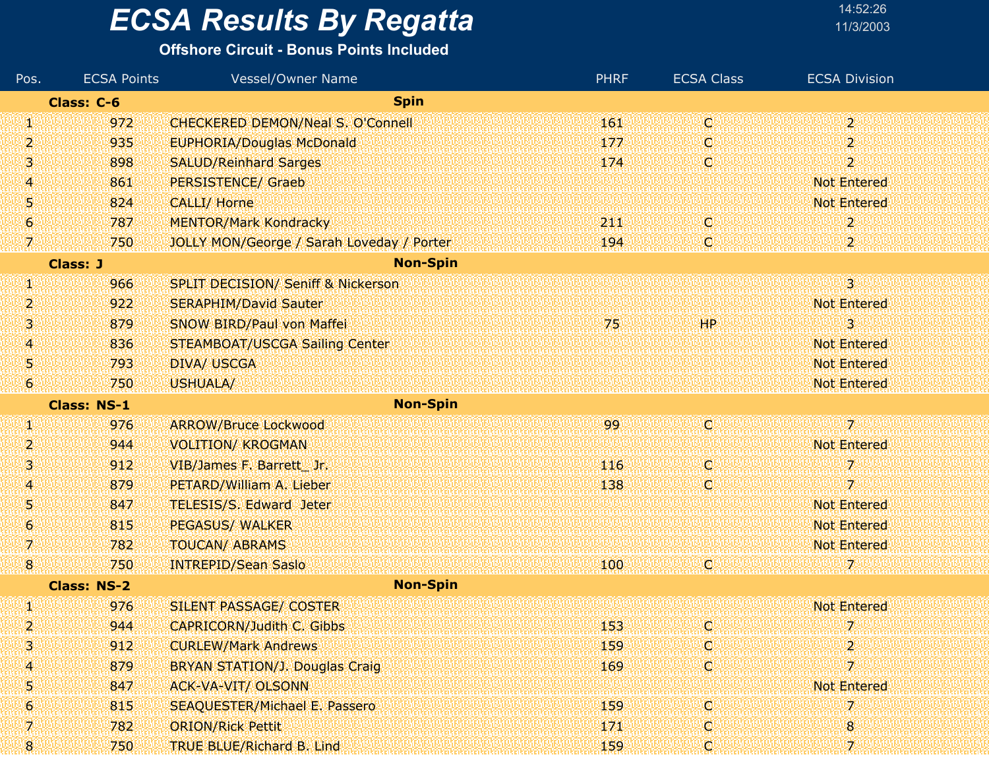#### **Offshore Circuit - Bonus Points Included**

| Pos.                | <b>ECSA Points</b> | Vessel/Owner Name                             | <b>PHRF</b> | <b>ECSA Class</b> | <b>ECSA Division</b>      |
|---------------------|--------------------|-----------------------------------------------|-------------|-------------------|---------------------------|
|                     | Class: C-6         | <b>Spin</b>                                   |             |                   |                           |
| W                   | 972                | <b>CHECKERED DEMON/Neal S. O'Connell</b>      | 161         | C                 | 2.                        |
| 2                   | 935                | <b>EUPHORIA/Douglas McDonald</b>              | 177         | C,                | 2                         |
| 3.                  | 898                | <b>SALUD/Reinhard Sarges</b>                  | 174         | C                 | $\overline{2}$            |
| A                   | 861                | <b>PERSISTENCE/ Graeb</b>                     |             |                   | <b>Not Entered</b>        |
| 5                   | 824                | <b>CALLI/ Horne</b>                           |             |                   | <b>Not Entered</b>        |
| $\boldsymbol{6}$    | 787                | <b>MENTOR/Mark Kondracky</b>                  | 211         | Q                 | 2                         |
| 7                   | 750                | JOLLY MON/George / Sarah Loveday / Porter     | 194         | Ç                 | $\mathbf{2}^{\circ}$      |
|                     | <b>Class: J</b>    | <b>Non-Spin</b>                               |             |                   |                           |
| W                   | 966                | <b>SPLIT DECISION/ Seniff &amp; Nickerson</b> |             |                   | $\overline{3}$            |
| 2                   | 922                | <b>SERAPHIM/David Sauter</b>                  |             |                   | <b>Not Entered</b>        |
| з                   | 879                | <b>SNOW BIRD/Paul von Maffei</b>              | 75          | HР                | 3                         |
| 4                   | 836                | <b>STEAMBOAT/USCGA Sailing Center</b>         |             |                   | <b>Not Entered</b>        |
| 5                   | 793                | <b>DIVA/ USCGA</b>                            |             |                   | <b>Not Entered</b>        |
| 6                   | 750                | USHUALA/                                      |             |                   | <b>Not Entered</b>        |
|                     | <b>Class: NS-1</b> | <b>Non-Spin</b>                               |             |                   |                           |
| w                   | 976                | <b>ARROW/Bruce Lockwood</b>                   | 99          | ¢                 | $7^{\circ}$               |
| 2                   | 944                | <b>VOLITION/ KROGMAN</b>                      |             |                   | <b>Not Entered</b>        |
| 13                  | 912                | VIB/James F. Barrett Jr.                      | 116         | C,                | 7                         |
| 4                   | 879                | PETARD/William A. Lieber                      | 138         | C                 | 7                         |
| 5                   | 847                | <b>TELESIS/S. Edward Jeter</b>                |             |                   | <b>Not Entered</b>        |
| $\ddot{\mathbf{6}}$ | 815                | <b>PEGASUS/ WALKER</b>                        |             |                   | <b>Not Entered</b>        |
| 7                   | 782                | <b>TOUCAN/ ABRAMS</b>                         |             |                   | <b>Not Entered</b>        |
| $\overline{8}$      | 750                | <b>INTREPID/Sean Saslo</b>                    | 100         | O.                | 7.                        |
|                     | <b>Class: NS-2</b> | <b>Non-Spin</b>                               |             |                   |                           |
| W                   | 976                | SILENT PASSAGE/ COSTER                        |             |                   | <b>Not Entered</b>        |
| 2                   | 944                | <b>CAPRICORN/Judith C. Gibbs</b>              | 153         | O                 | 7.                        |
| З                   | 912                | <b>CURLEW/Mark Andrews</b>                    | 159         | Q                 | $\mathbf{2}^{\mathrm{r}}$ |
| 4                   | 879                | <b>BRYAN STATION/J. Douglas Craig</b>         | 169         | Q                 | 7                         |
| 5                   | 847                | <b>ACK-VA-VIT/ OLSONN</b>                     |             |                   | <b>Not Entered</b>        |
| 6                   | 815                | <b>SEAQUESTER/Michael E. Passero</b>          | 159         | C                 | 7                         |
| 7.                  | 782                | <b>ORION/Rick Pettit</b>                      | 171         | Q                 | 8                         |
| 8                   | 750                | TRUE BLUE/Richard B. Lind                     | 159         | ņ.                | 7.                        |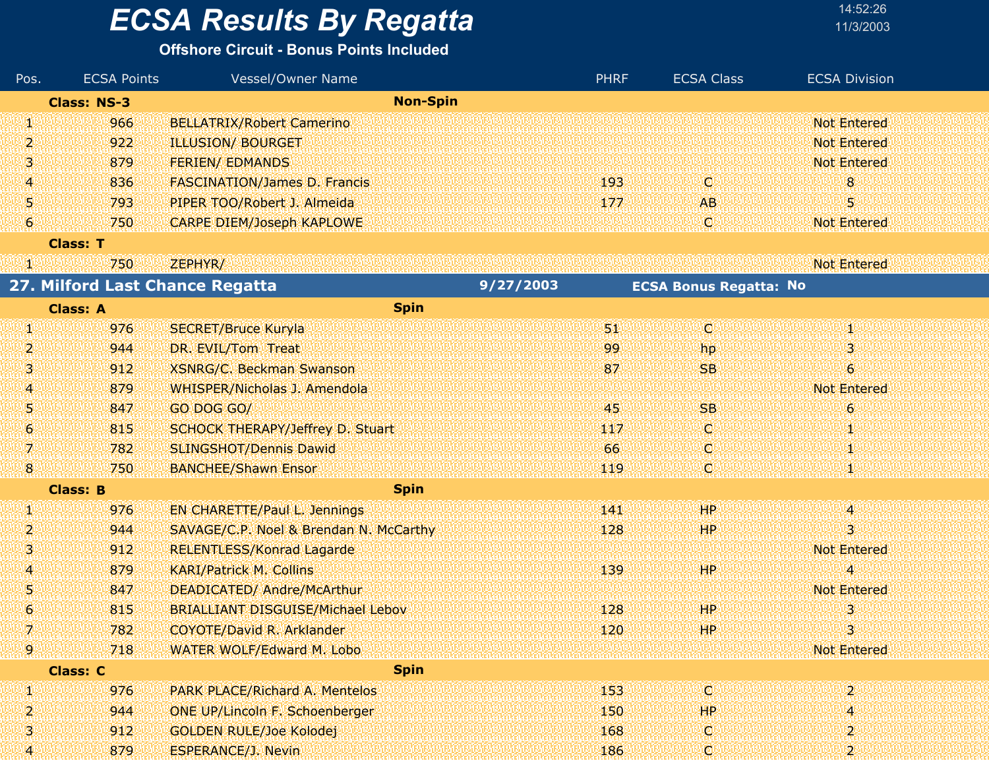#### **Offshore Circuit - Bonus Points Included**

| Pos. | <b>ECSA Points</b> | Vessel/Owner Name                        |           | <b>PHRF</b> | <b>ECSA Class</b>             | <b>ECSA Division</b> |
|------|--------------------|------------------------------------------|-----------|-------------|-------------------------------|----------------------|
|      | <b>Class: NS-3</b> | <b>Non-Spin</b>                          |           |             |                               |                      |
| W    | 966                | <b>BELLATRIX/Robert Camerino</b>         |           |             |                               | <b>Not Entered</b>   |
| 2    | 922                | <b>ILLUSION/ BOURGET</b>                 |           |             |                               | <b>Not Entered</b>   |
| 31   | 879                | <b>FERIEN/ EDMANDS</b>                   |           |             |                               | <b>Not Entered</b>   |
| 4    | 836                | <b>FASCINATION/James D. Francis</b>      |           | 193         | IC.                           | 8 <sup>°</sup>       |
| 51   | 793                | PIPER TOO/Robert J. Almeida              |           | 177         | AB.                           | 5                    |
| 6    | 750                | <b>CARPE DIEM/Joseph KAPLOWE</b>         |           |             | IO)                           | <b>Not Entered</b>   |
|      | <b>Class: T</b>    |                                          |           |             |                               |                      |
| VN.  | 750                | ZEPHYR/                                  |           |             |                               | <b>Not Entered</b>   |
|      |                    | 27. Milford Last Chance Regatta          | 9/27/2003 |             | <b>ECSA Bonus Regatta: No</b> |                      |
|      | <b>Class: A</b>    | <b>Spin</b>                              |           |             |                               |                      |
| 90   | 976                | <b>SECRET/Bruce Kuryla</b>               |           | UI.         | ίCΪ                           | 40                   |
| 2    | 944                | DR. EVIL/Tom Treat                       |           | 99          | hp                            | 3.                   |
| 31   | 912                | <b>XSNRG/C. Beckman Swanson</b>          |           | 87          | <b>SB</b>                     | 6 <sup>1</sup>       |
| 41   | 879                | WHISPER/Nicholas J. Amendola             |           |             |                               | <b>Not Entered</b>   |
| 51   | 847                | GO DOG GO/                               |           | 45          | <b>SB</b>                     | $6\overline{6}$      |
| 6    | 815                | SCHOCK THERAPY/Jeffrey D. Stuart         |           | 117         | O.                            | T                    |
| V)   | 782                | SLINGSHOT/Dennis Dawid                   |           | 66          | C.                            | Ю                    |
| 8.   | 750                | <b>BANCHEE/Shawn Ensor</b>               |           | 119         | C                             |                      |
|      | <b>Class: B</b>    | <b>Spin</b>                              |           |             |                               |                      |
| Ø    | 976                | <b>EN CHARETTE/Paul L. Jennings</b>      |           | 141         | HP                            | 14                   |
| 2    | 944                | SAVAGE/C.P. Noel & Brendan N. McCarthy   |           | 128         | HР                            | 3                    |
| З    | 912                | <b>RELENTLESS/Konrad Lagarde</b>         |           |             |                               | <b>Not Entered</b>   |
| 41   | 879                | <b>KARI/Patrick M. Collins</b>           |           | 139         | <b>HP</b>                     | 4                    |
| 51   | 847                | DEADICATED/ Andre/McArthur               |           |             |                               | <b>Not Entered</b>   |
| 6    | 815                | <b>BRIALLIANT DISGUISE/Michael Lebov</b> |           | 128         | HP.                           | 3                    |
|      | 782                | COYOTE/David R. Arklander                |           | 120         | HP.                           | 3                    |
| 19.  | 718                | WATER WOLF/Edward M. Lobo                |           |             |                               | <b>Not Entered</b>   |
|      | <b>Class: C</b>    | <b>Spin</b>                              |           |             |                               |                      |
| W    | 976                | <b>PARK PLACE/Richard A. Mentelos</b>    |           | 153         | Ю                             | 2                    |
| 2    | 944                | <b>ONE UP/Lincoln F. Schoenberger</b>    |           | 150         | HP                            | 4                    |
| 3    | 912                | <b>GOLDEN RULE/Joe Kolodej</b>           |           | 168         | IC.                           | 2                    |
| 4    | 879                | <b>ESPERANCE/J. Nevin</b>                |           | 186         | Q                             | 2                    |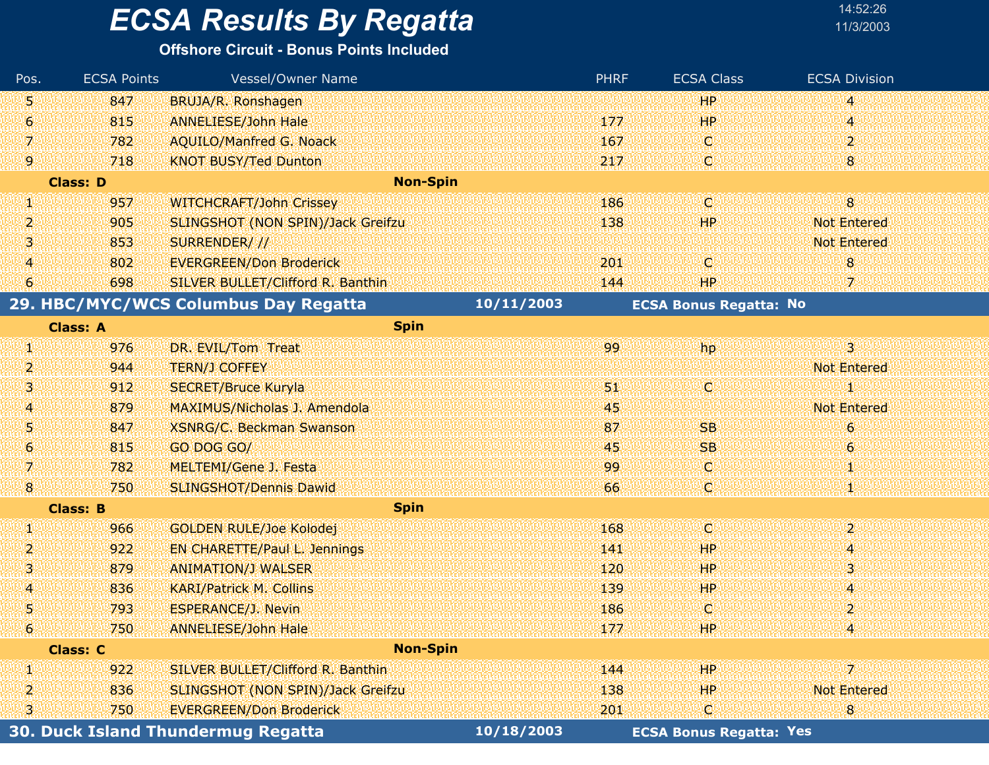#### **Offshore Circuit - Bonus Points Included**

| Pos.                                      | <b>ECSA Points</b> | Vessel/Owner Name                        |            | <b>PHRF</b> | <b>ECSA Class</b>              | <b>ECSA Division</b> |
|-------------------------------------------|--------------------|------------------------------------------|------------|-------------|--------------------------------|----------------------|
| 喇                                         | 847                | BRUJA/R. Ronshagen                       |            |             | <b>HP</b>                      | 4                    |
| 6                                         | 815                | <b>ANNELIESE/John Hale</b>               |            | 177         | <b>HP</b>                      | 4                    |
| 7.                                        | 782                | <b>AQUILO/Manfred G. Noack</b>           |            | 167         | O.                             | $\overline{2}$       |
| 9                                         | 718                | <b>KNOT BUSY/Ted Dunton</b>              |            | 217         | C)                             | 8                    |
|                                           | <b>Class: D</b>    | <b>Non-Spin</b>                          |            |             |                                |                      |
| U)                                        | 957                | <b>WITCHCRAFT/John Crissey</b>           |            | 186         | IC)                            | $\overline{8}$       |
| 2                                         | 905                | <b>SLINGSHOT (NON SPIN)/Jack Greifzu</b> |            | 138         | <b>HP</b>                      | <b>Not Entered</b>   |
| з                                         | 853                | SURRENDER///                             |            |             |                                | <b>Not Entered</b>   |
| $\overline{\bf 4}$                        | 802                | <b>EVERGREEN/Don Broderick</b>           |            | 201         | C                              | $\bf{8}$             |
| 6                                         | 698                | SILVER BULLET/Clifford R. Banthin        |            | 144         | HР                             | 7                    |
|                                           |                    | 29. HBC/MYC/WCS Columbus Day Regatta     | 10/11/2003 |             | <b>ECSA Bonus Regatta: No</b>  |                      |
|                                           | <b>Class: A</b>    | <b>Spin</b>                              |            |             |                                |                      |
| W                                         | 976                | DR. EVIL/Tom Treat                       |            | 99          | hp.                            | $\overline{3}$       |
| $\overline{2}$                            | 944                | <b>TERN/J COFFEY</b>                     |            |             |                                | <b>Not Entered</b>   |
| 3                                         | 912                | <b>SECRET/Bruce Kuryla</b>               |            | 31          | ω                              | и                    |
| $\overline{A}$                            | 879                | MAXIMUS/Nicholas J. Amendola             |            | 45          |                                | <b>Not Entered</b>   |
| 5                                         | 847                | <b>XSNRG/C. Beckman Swanson</b>          |            | 87          | <b>SB</b>                      | 6                    |
| $\ddot{\mathbf{6}}$                       | 815                | GO DOG GO/                               |            | 45          | <b>SB</b>                      | $\epsilon$           |
| V.                                        | 782                | MELTEMI/Gene J. Festa                    |            | 99          | O                              | M.                   |
| $\bf{8}$                                  | 750                | <b>SLINGSHOT/Dennis Dawid</b>            |            | 66          | C.                             |                      |
|                                           | <b>Class: B</b>    | <b>Spin</b>                              |            |             |                                |                      |
| Ŋ.                                        | 966                | <b>GOLDEN RULE/Joe Kolodej</b>           |            | 168         | O                              | $\overline{2}$       |
| 2.                                        | 922                | <b>EN CHARETTE/Paul L. Jennings</b>      |            | 141         | HP                             | 4                    |
| з                                         | 879                | <b>ANIMATION/J WALSER</b>                |            | 120         | HР                             | 3                    |
| 4                                         | 836                | <b>KARI/Patrick M. Collins</b>           |            | 139         | HP.                            | A                    |
| 5                                         | 793                | <b>ESPERANCE/J. Nevin</b>                |            | 186         | C                              | 2                    |
| 6 <sup>1</sup>                            | 750                | <b>ANNELIESE/John Hale</b>               |            | 177         | HP.                            |                      |
| <b>Non-Spin</b><br><b>Class: C</b>        |                    |                                          |            |             |                                |                      |
| W                                         | 922                | SILVER BULLET/Clifford R. Banthin        |            | 144         | HP                             | 72                   |
| $\overline{2}$                            | 836                | SLINGSHOT (NON SPIN)/Jack Greifzu        |            | 138         | HP.                            | <b>Not Entered</b>   |
| 31                                        | 750                | <b>EVERGREEN/Don Broderick</b>           |            | 201         | C,                             | 8                    |
| <b>30. Duck Island Thundermug Regatta</b> |                    |                                          | 10/18/2003 |             | <b>ECSA Bonus Regatta: Yes</b> |                      |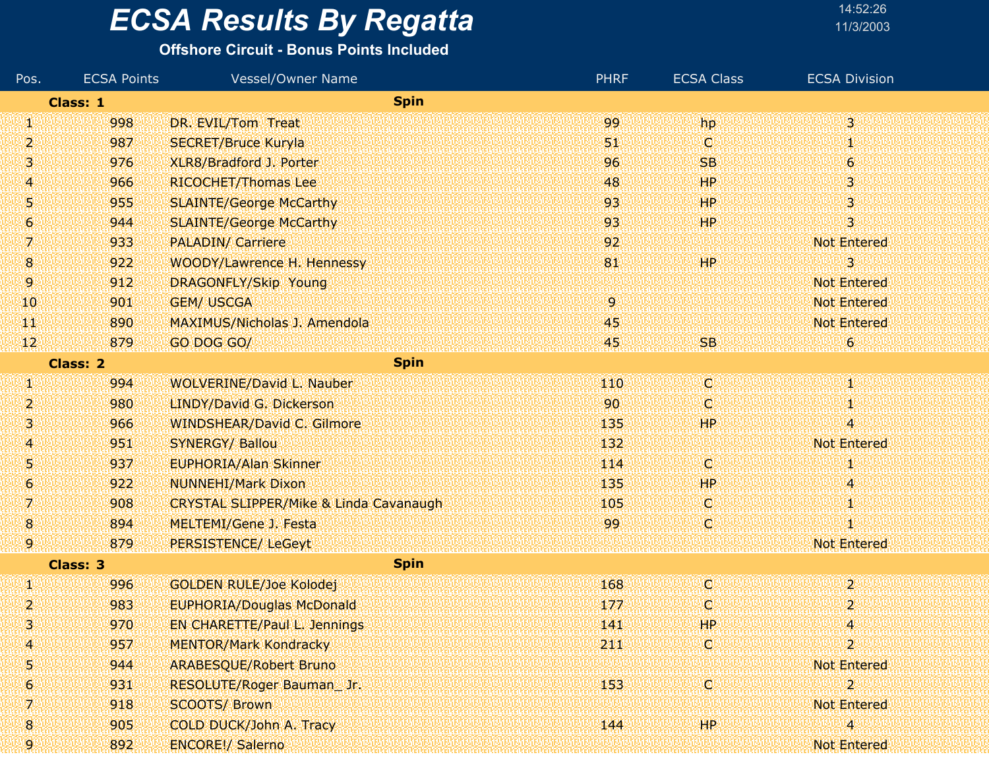#### **Offshore Circuit - Bonus Points Included**

| Pos.                    | <b>ECSA Points</b> | <b>Vessel/Owner Name</b>                          | <b>PHRF</b> | <b>ECSA Class</b> | <b>ECSA Division</b> |
|-------------------------|--------------------|---------------------------------------------------|-------------|-------------------|----------------------|
| <b>Spin</b><br>Class: 1 |                    |                                                   |             |                   |                      |
| W                       | 998                | DR. EVIL/Tom Treat                                | 99          | hp                | $\mathbf{3}$         |
| 2                       | 987                | <b>SECRET/Bruce Kuryla</b>                        | 51          | IC.               | Ψ                    |
| з                       | 976                | XLR8/Bradford J. Porter                           | 96          | <b>SB</b>         | $\boldsymbol{6}$     |
| 4                       | 966                | RICOCHET/Thomas Lee                               | 48          | HP                | 3                    |
| 51                      | 955                | <b>SLAINTE/George McCarthy</b>                    | 93          | <b>HP</b>         | 3                    |
| 6                       | 944                | <b>SLAINTE/George McCarthy</b>                    | 93          | 'HP'              | 3                    |
| Z.                      | 933                | <b>PALADIN/ Carriere</b>                          | 92          |                   | <b>Not Entered</b>   |
| 18.                     | 922                | WOODY/Lawrence H. Hennessy                        | 81          | <b>HP</b>         | 3                    |
| 9.                      | 912                | <b>DRAGONFLY/Skip Young</b>                       |             |                   | <b>Not Entered</b>   |
| 10                      | 901                | <b>GEM/ USCGA</b>                                 | 9.          |                   | <b>Not Entered</b>   |
| TЩ                      | 890                | MAXIMUS/Nicholas J. Amendola                      | 45          |                   | <b>Not Entered</b>   |
| 12                      | 879                | GO DOG GO/                                        | 45          | SB.               | 6                    |
| <b>Class: 2</b>         |                    | <b>Spin</b>                                       |             |                   |                      |
| Ŋ,                      | 994                | <b>WOLVERINE/David L. Nauber</b>                  | 110         | <b>C</b>          | Φ                    |
| 2                       | 980                | LINDY/David G. Dickerson                          | 90          | O                 | 1                    |
| 3                       | 966                | <b>WINDSHEAR/David C. Gilmore</b>                 | 135         | <b>HP</b>         | 4                    |
| 4                       | 951                | <b>SYNERGY/ Ballou</b>                            | 132         |                   | <b>Not Entered</b>   |
| U)                      | 937                | <b>EUPHORIA/Alan Skinner</b>                      | 114         | V.                | Ю                    |
| $\boldsymbol{6}$        | 922                | <b>NUNNEHI/Mark Dixon</b>                         | 135         | HР                | 4                    |
| 7                       | 908                | <b>CRYSTAL SLIPPER/Mike &amp; Linda Cavanaugh</b> | 105         | V.                | 4                    |
| $\bf{8}$                | 894                | MELTEMI/Gene J. Festa                             | 99          | Q                 | I                    |
| 9.                      | 879                | PERSISTENCE/ LeGeyt                               |             |                   | <b>Not Entered</b>   |
| <b>Spin</b><br>Class: 3 |                    |                                                   |             |                   |                      |
| U)                      | 996                | <b>GOLDEN RULE/Joe Kolodej</b>                    | 168         | O.                | $\overline{2}$       |
| 2,                      | 983                | <b>EUPHORIA/Douglas McDonald</b>                  | 177         | O.                | 2                    |
| 3                       | 970                | EN CHARETTE/Paul L. Jennings                      | 141         | <b>HP</b>         | 4                    |
| 4                       | 957                | <b>MENTOR/Mark Kondracky</b>                      | 211         | C,                | $\overline{2}$       |
| 5                       | 944                | <b>ARABESQUE/Robert Bruno</b>                     |             |                   | <b>Not Entered</b>   |
| 6                       | 931                | RESOLUTE/Roger Bauman_Jr.                         | 153         | <b>O</b>          | 2                    |
| 7.                      | 918                | <b>SCOOTS/ Brown</b>                              |             |                   | <b>Not Entered</b>   |
| 8                       | 905                | COLD DUCK/John A. Tracy                           | 144         | HP.               | 4                    |
| 9                       | 892                | <b>ENCORE!/ Salerno</b>                           |             |                   | Not Entered          |